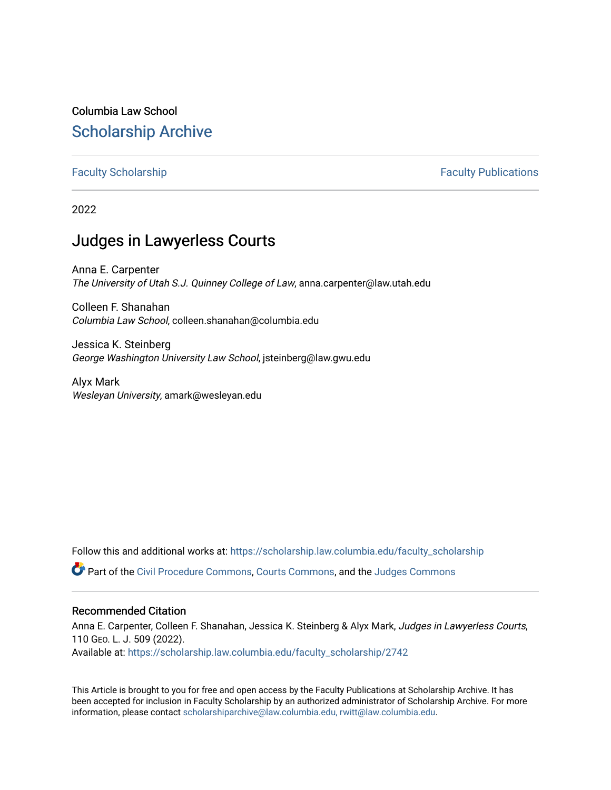# Columbia Law School [Scholarship Archive](https://scholarship.law.columbia.edu/)

# [Faculty Scholarship](https://scholarship.law.columbia.edu/faculty_scholarship) **Faculty Scholarship Faculty Publications**

2022

# Judges in Lawyerless Courts

Anna E. Carpenter The University of Utah S.J. Quinney College of Law, anna.carpenter@law.utah.edu

Colleen F. Shanahan Columbia Law School, colleen.shanahan@columbia.edu

Jessica K. Steinberg George Washington University Law School, jsteinberg@law.gwu.edu

Alyx Mark Wesleyan University, amark@wesleyan.edu

Follow this and additional works at: [https://scholarship.law.columbia.edu/faculty\\_scholarship](https://scholarship.law.columbia.edu/faculty_scholarship?utm_source=scholarship.law.columbia.edu%2Ffaculty_scholarship%2F2742&utm_medium=PDF&utm_campaign=PDFCoverPages)

Part of the [Civil Procedure Commons,](https://network.bepress.com/hgg/discipline/584?utm_source=scholarship.law.columbia.edu%2Ffaculty_scholarship%2F2742&utm_medium=PDF&utm_campaign=PDFCoverPages) [Courts Commons](https://network.bepress.com/hgg/discipline/839?utm_source=scholarship.law.columbia.edu%2Ffaculty_scholarship%2F2742&utm_medium=PDF&utm_campaign=PDFCoverPages), and the [Judges Commons](https://network.bepress.com/hgg/discipline/849?utm_source=scholarship.law.columbia.edu%2Ffaculty_scholarship%2F2742&utm_medium=PDF&utm_campaign=PDFCoverPages) 

# Recommended Citation

Anna E. Carpenter, Colleen F. Shanahan, Jessica K. Steinberg & Alyx Mark, Judges in Lawyerless Courts, 110 GEO. L. J. 509 (2022).

Available at: [https://scholarship.law.columbia.edu/faculty\\_scholarship/2742](https://scholarship.law.columbia.edu/faculty_scholarship/2742?utm_source=scholarship.law.columbia.edu%2Ffaculty_scholarship%2F2742&utm_medium=PDF&utm_campaign=PDFCoverPages)

This Article is brought to you for free and open access by the Faculty Publications at Scholarship Archive. It has been accepted for inclusion in Faculty Scholarship by an authorized administrator of Scholarship Archive. For more information, please contact [scholarshiparchive@law.columbia.edu, rwitt@law.columbia.edu](mailto:scholarshiparchive@law.columbia.edu,%20rwitt@law.columbia.edu).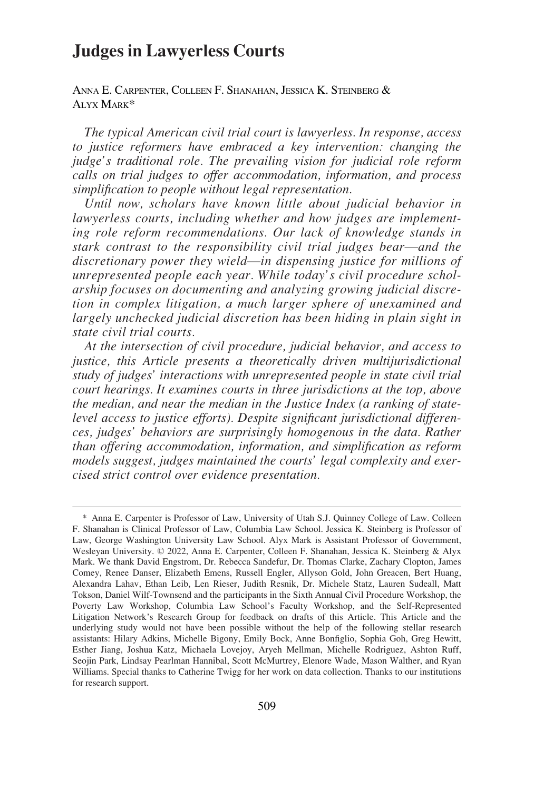# **Judges in Lawyerless Courts**

ANNA E. CARPENTER, COLLEEN F. SHANAHAN, JESSICA K. STEINBERG & ALYX MARK\*

*The typical American civil trial court is lawyerless. In response, access to justice reformers have embraced a key intervention: changing the judge's traditional role. The prevailing vision for judicial role reform calls on trial judges to offer accommodation, information, and process simplification to people without legal representation.* 

*Until now, scholars have known little about judicial behavior in lawyerless courts, including whether and how judges are implementing role reform recommendations. Our lack of knowledge stands in stark contrast to the responsibility civil trial judges bear*—*and the discretionary power they wield*—*in dispensing justice for millions of unrepresented people each year. While today's civil procedure scholarship focuses on documenting and analyzing growing judicial discretion in complex litigation, a much larger sphere of unexamined and largely unchecked judicial discretion has been hiding in plain sight in state civil trial courts.* 

*At the intersection of civil procedure, judicial behavior, and access to justice, this Article presents a theoretically driven multijurisdictional study of judges' interactions with unrepresented people in state civil trial court hearings. It examines courts in three jurisdictions at the top, above the median, and near the median in the Justice Index (a ranking of statelevel access to justice efforts). Despite significant jurisdictional differences, judges' behaviors are surprisingly homogenous in the data. Rather than offering accommodation, information, and simplification as reform models suggest, judges maintained the courts' legal complexity and exercised strict control over evidence presentation.* 

<sup>\*</sup> Anna E. Carpenter is Professor of Law, University of Utah S.J. Quinney College of Law. Colleen F. Shanahan is Clinical Professor of Law, Columbia Law School. Jessica K. Steinberg is Professor of Law, George Washington University Law School. Alyx Mark is Assistant Professor of Government, Wesleyan University. © 2022, Anna E. Carpenter, Colleen F. Shanahan, Jessica K. Steinberg & Alyx Mark. We thank David Engstrom, Dr. Rebecca Sandefur, Dr. Thomas Clarke, Zachary Clopton, James Comey, Renee Danser, Elizabeth Emens, Russell Engler, Allyson Gold, John Greacen, Bert Huang, Alexandra Lahav, Ethan Leib, Len Rieser, Judith Resnik, Dr. Michele Statz, Lauren Sudeall, Matt Tokson, Daniel Wilf-Townsend and the participants in the Sixth Annual Civil Procedure Workshop, the Poverty Law Workshop, Columbia Law School's Faculty Workshop, and the Self-Represented Litigation Network's Research Group for feedback on drafts of this Article. This Article and the underlying study would not have been possible without the help of the following stellar research assistants: Hilary Adkins, Michelle Bigony, Emily Bock, Anne Bonfiglio, Sophia Goh, Greg Hewitt, Esther Jiang, Joshua Katz, Michaela Lovejoy, Aryeh Mellman, Michelle Rodriguez, Ashton Ruff, Seojin Park, Lindsay Pearlman Hannibal, Scott McMurtrey, Elenore Wade, Mason Walther, and Ryan Williams. Special thanks to Catherine Twigg for her work on data collection. Thanks to our institutions for research support.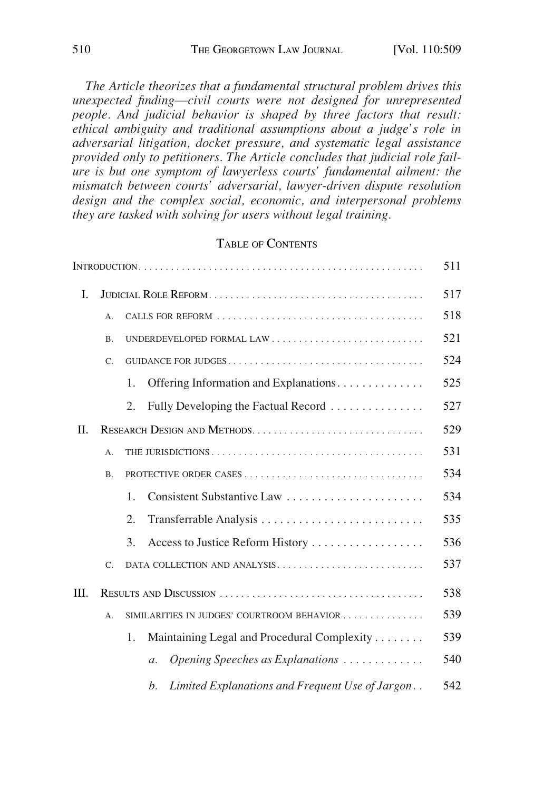*The Article theorizes that a fundamental structural problem drives this unexpected finding*—*civil courts were not designed for unrepresented people. And judicial behavior is shaped by three factors that result: ethical ambiguity and traditional assumptions about a judge's role in adversarial litigation, docket pressure, and systematic legal assistance provided only to petitioners. The Article concludes that judicial role failure is but one symptom of lawyerless courts' fundamental ailment: the mismatch between courts' adversarial, lawyer-driven dispute resolution design and the complex social, economic, and interpersonal problems they are tasked with solving for users without legal training.* 

# TABLE OF CONTENTS

|    |                                                       |                                                                | 511 |  |  |
|----|-------------------------------------------------------|----------------------------------------------------------------|-----|--|--|
| L  |                                                       |                                                                | 517 |  |  |
|    | A.                                                    |                                                                | 518 |  |  |
|    | B.                                                    |                                                                | 521 |  |  |
|    | C.                                                    |                                                                | 524 |  |  |
|    |                                                       | Offering Information and Explanations.<br>1.                   | 525 |  |  |
|    |                                                       | Fully Developing the Factual Record<br>2.                      | 527 |  |  |
| H. |                                                       |                                                                | 529 |  |  |
|    | A.                                                    |                                                                | 531 |  |  |
|    | В.                                                    |                                                                | 534 |  |  |
|    |                                                       | Consistent Substantive Law<br>$\mathbf{1}$ .                   | 534 |  |  |
|    |                                                       | 2.<br>Transferrable Analysis                                   | 535 |  |  |
|    |                                                       | 3.<br>Access to Justice Reform History                         | 536 |  |  |
|    | $C_{\cdot}$                                           | DATA COLLECTION AND ANALYSIS                                   | 537 |  |  |
| Ш. |                                                       |                                                                |     |  |  |
|    | SIMILARITIES IN JUDGES' COURTROOM BEHAVIOR<br>$A_{n}$ |                                                                |     |  |  |
|    |                                                       | Maintaining Legal and Procedural Complexity<br>1.              | 539 |  |  |
|    |                                                       | Opening Speeches as Explanations<br>$\mathfrak{a}.$            | 540 |  |  |
|    |                                                       | Limited Explanations and Frequent Use of Jargon<br>$h_{\cdot}$ | 542 |  |  |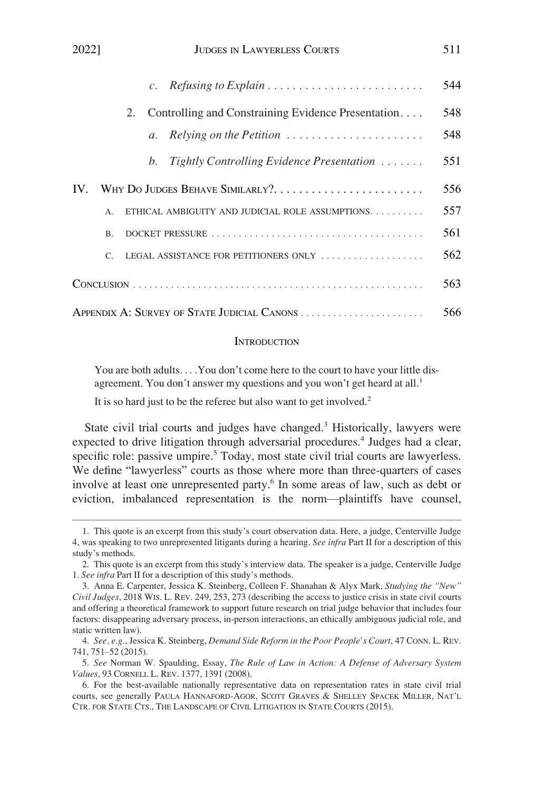<span id="page-3-0"></span>

| 2022]<br>JUDGES IN LAWYERLESS COURTS                                                    | 511 |
|-----------------------------------------------------------------------------------------|-----|
| $\mathcal{C}$ .                                                                         | 544 |
| Controlling and Constraining Evidence Presentation<br>2.                                | 548 |
| Relying on the Petition $\ldots \ldots \ldots \ldots \ldots \ldots$<br>$\mathfrak{a}$ . | 548 |
| Tightly Controlling Evidence Presentation $\ldots \ldots$<br>$h_{\cdot}$                | 551 |
| WHY DO JUDGES BEHAVE SIMILARLY?<br>$IV_{-}$                                             | 556 |
| ETHICAL AMBIGUITY AND JUDICIAL ROLE ASSUMPTIONS<br>$\mathsf{A}$                         | 557 |
| $\mathbf{B}$                                                                            | 561 |
| LEGAL ASSISTANCE FOR PETITIONERS ONLY<br>$\mathcal{C}$                                  | 562 |
|                                                                                         | 563 |
| APPENDIX A: SURVEY OF STATE JUDICIAL CANONS                                             | 566 |

#### **INTRODUCTION**

You are both adults. . . .You don't come here to the court to have your little disagreement. You don't answer my questions and you won't get heard at all.<sup>1</sup>

It is so hard just to be the referee but also want to get involved.<sup>2</sup>

State civil trial courts and judges have changed.<sup>3</sup> Historically, lawyers were expected to drive litigation through adversarial procedures.<sup>4</sup> Judges had a clear, specific role: passive umpire.<sup>5</sup> Today, most state civil trial courts are lawyerless. We define "lawyerless" courts as those where more than three-quarters of cases involve at least one unrepresented party.<sup>6</sup> In some areas of law, such as debt or eviction, imbalanced representation is the norm—plaintiffs have counsel,

<sup>1.</sup> This quote is an excerpt from this study's court observation data. Here, a judge, Centerville Judge 4, was speaking to two unrepresented litigants during a hearing. *See infra* Part II for a description of this study's methods.

<sup>2.</sup> This quote is an excerpt from this study's interview data. The speaker is a judge, Centerville Judge 1. *See infra* Part II for a description of this study's methods.

<sup>3.</sup> Anna E. Carpenter, Jessica K. Steinberg, Colleen F. Shanahan & Alyx Mark, *Studying the "New" Civil Judges*, 2018 WIS. L. REV. 249, 253, 273 (describing the access to justice crisis in state civil courts and offering a theoretical framework to support future research on trial judge behavior that includes four factors: disappearing adversary process, in-person interactions, an ethically ambiguous judicial role, and static written law).

<sup>4.</sup> *See, e.g.*, Jessica K. Steinberg, *Demand Side Reform in the Poor People's Court*, 47 CONN. L. REV. 741, 751–52 (2015).

<sup>5.</sup> *See* Norman W. Spaulding, Essay, *The Rule of Law in Action: A Defense of Adversary System Values*, 93 CORNELL L. REV. 1377, 1391 (2008).

<sup>6.</sup> For the best-available nationally representative data on representation rates in state civil trial courts, see generally PAULA HANNAFORD-AGOR, SCOTT GRAVES & SHELLEY SPACEK MILLER, NAT'L CTR. FOR STATE CTS., THE LANDSCAPE OF CIVIL LITIGATION IN STATE COURTS (2015).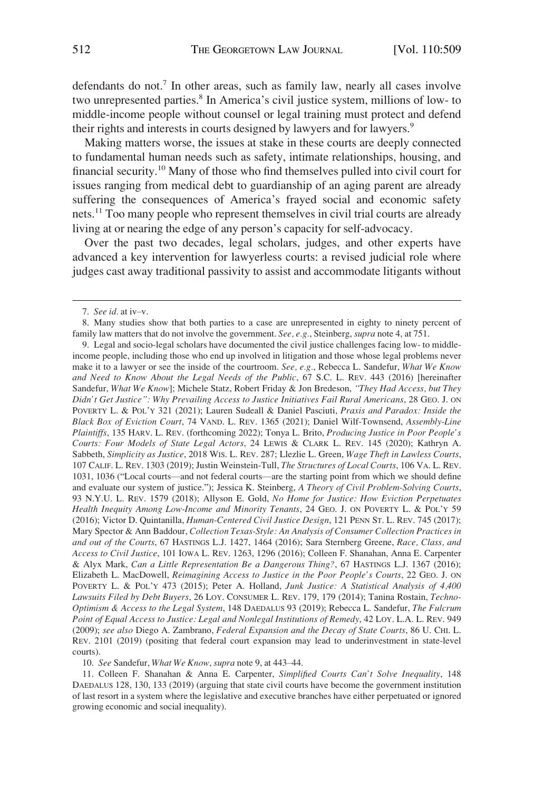defendants do not.<sup>7</sup> In other areas, such as family law, nearly all cases involve two unrepresented parties.<sup>8</sup> In America's civil justice system, millions of low- to middle-income people without counsel or legal training must protect and defend their rights and interests in courts designed by lawyers and for lawyers.<sup>9</sup>

Making matters worse, the issues at stake in these courts are deeply connected to fundamental human needs such as safety, intimate relationships, housing, and financial security.10 Many of those who find themselves pulled into civil court for issues ranging from medical debt to guardianship of an aging parent are already suffering the consequences of America's frayed social and economic safety nets.11 Too many people who represent themselves in civil trial courts are already living at or nearing the edge of any person's capacity for self-advocacy.

Over the past two decades, legal scholars, judges, and other experts have advanced a key intervention for lawyerless courts: a revised judicial role where judges cast away traditional passivity to assist and accommodate litigants without

10. *See* Sandefur, *What We Know*, *supra* note 9, at 443–44.

11. Colleen F. Shanahan & Anna E. Carpenter, *Simplified Courts Can't Solve Inequality*, 148 DAEDALUS 128, 130, 133 (2019) (arguing that state civil courts have become the government institution of last resort in a system where the legislative and executive branches have either perpetuated or ignored growing economic and social inequality).

<sup>7.</sup> *See id.* at iv–v.

<sup>8.</sup> Many studies show that both parties to a case are unrepresented in eighty to ninety percent of family law matters that do not involve the government. *See, e.g.*, Steinberg, *supra* note 4, at 751.

<sup>9.</sup> Legal and socio-legal scholars have documented the civil justice challenges facing low- to middleincome people, including those who end up involved in litigation and those whose legal problems never make it to a lawyer or see the inside of the courtroom. *See, e.g.*, Rebecca L. Sandefur, *What We Know and Need to Know About the Legal Needs of the Public*, 67 S.C. L. REV. 443 (2016) [hereinafter Sandefur, *What We Know*]; Michele Statz, Robert Friday & Jon Bredeson, *"They Had Access, but They Didn't Get Justice": Why Prevailing Access to Justice Initiatives Fail Rural Americans*, 28 GEO. J. ON POVERTY L. & POL'Y 321 (2021); Lauren Sudeall & Daniel Pasciuti, *Praxis and Paradox: Inside the Black Box of Eviction Court*, 74 VAND. L. REV. 1365 (2021); Daniel Wilf-Townsend, *Assembly-Line Plaintiffs*, 135 HARV. L. REV. (forthcoming 2022); Tonya L. Brito, *Producing Justice in Poor People's Courts: Four Models of State Legal Actors*, 24 LEWIS & CLARK L. REV. 145 (2020); Kathryn A. Sabbeth, *Simplicity as Justice*, 2018 WIS. L. REV. 287; Llezlie L. Green, *Wage Theft in Lawless Courts*, 107 CALIF. L. REV. 1303 (2019); Justin Weinstein-Tull, *The Structures of Local Courts*, 106 VA. L. REV. 1031, 1036 ("Local courts—and not federal courts—are the starting point from which we should define and evaluate our system of justice."); Jessica K. Steinberg, *A Theory of Civil Problem-Solving Courts*, 93 N.Y.U. L. REV. 1579 (2018); Allyson E. Gold, *No Home for Justice: How Eviction Perpetuates Health Inequity Among Low-Income and Minority Tenants*, 24 GEO. J. ON POVERTY L. & POL'Y 59 (2016); Victor D. Quintanilla, *Human-Centered Civil Justice Design*, 121 PENN ST. L. REV. 745 (2017); Mary Spector & Ann Baddour, *Collection Texas-Style: An Analysis of Consumer Collection Practices in and out of the Courts*, 67 HASTINGS L.J. 1427, 1464 (2016); Sara Sternberg Greene, *Race, Class, and Access to Civil Justice*, 101 IOWA L. REV. 1263, 1296 (2016); Colleen F. Shanahan, Anna E. Carpenter & Alyx Mark, *Can a Little Representation Be a Dangerous Thing?*, 67 HASTINGS L.J. 1367 (2016); Elizabeth L. MacDowell, *Reimagining Access to Justice in the Poor People's Courts*, 22 GEO. J. ON POVERTY L. & POL'Y 473 (2015); Peter A. Holland, *Junk Justice: A Statistical Analysis of 4,400 Lawsuits Filed by Debt Buyers*, 26 LOY. CONSUMER L. REV. 179, 179 (2014); Tanina Rostain, *Techno-Optimism & Access to the Legal System*, 148 DAEDALUS 93 (2019); Rebecca L. Sandefur, *The Fulcrum Point of Equal Access to Justice: Legal and Nonlegal Institutions of Remedy*, 42 LOY. L.A. L. REV. 949 (2009); *see also* Diego A. Zambrano, *Federal Expansion and the Decay of State Courts*, 86 U. CHI. L. REV. 2101 (2019) (positing that federal court expansion may lead to underinvestment in state-level courts).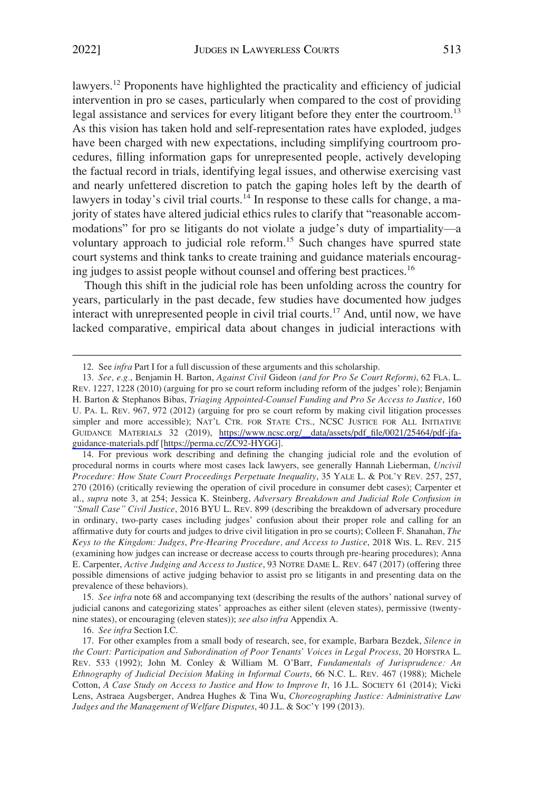lawyers.12 Proponents have highlighted the practicality and efficiency of judicial intervention in pro se cases, particularly when compared to the cost of providing legal assistance and services for every litigant before they enter the courtroom.<sup>13</sup> As this vision has taken hold and self-representation rates have exploded, judges have been charged with new expectations, including simplifying courtroom procedures, filling information gaps for unrepresented people, actively developing the factual record in trials, identifying legal issues, and otherwise exercising vast and nearly unfettered discretion to patch the gaping holes left by the dearth of lawyers in today's civil trial courts.<sup>14</sup> In response to these calls for change, a majority of states have altered judicial ethics rules to clarify that "reasonable accommodations" for pro se litigants do not violate a judge's duty of impartiality—a voluntary approach to judicial role reform.<sup>15</sup> Such changes have spurred state court systems and think tanks to create training and guidance materials encouraging judges to assist people without counsel and offering best practices.<sup>16</sup>

Though this shift in the judicial role has been unfolding across the country for years, particularly in the past decade, few studies have documented how judges interact with unrepresented people in civil trial courts.<sup>17</sup> And, until now, we have lacked comparative, empirical data about changes in judicial interactions with

14. For previous work describing and defining the changing judicial role and the evolution of procedural norms in courts where most cases lack lawyers, see generally Hannah Lieberman, *Uncivil Procedure: How State Court Proceedings Perpetuate Inequality*, 35 YALE L. & POL'Y REV. 257, 257, 270 (2016) (critically reviewing the operation of civil procedure in consumer debt cases); Carpenter et al., *supra* note 3, at 254; Jessica K. Steinberg, *Adversary Breakdown and Judicial Role Confusion in "Small Case" Civil Justice*, 2016 BYU L. REV. 899 (describing the breakdown of adversary procedure in ordinary, two-party cases including judges' confusion about their proper role and calling for an affirmative duty for courts and judges to drive civil litigation in pro se courts); Colleen F. Shanahan, *The Keys to the Kingdom: Judges*, *Pre-Hearing Procedure, and Access to Justice*, 2018 WIS. L. REV. 215 (examining how judges can increase or decrease access to courts through pre-hearing procedures); Anna E. Carpenter, *Active Judging and Access to Justice*, 93 NOTRE DAME L. REV. 647 (2017) (offering three possible dimensions of active judging behavior to assist pro se litigants in and presenting data on the prevalence of these behaviors).

15. *See infra* note 68 and accompanying text (describing the results of the authors' national survey of judicial canons and categorizing states' approaches as either silent (eleven states), permissive (twentynine states), or encouraging (eleven states)); *see also infra* Appendix A.

16. *See infra* Section I.C.

<sup>12.</sup> See *infra* Part I for a full discussion of these arguments and this scholarship.

*See, e.g.*, Benjamin H. Barton, *Against Civil* Gideon *(and for Pro Se Court Reform)*, 62 FLA. L. 13. REV. 1227, 1228 (2010) (arguing for pro se court reform including reform of the judges' role); Benjamin H. Barton & Stephanos Bibas, *Triaging Appointed-Counsel Funding and Pro Se Access to Justice*, 160 U. PA. L. REV. 967, 972 (2012) (arguing for pro se court reform by making civil litigation processes simpler and more accessible); NAT'L CTR. FOR STATE CTS., NCSC JUSTICE FOR ALL INITIATIVE GUIDANCE MATERIALS 32 (2019), [https://www.ncsc.org/\\_\\_data/assets/pdf\\_file/0021/25464/pdf-jfa](https://www.ncsc.org/__data/assets/pdf_file/0021/25464/pdf-jfa-guidance-materials.pdf)[guidance-materials.pdf](https://www.ncsc.org/__data/assets/pdf_file/0021/25464/pdf-jfa-guidance-materials.pdf) [\[https://perma.cc/ZC92-HYGG\]](https://perma.cc/ZC92-HYGG).

<sup>17.</sup> For other examples from a small body of research, see, for example, Barbara Bezdek, *Silence in the Court: Participation and Subordination of Poor Tenants' Voices in Legal Process*, 20 HOFSTRA L. REV. 533 (1992); John M. Conley & William M. O'Barr, *Fundamentals of Jurisprudence: An Ethnography of Judicial Decision Making in Informal Courts*, 66 N.C. L. REV. 467 (1988); Michele Cotton, *A Case Study on Access to Justice and How to Improve It*, 16 J.L. SOCIETY 61 (2014); Vicki Lens, Astraea Augsberger, Andrea Hughes & Tina Wu, *Choreographing Justice: Administrative Law Judges and the Management of Welfare Disputes*, 40 J.L. & SOC'Y 199 (2013).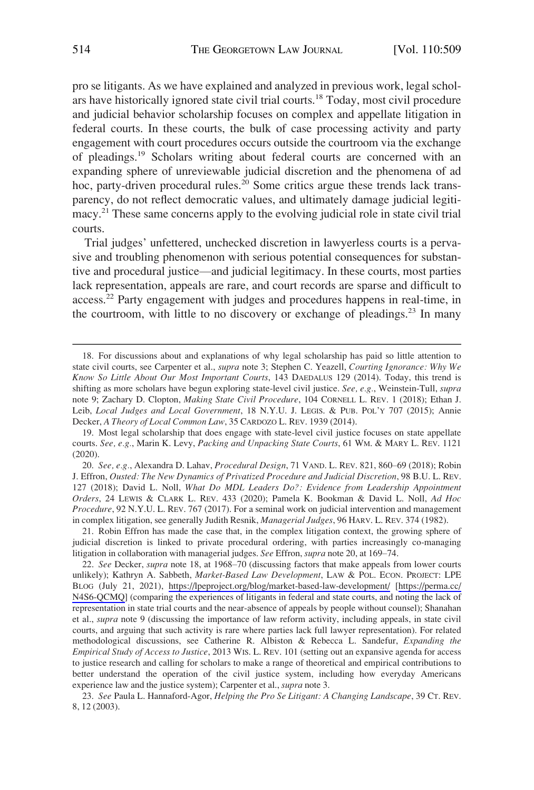pro se litigants. As we have explained and analyzed in previous work, legal scholars have historically ignored state civil trial courts.18 Today, most civil procedure and judicial behavior scholarship focuses on complex and appellate litigation in federal courts. In these courts, the bulk of case processing activity and party engagement with court procedures occurs outside the courtroom via the exchange of pleadings.19 Scholars writing about federal courts are concerned with an expanding sphere of unreviewable judicial discretion and the phenomena of ad hoc, party-driven procedural rules.<sup>20</sup> Some critics argue these trends lack transparency, do not reflect democratic values, and ultimately damage judicial legitimacy.21 These same concerns apply to the evolving judicial role in state civil trial courts.

Trial judges' unfettered, unchecked discretion in lawyerless courts is a pervasive and troubling phenomenon with serious potential consequences for substantive and procedural justice—and judicial legitimacy. In these courts, most parties lack representation, appeals are rare, and court records are sparse and difficult to access.<sup>22</sup> Party engagement with judges and procedures happens in real-time, in the courtroom, with little to no discovery or exchange of pleadings.<sup>23</sup> In many

20. *See, e.g.*, Alexandra D. Lahav, *Procedural Design*, 71 VAND. L. REV. 821, 860–69 (2018); Robin J. Effron, *Ousted: The New Dynamics of Privatized Procedure and Judicial Discretion*, 98 B.U. L. REV. 127 (2018); David L. Noll, *What Do MDL Leaders Do?: Evidence from Leadership Appointment Orders*, 24 LEWIS & CLARK L. REV. 433 (2020); Pamela K. Bookman & David L. Noll, *Ad Hoc Procedure*, 92 N.Y.U. L. REV. 767 (2017). For a seminal work on judicial intervention and management in complex litigation, see generally Judith Resnik, *Managerial Judges*, 96 HARV. L. REV. 374 (1982).

21. Robin Effron has made the case that, in the complex litigation context, the growing sphere of judicial discretion is linked to private procedural ordering, with parties increasingly co-managing litigation in collaboration with managerial judges. *See* Effron, *supra* note 20, at 169–74.

22. See Decker, *supra* note 18, at 1968–70 (discussing factors that make appeals from lower courts unlikely); Kathryn A. Sabbeth, *Market-Based Law Development*, LAW & POL. ECON. PROJECT: LPE BLOG (July 21, 2021), <https://lpeproject.org/blog/market-based-law-development/> [[https://perma.cc/](https://perma.cc/N4S6-QCMQ)  [N4S6-QCMQ\]](https://perma.cc/N4S6-QCMQ) (comparing the experiences of litigants in federal and state courts, and noting the lack of representation in state trial courts and the near-absence of appeals by people without counsel); Shanahan et al., *supra* note 9 (discussing the importance of law reform activity, including appeals, in state civil courts, and arguing that such activity is rare where parties lack full lawyer representation). For related methodological discussions, see Catherine R. Albiston & Rebecca L. Sandefur, *Expanding the Empirical Study of Access to Justice*, 2013 WIS. L. REV. 101 (setting out an expansive agenda for access to justice research and calling for scholars to make a range of theoretical and empirical contributions to better understand the operation of the civil justice system, including how everyday Americans experience law and the justice system); Carpenter et al., *supra* note 3.

23. *See* Paula L. Hannaford-Agor, *Helping the Pro Se Litigant: A Changing Landscape*, 39 CT. REV. 8, 12 (2003).

<sup>18.</sup> For discussions about and explanations of why legal scholarship has paid so little attention to state civil courts, see Carpenter et al., *supra* note 3; Stephen C. Yeazell, *Courting Ignorance: Why We Know So Little About Our Most Important Courts*, 143 DAEDALUS 129 (2014). Today, this trend is shifting as more scholars have begun exploring state-level civil justice. *See, e.g.*, Weinstein-Tull, *supra*  note 9; Zachary D. Clopton, *Making State Civil Procedure*, 104 CORNELL L. REV. 1 (2018); Ethan J. Leib, *Local Judges and Local Government*, 18 N.Y.U. J. LEGIS. & PUB. POL'Y 707 (2015); Annie Decker, *A Theory of Local Common Law*, 35 CARDOZO L. REV. 1939 (2014).

<sup>19.</sup> Most legal scholarship that does engage with state-level civil justice focuses on state appellate courts. *See, e.g.*, Marin K. Levy, *Packing and Unpacking State Courts*, 61 WM. & MARY L. REV. 1121 (2020).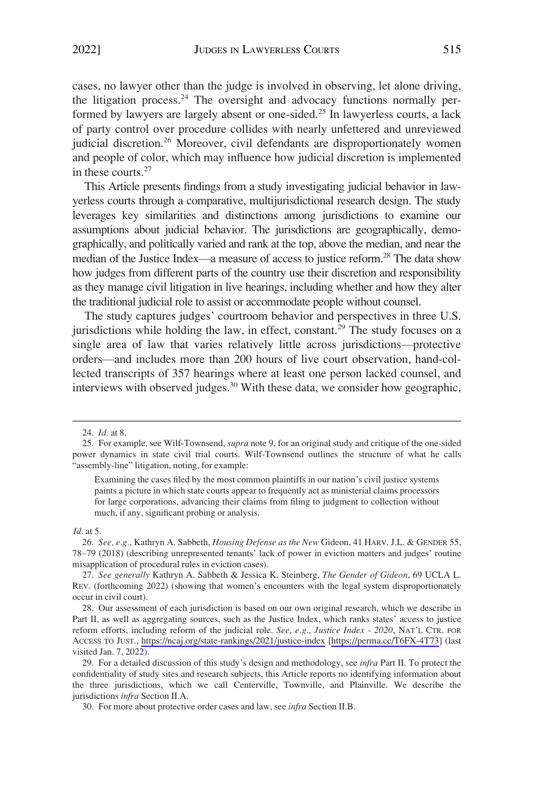cases, no lawyer other than the judge is involved in observing, let alone driving, the litigation process. $^{24}$  The oversight and advocacy functions normally performed by lawyers are largely absent or one-sided.<sup>25</sup> In lawyerless courts, a lack of party control over procedure collides with nearly unfettered and unreviewed judicial discretion.<sup>26</sup> Moreover, civil defendants are disproportionately women and people of color, which may influence how judicial discretion is implemented in these courts.<sup>27</sup>

This Article presents findings from a study investigating judicial behavior in lawyerless courts through a comparative, multijurisdictional research design. The study leverages key similarities and distinctions among jurisdictions to examine our assumptions about judicial behavior. The jurisdictions are geographically, demographically, and politically varied and rank at the top, above the median, and near the median of the Justice Index—a measure of access to justice reform.<sup>28</sup> The data show how judges from different parts of the country use their discretion and responsibility as they manage civil litigation in live hearings, including whether and how they alter the traditional judicial role to assist or accommodate people without counsel.

The study captures judges' courtroom behavior and perspectives in three U.S. jurisdictions while holding the law, in effect, constant.<sup>29</sup> The study focuses on a single area of law that varies relatively little across jurisdictions—protective orders—and includes more than 200 hours of live court observation, hand-collected transcripts of 357 hearings where at least one person lacked counsel, and interviews with observed judges.30 With these data, we consider how geographic,

Examining the cases filed by the most common plaintiffs in our nation's civil justice systems paints a picture in which state courts appear to frequently act as ministerial claims processors for large corporations, advancing their claims from filing to judgment to collection without much, if any, significant probing or analysis.

#### *Id.* at 5.

<sup>24.</sup> *Id.* at 8.

<sup>25.</sup> For example, see Wilf-Townsend, *supra* note 9, for an original study and critique of the one-sided power dynamics in state civil trial courts. Wilf-Townsend outlines the structure of what he calls "assembly-line" litigation, noting, for example:

<sup>26.</sup> *See, e.g.*, Kathryn A. Sabbeth, *Housing Defense as the New* Gideon, 41 HARV. J.L. & GENDER 55, 78–79 (2018) (describing unrepresented tenants' lack of power in eviction matters and judges' routine misapplication of procedural rules in eviction cases).

<sup>27.</sup> *See generally* Kathryn A. Sabbeth & Jessica K. Steinberg, *The Gender of Gideon*, 69 UCLA L. REV. (forthcoming 2022) (showing that women's encounters with the legal system disproportionately occur in civil court).

<sup>28.</sup> Our assessment of each jurisdiction is based on our own original research, which we describe in Part II, as well as aggregating sources, such as the Justice Index, which ranks states' access to justice reform efforts, including reform of the judicial role. *See, e.g.*, *Justice Index - 2020*, NAT'L CTR. FOR ACCESS TO JUST., <https://ncaj.org/state-rankings/2021/justice-index> [[https://perma.cc/T6FX-4T73\]](https://perma.cc/T6FX-4T73) (last visited Jan. 7, 2022).

<sup>29.</sup> For a detailed discussion of this study's design and methodology, see *infra* Part II. To protect the confidentiality of study sites and research subjects, this Article reports no identifying information about the three jurisdictions, which we call Centerville, Townville, and Plainville. We describe the jurisdictions *infra* Section II.A.

<sup>30.</sup> For more about protective order cases and law, see *infra* Section II.B.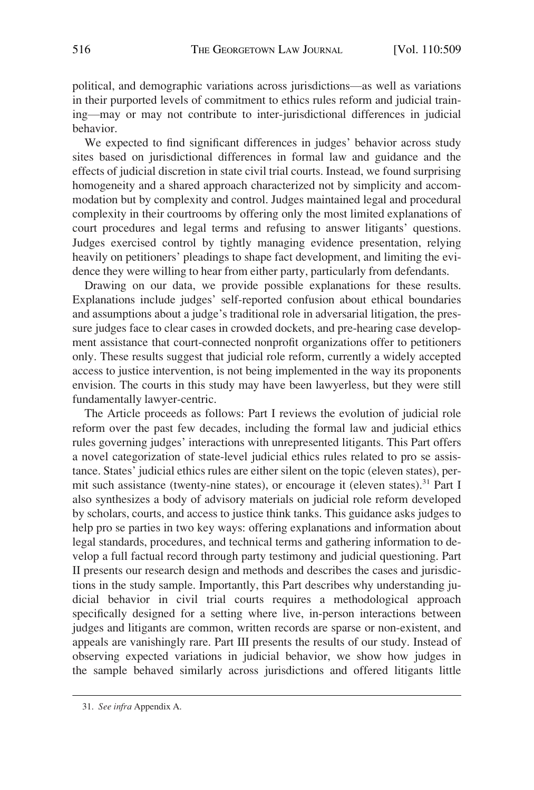political, and demographic variations across jurisdictions—as well as variations in their purported levels of commitment to ethics rules reform and judicial training—may or may not contribute to inter-jurisdictional differences in judicial behavior.

We expected to find significant differences in judges' behavior across study sites based on jurisdictional differences in formal law and guidance and the effects of judicial discretion in state civil trial courts. Instead, we found surprising homogeneity and a shared approach characterized not by simplicity and accommodation but by complexity and control. Judges maintained legal and procedural complexity in their courtrooms by offering only the most limited explanations of court procedures and legal terms and refusing to answer litigants' questions. Judges exercised control by tightly managing evidence presentation, relying heavily on petitioners' pleadings to shape fact development, and limiting the evidence they were willing to hear from either party, particularly from defendants.

Drawing on our data, we provide possible explanations for these results. Explanations include judges' self-reported confusion about ethical boundaries and assumptions about a judge's traditional role in adversarial litigation, the pressure judges face to clear cases in crowded dockets, and pre-hearing case development assistance that court-connected nonprofit organizations offer to petitioners only. These results suggest that judicial role reform, currently a widely accepted access to justice intervention, is not being implemented in the way its proponents envision. The courts in this study may have been lawyerless, but they were still fundamentally lawyer-centric.

The Article proceeds as follows: Part I reviews the evolution of judicial role reform over the past few decades, including the formal law and judicial ethics rules governing judges' interactions with unrepresented litigants. This Part offers a novel categorization of state-level judicial ethics rules related to pro se assistance. States' judicial ethics rules are either silent on the topic (eleven states), permit such assistance (twenty-nine states), or encourage it (eleven states).<sup>31</sup> Part I also synthesizes a body of advisory materials on judicial role reform developed by scholars, courts, and access to justice think tanks. This guidance asks judges to help pro se parties in two key ways: offering explanations and information about legal standards, procedures, and technical terms and gathering information to develop a full factual record through party testimony and judicial questioning. Part II presents our research design and methods and describes the cases and jurisdictions in the study sample. Importantly, this Part describes why understanding judicial behavior in civil trial courts requires a methodological approach specifically designed for a setting where live, in-person interactions between judges and litigants are common, written records are sparse or non-existent, and appeals are vanishingly rare. Part III presents the results of our study. Instead of observing expected variations in judicial behavior, we show how judges in the sample behaved similarly across jurisdictions and offered litigants little

<sup>31.</sup> *See infra* Appendix A.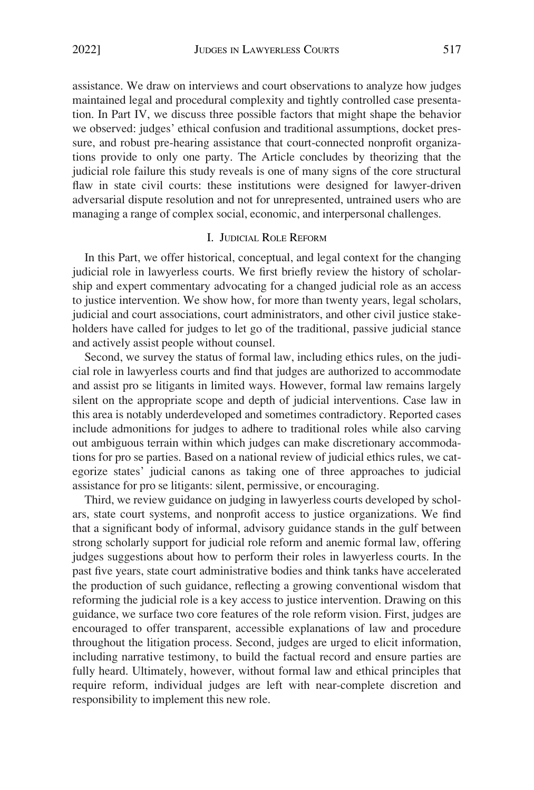<span id="page-9-0"></span>assistance. We draw on interviews and court observations to analyze how judges maintained legal and procedural complexity and tightly controlled case presentation. In Part IV, we discuss three possible factors that might shape the behavior we observed: judges' ethical confusion and traditional assumptions, docket pressure, and robust pre-hearing assistance that court-connected nonprofit organizations provide to only one party. The Article concludes by theorizing that the judicial role failure this study reveals is one of many signs of the core structural flaw in state civil courts: these institutions were designed for lawyer-driven adversarial dispute resolution and not for unrepresented, untrained users who are managing a range of complex social, economic, and interpersonal challenges.

#### I. JUDICIAL ROLE REFORM

In this Part, we offer historical, conceptual, and legal context for the changing judicial role in lawyerless courts. We first briefly review the history of scholarship and expert commentary advocating for a changed judicial role as an access to justice intervention. We show how, for more than twenty years, legal scholars, judicial and court associations, court administrators, and other civil justice stakeholders have called for judges to let go of the traditional, passive judicial stance and actively assist people without counsel.

Second, we survey the status of formal law, including ethics rules, on the judicial role in lawyerless courts and find that judges are authorized to accommodate and assist pro se litigants in limited ways. However, formal law remains largely silent on the appropriate scope and depth of judicial interventions. Case law in this area is notably underdeveloped and sometimes contradictory. Reported cases include admonitions for judges to adhere to traditional roles while also carving out ambiguous terrain within which judges can make discretionary accommodations for pro se parties. Based on a national review of judicial ethics rules, we categorize states' judicial canons as taking one of three approaches to judicial assistance for pro se litigants: silent, permissive, or encouraging.

Third, we review guidance on judging in lawyerless courts developed by scholars, state court systems, and nonprofit access to justice organizations. We find that a significant body of informal, advisory guidance stands in the gulf between strong scholarly support for judicial role reform and anemic formal law, offering judges suggestions about how to perform their roles in lawyerless courts. In the past five years, state court administrative bodies and think tanks have accelerated the production of such guidance, reflecting a growing conventional wisdom that reforming the judicial role is a key access to justice intervention. Drawing on this guidance, we surface two core features of the role reform vision. First, judges are encouraged to offer transparent, accessible explanations of law and procedure throughout the litigation process. Second, judges are urged to elicit information, including narrative testimony, to build the factual record and ensure parties are fully heard. Ultimately, however, without formal law and ethical principles that require reform, individual judges are left with near-complete discretion and responsibility to implement this new role.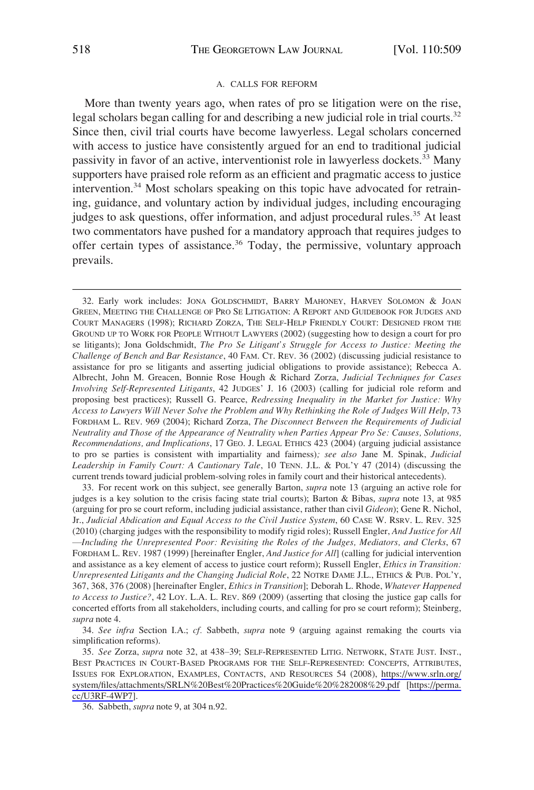#### A. CALLS FOR REFORM

<span id="page-10-0"></span>More than twenty years ago, when rates of pro se litigation were on the rise, legal scholars began calling for and describing a new judicial role in trial courts.<sup>32</sup> Since then, civil trial courts have become lawyerless. Legal scholars concerned with access to justice have consistently argued for an end to traditional judicial passivity in favor of an active, interventionist role in lawyerless dockets.33 Many supporters have praised role reform as an efficient and pragmatic access to justice intervention.<sup>34</sup> Most scholars speaking on this topic have advocated for retraining, guidance, and voluntary action by individual judges, including encouraging judges to ask questions, offer information, and adjust procedural rules.<sup>35</sup> At least two commentators have pushed for a mandatory approach that requires judges to offer certain types of assistance.<sup>36</sup> Today, the permissive, voluntary approach prevails.

33. For recent work on this subject, see generally Barton, *supra* note 13 (arguing an active role for judges is a key solution to the crisis facing state trial courts); Barton & Bibas, *supra* note 13, at 985 (arguing for pro se court reform, including judicial assistance, rather than civil *Gideon*); Gene R. Nichol, Jr., *Judicial Abdication and Equal Access to the Civil Justice System*, 60 CASE W. RSRV. L. REV. 325 (2010) (charging judges with the responsibility to modify rigid roles); Russell Engler, *And Justice for All* 

—*Including the Unrepresented Poor: Revisiting the Roles of the Judges, Mediators, and Clerks*, 67 FORDHAM L. REV. 1987 (1999) [hereinafter Engler, *And Justice for All*] (calling for judicial intervention and assistance as a key element of access to justice court reform); Russell Engler, *Ethics in Transition: Unrepresented Litigants and the Changing Judicial Role*, 22 NOTRE DAME J.L., ETHICS & PUB. POL'Y, 367, 368, 376 (2008) [hereinafter Engler, *Ethics in Transition*]; Deborah L. Rhode, *Whatever Happened to Access to Justice?*, 42 LOY. L.A. L. REV. 869 (2009) (asserting that closing the justice gap calls for concerted efforts from all stakeholders, including courts, and calling for pro se court reform); Steinberg, *supra* note 4.

34. *See infra* Section I.A.; *cf.* Sabbeth, *supra* note 9 (arguing against remaking the courts via simplification reforms).

*See* Zorza, *supra* note 32, at 438–39; SELF-REPRESENTED LITIG. NETWORK, STATE JUST. INST., 35. BEST PRACTICES IN COURT-BASED PROGRAMS FOR THE SELF-REPRESENTED: CONCEPTS, ATTRIBUTES, ISSUES FOR EXPLORATION, EXAMPLES, CONTACTS, AND RESOURCES 54 (2008), [https://www.srln.org/](https://www.srln.org/system/files/attachments/SRLN&hx0025;20Best&hx0025;&hx0025;20Practices&hx0025;20Guide&hx0025;20&hx0025;282008&hx0025;29.pdf)  [system/files/attachments/SRLN%20Best%20Practices%20Guide%20%282008%29.pdf](https://www.srln.org/system/files/attachments/SRLN%20Best%20Practices%20Guide%20%282008%29.pdf) [[https://perma.](https://perma.cc/U3RF-4WP7)  [cc/U3RF-4WP7\]](https://perma.cc/U3RF-4WP7).

36. Sabbeth, *supra* note 9, at 304 n.92.

<sup>32.</sup> Early work includes: JONA GOLDSCHMIDT, BARRY MAHONEY, HARVEY SOLOMON & JOAN GREEN, MEETING THE CHALLENGE OF PRO SE LITIGATION: A REPORT AND GUIDEBOOK FOR JUDGES AND COURT MANAGERS (1998); RICHARD ZORZA, THE SELF-HELP FRIENDLY COURT: DESIGNED FROM THE GROUND UP TO WORK FOR PEOPLE WITHOUT LAWYERS (2002) (suggesting how to design a court for pro se litigants); Jona Goldschmidt, *The Pro Se Litigant's Struggle for Access to Justice: Meeting the Challenge of Bench and Bar Resistance*, 40 FAM. CT. REV. 36 (2002) (discussing judicial resistance to assistance for pro se litigants and asserting judicial obligations to provide assistance); Rebecca A. Albrecht, John M. Greacen, Bonnie Rose Hough & Richard Zorza, *Judicial Techniques for Cases Involving Self-Represented Litigants*, 42 JUDGES' J. 16 (2003) (calling for judicial role reform and proposing best practices); Russell G. Pearce, *Redressing Inequality in the Market for Justice: Why Access to Lawyers Will Never Solve the Problem and Why Rethinking the Role of Judges Will Help*, 73 FORDHAM L. REV. 969 (2004); Richard Zorza, *The Disconnect Between the Requirements of Judicial Neutrality and Those of the Appearance of Neutrality when Parties Appear Pro Se: Causes, Solutions, Recommendations, and Implications*, 17 GEO. J. LEGAL ETHICS 423 (2004) (arguing judicial assistance to pro se parties is consistent with impartiality and fairness)*; see also* Jane M. Spinak, *Judicial Leadership in Family Court: A Cautionary Tale*, 10 TENN. J.L. & POL'Y 47 (2014) (discussing the current trends toward judicial problem-solving roles in family court and their historical antecedents).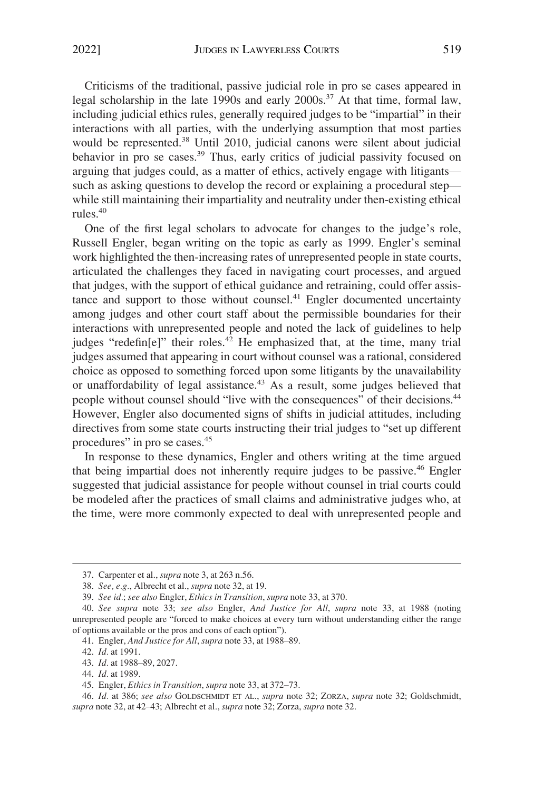Criticisms of the traditional, passive judicial role in pro se cases appeared in legal scholarship in the late 1990s and early  $2000s$ .<sup>37</sup> At that time, formal law, including judicial ethics rules, generally required judges to be "impartial" in their interactions with all parties, with the underlying assumption that most parties would be represented.38 Until 2010, judicial canons were silent about judicial behavior in pro se cases.<sup>39</sup> Thus, early critics of judicial passivity focused on arguing that judges could, as a matter of ethics, actively engage with litigants such as asking questions to develop the record or explaining a procedural step while still maintaining their impartiality and neutrality under then-existing ethical rules.40

One of the first legal scholars to advocate for changes to the judge's role, Russell Engler, began writing on the topic as early as 1999. Engler's seminal work highlighted the then-increasing rates of unrepresented people in state courts, articulated the challenges they faced in navigating court processes, and argued that judges, with the support of ethical guidance and retraining, could offer assistance and support to those without counsel. $41$  Engler documented uncertainty among judges and other court staff about the permissible boundaries for their interactions with unrepresented people and noted the lack of guidelines to help judges "redefin $[e]$ " their roles.<sup>42</sup> He emphasized that, at the time, many trial judges assumed that appearing in court without counsel was a rational, considered choice as opposed to something forced upon some litigants by the unavailability or unaffordability of legal assistance.<sup>43</sup> As a result, some judges believed that people without counsel should "live with the consequences" of their decisions.<sup>44</sup> However, Engler also documented signs of shifts in judicial attitudes, including directives from some state courts instructing their trial judges to "set up different procedures" in pro se cases.<sup>45</sup>

In response to these dynamics, Engler and others writing at the time argued that being impartial does not inherently require judges to be passive.<sup>46</sup> Engler suggested that judicial assistance for people without counsel in trial courts could be modeled after the practices of small claims and administrative judges who, at the time, were more commonly expected to deal with unrepresented people and

<sup>37.</sup> Carpenter et al., *supra* note 3, at 263 n.56.

<sup>38.</sup> *See, e.g.*, Albrecht et al., *supra* note 32, at 19.

<sup>39.</sup> *See id.*; *see also* Engler, *Ethics in Transition*, *supra* note 33, at 370.

<sup>40.</sup> *See supra* note 33; *see also* Engler, *And Justice for All*, *supra* note 33, at 1988 (noting unrepresented people are "forced to make choices at every turn without understanding either the range of options available or the pros and cons of each option").

<sup>41.</sup> Engler, *And Justice for All*, *supra* note 33, at 1988–89.

<sup>42.</sup> *Id.* at 1991.

<sup>43.</sup> *Id.* at 1988–89, 2027.

<sup>44.</sup> *Id.* at 1989.

<sup>45.</sup> Engler, *Ethics in Transition*, *supra* note 33, at 372–73.

<sup>46.</sup> *Id.* at 386; *see also* GOLDSCHMIDT ET AL., *supra* note 32; ZORZA, *supra* note 32; Goldschmidt, *supra* note 32, at 42–43; Albrecht et al., *supra* note 32; Zorza, *supra* note 32.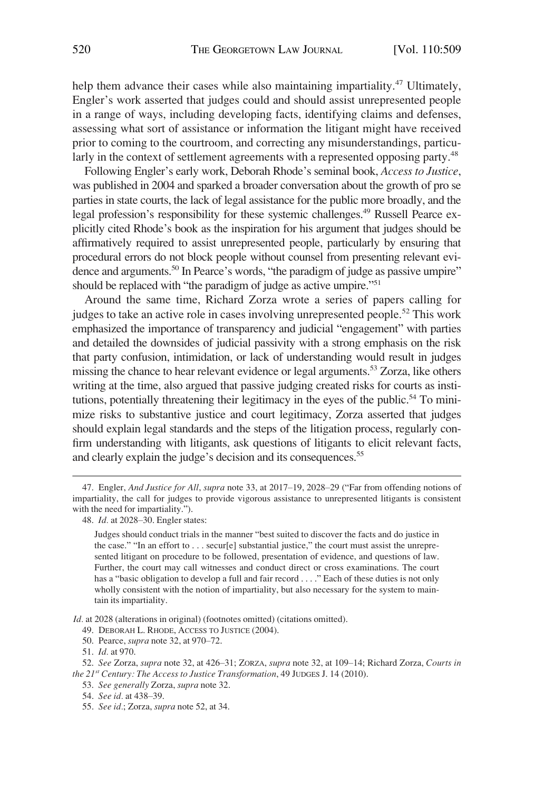help them advance their cases while also maintaining impartiality.<sup>47</sup> Ultimately, Engler's work asserted that judges could and should assist unrepresented people in a range of ways, including developing facts, identifying claims and defenses, assessing what sort of assistance or information the litigant might have received prior to coming to the courtroom, and correcting any misunderstandings, particularly in the context of settlement agreements with a represented opposing party.<sup>48</sup>

Following Engler's early work, Deborah Rhode's seminal book, *Access to Justice*, was published in 2004 and sparked a broader conversation about the growth of pro se parties in state courts, the lack of legal assistance for the public more broadly, and the legal profession's responsibility for these systemic challenges.49 Russell Pearce explicitly cited Rhode's book as the inspiration for his argument that judges should be affirmatively required to assist unrepresented people, particularly by ensuring that procedural errors do not block people without counsel from presenting relevant evidence and arguments.<sup>50</sup> In Pearce's words, "the paradigm of judge as passive umpire" should be replaced with "the paradigm of judge as active umpire."<sup>51</sup>

Around the same time, Richard Zorza wrote a series of papers calling for judges to take an active role in cases involving unrepresented people.<sup>52</sup> This work emphasized the importance of transparency and judicial "engagement" with parties and detailed the downsides of judicial passivity with a strong emphasis on the risk that party confusion, intimidation, or lack of understanding would result in judges missing the chance to hear relevant evidence or legal arguments.53 Zorza, like others writing at the time, also argued that passive judging created risks for courts as institutions, potentially threatening their legitimacy in the eyes of the public.<sup>54</sup> To minimize risks to substantive justice and court legitimacy, Zorza asserted that judges should explain legal standards and the steps of the litigation process, regularly confirm understanding with litigants, ask questions of litigants to elicit relevant facts, and clearly explain the judge's decision and its consequences.<sup>55</sup>

*Id.* at 2028 (alterations in original) (footnotes omitted) (citations omitted).

49. DEBORAH L. RHODE, ACCESS TO JUSTICE (2004).

<sup>47.</sup> Engler, *And Justice for All*, *supra* note 33, at 2017–19, 2028–29 ("Far from offending notions of impartiality, the call for judges to provide vigorous assistance to unrepresented litigants is consistent with the need for impartiality.").

<sup>48.</sup> *Id.* at 2028–30. Engler states:

Judges should conduct trials in the manner "best suited to discover the facts and do justice in the case." "In an effort to . . . secur[e] substantial justice," the court must assist the unrepresented litigant on procedure to be followed, presentation of evidence, and questions of law. Further, the court may call witnesses and conduct direct or cross examinations. The court has a "basic obligation to develop a full and fair record . . . . " Each of these duties is not only wholly consistent with the notion of impartiality, but also necessary for the system to maintain its impartiality.

<sup>50.</sup> Pearce, *supra* note 32, at 970–72.

<sup>51.</sup> *Id.* at 970.

<sup>52.</sup> *See* Zorza, *supra* note 32, at 426–31; ZORZA, *supra* note 32, at 109–14; Richard Zorza, *Courts in the 21st Century: The Access to Justice Transformation*, 49 JUDGES J. 14 (2010).

<sup>53.</sup> *See generally* Zorza, *supra* note 32.

<sup>54.</sup> *See id.* at 438–39.

<sup>55.</sup> *See id.*; Zorza, *supra* note 52, at 34.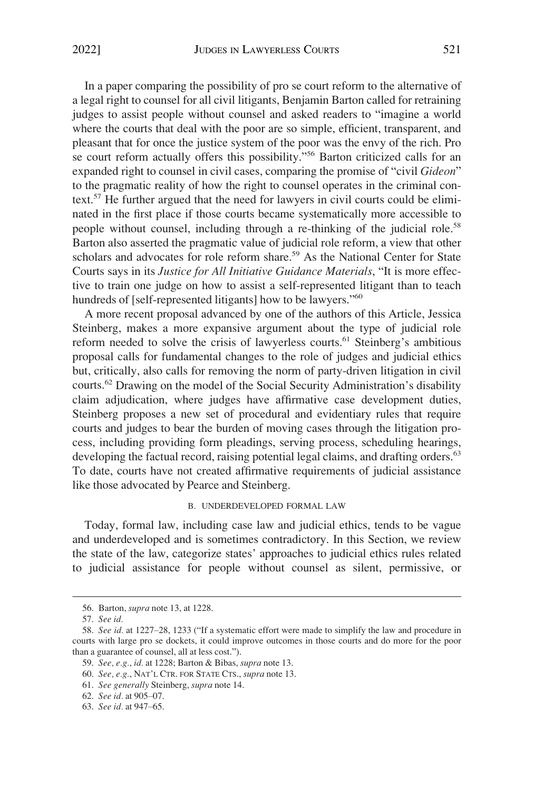<span id="page-13-0"></span>In a paper comparing the possibility of pro se court reform to the alternative of a legal right to counsel for all civil litigants, Benjamin Barton called for retraining judges to assist people without counsel and asked readers to "imagine a world where the courts that deal with the poor are so simple, efficient, transparent, and pleasant that for once the justice system of the poor was the envy of the rich. Pro se court reform actually offers this possibility."<sup>56</sup> Barton criticized calls for an expanded right to counsel in civil cases, comparing the promise of "civil *Gideon*" to the pragmatic reality of how the right to counsel operates in the criminal context.57 He further argued that the need for lawyers in civil courts could be eliminated in the first place if those courts became systematically more accessible to people without counsel, including through a re-thinking of the judicial role.<sup>58</sup> Barton also asserted the pragmatic value of judicial role reform, a view that other scholars and advocates for role reform share.<sup>59</sup> As the National Center for State Courts says in its *Justice for All Initiative Guidance Materials*, "It is more effective to train one judge on how to assist a self-represented litigant than to teach hundreds of [self-represented litigants] how to be lawyers."<sup>60</sup>

A more recent proposal advanced by one of the authors of this Article, Jessica Steinberg, makes a more expansive argument about the type of judicial role reform needed to solve the crisis of lawyerless courts.<sup>61</sup> Steinberg's ambitious proposal calls for fundamental changes to the role of judges and judicial ethics but, critically, also calls for removing the norm of party-driven litigation in civil courts.62 Drawing on the model of the Social Security Administration's disability claim adjudication, where judges have affirmative case development duties, Steinberg proposes a new set of procedural and evidentiary rules that require courts and judges to bear the burden of moving cases through the litigation process, including providing form pleadings, serving process, scheduling hearings, developing the factual record, raising potential legal claims, and drafting orders.<sup>63</sup> To date, courts have not created affirmative requirements of judicial assistance like those advocated by Pearce and Steinberg.

#### B. UNDERDEVELOPED FORMAL LAW

Today, formal law, including case law and judicial ethics, tends to be vague and underdeveloped and is sometimes contradictory. In this Section, we review the state of the law, categorize states' approaches to judicial ethics rules related to judicial assistance for people without counsel as silent, permissive, or

<sup>56.</sup> Barton, *supra* note 13, at 1228.

<sup>57.</sup> *See id.* 

<sup>58.</sup> *See id.* at 1227–28, 1233 ("If a systematic effort were made to simplify the law and procedure in courts with large pro se dockets, it could improve outcomes in those courts and do more for the poor than a guarantee of counsel, all at less cost.").

<sup>59.</sup> *See, e.g.*, *id.* at 1228; Barton & Bibas, *supra* note 13.

<sup>60.</sup> *See, e.g.*, NAT'L CTR. FOR STATE CTS., *supra* note 13.

<sup>61.</sup> *See generally* Steinberg, *supra* note 14.

<sup>62.</sup> *See id.* at 905–07.

<sup>63.</sup> *See id.* at 947–65.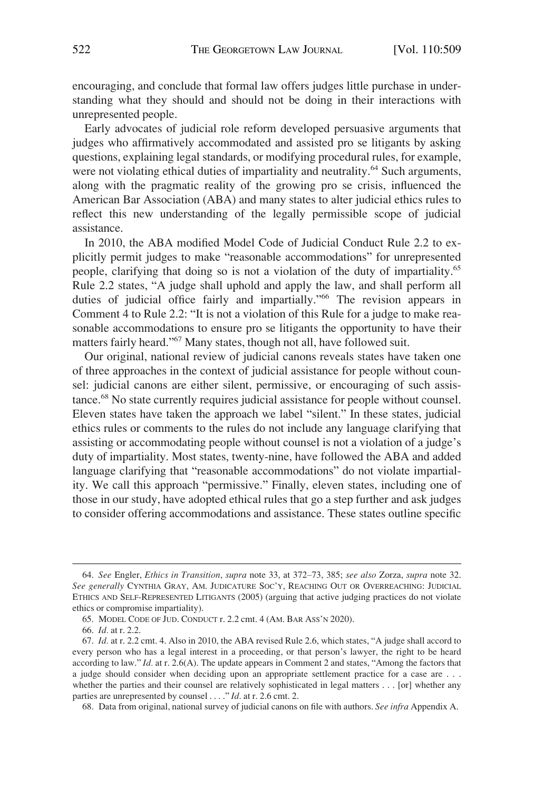encouraging, and conclude that formal law offers judges little purchase in understanding what they should and should not be doing in their interactions with unrepresented people.

Early advocates of judicial role reform developed persuasive arguments that judges who affirmatively accommodated and assisted pro se litigants by asking questions, explaining legal standards, or modifying procedural rules, for example, were not violating ethical duties of impartiality and neutrality.<sup>64</sup> Such arguments, along with the pragmatic reality of the growing pro se crisis, influenced the American Bar Association (ABA) and many states to alter judicial ethics rules to reflect this new understanding of the legally permissible scope of judicial assistance.

In 2010, the ABA modified Model Code of Judicial Conduct Rule 2.2 to explicitly permit judges to make "reasonable accommodations" for unrepresented people, clarifying that doing so is not a violation of the duty of impartiality.65 Rule 2.2 states, "A judge shall uphold and apply the law, and shall perform all duties of judicial office fairly and impartially."<sup>66</sup> The revision appears in Comment 4 to Rule 2.2: "It is not a violation of this Rule for a judge to make reasonable accommodations to ensure pro se litigants the opportunity to have their matters fairly heard."67 Many states, though not all, have followed suit.

Our original, national review of judicial canons reveals states have taken one of three approaches in the context of judicial assistance for people without counsel: judicial canons are either silent, permissive, or encouraging of such assistance.68 No state currently requires judicial assistance for people without counsel. Eleven states have taken the approach we label "silent." In these states, judicial ethics rules or comments to the rules do not include any language clarifying that assisting or accommodating people without counsel is not a violation of a judge's duty of impartiality. Most states, twenty-nine, have followed the ABA and added language clarifying that "reasonable accommodations" do not violate impartiality. We call this approach "permissive." Finally, eleven states, including one of those in our study, have adopted ethical rules that go a step further and ask judges to consider offering accommodations and assistance. These states outline specific

68. Data from original, national survey of judicial canons on file with authors. *See infra* Appendix A.

<sup>64.</sup> *See* Engler, *Ethics in Transition*, *supra* note 33, at 372–73, 385; *see also* Zorza, *supra* note 32. *See generally* CYNTHIA GRAY, AM. JUDICATURE SOC'Y, REACHING OUT OR OVERREACHING: JUDICIAL ETHICS AND SELF-REPRESENTED LITIGANTS (2005) (arguing that active judging practices do not violate ethics or compromise impartiality).

<sup>65.</sup> MODEL CODE OF JUD. CONDUCT r. 2.2 cmt. 4 (AM. BAR ASS'N 2020).

<sup>66.</sup> *Id.* at r. 2.2.

<sup>67.</sup> *Id.* at r. 2.2 cmt. 4. Also in 2010, the ABA revised Rule 2.6, which states, "A judge shall accord to every person who has a legal interest in a proceeding, or that person's lawyer, the right to be heard according to law." *Id.* at r. 2.6(A). The update appears in Comment 2 and states, "Among the factors that a judge should consider when deciding upon an appropriate settlement practice for a case are . . . whether the parties and their counsel are relatively sophisticated in legal matters . . . [or] whether any parties are unrepresented by counsel . . . ." *Id.* at r. 2.6 cmt. 2.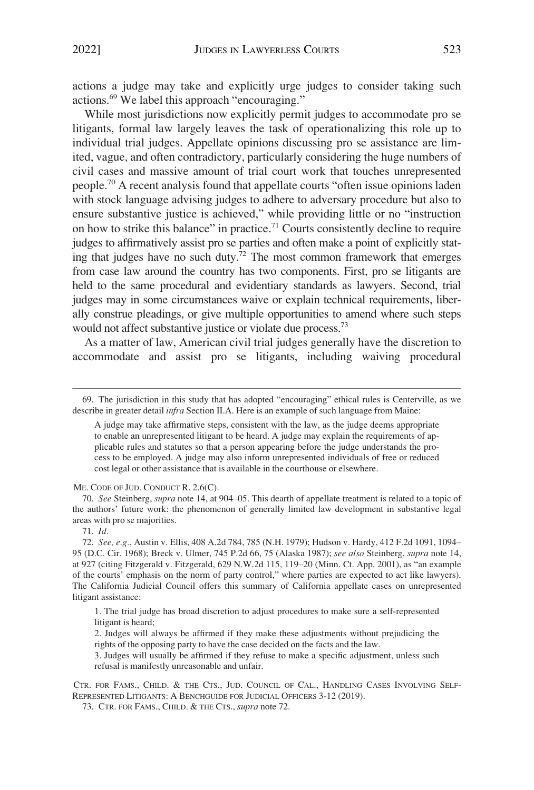actions a judge may take and explicitly urge judges to consider taking such actions.69 We label this approach "encouraging."

While most jurisdictions now explicitly permit judges to accommodate pro se litigants, formal law largely leaves the task of operationalizing this role up to individual trial judges. Appellate opinions discussing pro se assistance are limited, vague, and often contradictory, particularly considering the huge numbers of civil cases and massive amount of trial court work that touches unrepresented people.<sup>70</sup> A recent analysis found that appellate courts "often issue opinions laden with stock language advising judges to adhere to adversary procedure but also to ensure substantive justice is achieved," while providing little or no "instruction on how to strike this balance" in practice.<sup>71</sup> Courts consistently decline to require judges to affirmatively assist pro se parties and often make a point of explicitly stating that judges have no such duty.<sup>72</sup> The most common framework that emerges from case law around the country has two components. First, pro se litigants are held to the same procedural and evidentiary standards as lawyers. Second, trial judges may in some circumstances waive or explain technical requirements, liberally construe pleadings, or give multiple opportunities to amend where such steps would not affect substantive justice or violate due process.<sup>73</sup>

As a matter of law, American civil trial judges generally have the discretion to accommodate and assist pro se litigants, including waiving procedural

A judge may take affirmative steps, consistent with the law, as the judge deems appropriate to enable an unrepresented litigant to be heard. A judge may explain the requirements of applicable rules and statutes so that a person appearing before the judge understands the process to be employed. A judge may also inform unrepresented individuals of free or reduced cost legal or other assistance that is available in the courthouse or elsewhere.

ME. CODE OF JUD. CONDUCT R. 2.6(C).

70. *See* Steinberg, *supra* note 14, at 904–05. This dearth of appellate treatment is related to a topic of the authors' future work: the phenomenon of generally limited law development in substantive legal areas with pro se majorities.

71. *Id.* 

1. The trial judge has broad discretion to adjust procedures to make sure a self-represented litigant is heard;

3. Judges will usually be affirmed if they refuse to make a specific adjustment, unless such refusal is manifestly unreasonable and unfair.

CTR. FOR FAMS., CHILD. & THE CTS., JUD. COUNCIL OF CAL., HANDLING CASES INVOLVING SELF-REPRESENTED LITIGANTS: A BENCHGUIDE FOR JUDICIAL OFFICERS 3-12 (2019).

<sup>69.</sup> The jurisdiction in this study that has adopted "encouraging" ethical rules is Centerville, as we describe in greater detail *infra* Section II.A. Here is an example of such language from Maine:

<sup>72.</sup> *See, e.g.*, Austin v. Ellis, 408 A.2d 784, 785 (N.H. 1979); Hudson v. Hardy, 412 F.2d 1091, 1094– 95 (D.C. Cir. 1968); Breck v. Ulmer, 745 P.2d 66, 75 (Alaska 1987); *see also* Steinberg, *supra* note 14, at 927 (citing Fitzgerald v. Fitzgerald, 629 N.W.2d 115, 119–20 (Minn. Ct. App. 2001), as "an example of the courts' emphasis on the norm of party control," where parties are expected to act like lawyers). The California Judicial Council offers this summary of California appellate cases on unrepresented litigant assistance:

<sup>2.</sup> Judges will always be affirmed if they make these adjustments without prejudicing the rights of the opposing party to have the case decided on the facts and the law.

<sup>73.</sup> CTR. FOR FAMS., CHILD. & THE CTS., *supra* note 72.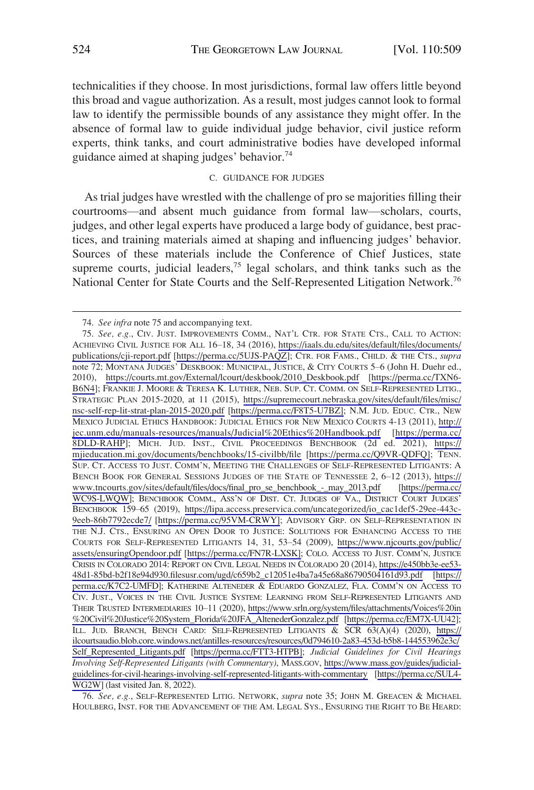<span id="page-16-0"></span>technicalities if they choose. In most jurisdictions, formal law offers little beyond this broad and vague authorization. As a result, most judges cannot look to formal law to identify the permissible bounds of any assistance they might offer. In the absence of formal law to guide individual judge behavior, civil justice reform experts, think tanks, and court administrative bodies have developed informal guidance aimed at shaping judges' behavior.<sup>74</sup>

#### C. GUIDANCE FOR JUDGES

As trial judges have wrestled with the challenge of pro se majorities filling their courtrooms—and absent much guidance from formal law—scholars, courts, judges, and other legal experts have produced a large body of guidance, best practices, and training materials aimed at shaping and influencing judges' behavior. Sources of these materials include the Conference of Chief Justices, state supreme courts, judicial leaders, $75$  legal scholars, and think tanks such as the National Center for State Courts and the Self-Represented Litigation Network.<sup>76</sup>

76. *See, e.g.*, SELF-REPRESENTED LITIG. NETWORK, *supra* note 35; JOHN M. GREACEN & MICHAEL HOULBERG, INST. FOR THE ADVANCEMENT OF THE AM. LEGAL SYS., ENSURING THE RIGHT TO BE HEARD:

<sup>74.</sup> *See infra* note 75 and accompanying text.

*See, e.g.*, CIV. JUST. IMPROVEMENTS COMM., NAT'L CTR. FOR STATE CTS., CALL TO ACTION: 75. ACHIEVING CIVIL JUSTICE FOR ALL 16–18, 34 (2016), [https://iaals.du.edu/sites/default/files/documents/](https://iaals.du.edu/sites/default/files/documents/publications/cji-report.pdf)  [publications/cji-report.pdf](https://iaals.du.edu/sites/default/files/documents/publications/cji-report.pdf) [<https://perma.cc/5UJS-PAQZ>]; CTR. FOR FAMS., CHILD. & THE CTS., *supra*  note 72; MONTANA JUDGES' DESKBOOK: MUNICIPAL, JUSTICE, & CITY COURTS 5–6 (John H. Duehr ed., 2010), [https://courts.mt.gov/External/lcourt/deskbook/2010\\_Deskbook.pdf](https://courts.mt.gov/External/lcourt/deskbook/2010_Deskbook.pdf) [\[https://perma.cc/TXN6-](https://perma.cc/TXN6-B6N4)  [B6N4](https://perma.cc/TXN6-B6N4)]; FRANKIE J. MOORE & TERESA K. LUTHER, NEB. SUP. CT. COMM. ON SELF-REPRESENTED LITIG., STRATEGIC PLAN 2015-2020, at 11 (2015), [https://supremecourt.nebraska.gov/sites/default/files/misc/](https://supremecourt.nebraska.gov/sites/default/files/misc/nsc-self-rep-lit-strat-plan-2015-2020.pdf)  [nsc-self-rep-lit-strat-plan-2015-2020.pdf](https://supremecourt.nebraska.gov/sites/default/files/misc/nsc-self-rep-lit-strat-plan-2015-2020.pdf) [\[https://perma.cc/F8T5-U7BZ\];](https://perma.cc/F8T5-U7BZ) N.M. JUD. EDUC. CTR., NEW MEXICO JUDICIAL ETHICS HANDBOOK: JUDICIAL ETHICS FOR NEW MEXICO COURTS 4-13 (2011), [http://](http://jec.unm.edu/manuals-resources/manuals/Judicial%20Ethics%20Handbook.pdf) [jec.unm.edu/manuals-resources/manuals/Judicial%20Ethics%20Handbook.pdf](http://jec.unm.edu/manuals-resources/manuals/Judicial%20Ethics%20Handbook.pdf) [[https://perma.cc/](https://perma.cc/8DLD-RAHP) [8DLD-RAHP\]](https://perma.cc/8DLD-RAHP); MICH. JUD. INST., CIVIL PROCEEDINGS BENCHBOOK (2d ed. 2021), [https://](https://mjieducation.mi.gov/documents/benchbooks/15-civilbb/file) [mjieducation.mi.gov/documents/benchbooks/15-civilbb/file](https://mjieducation.mi.gov/documents/benchbooks/15-civilbb/file) [[https://perma.cc/Q9VR-QDFQ\];](https://perma.cc/Q9VR-QDFQ) TENN. SUP. CT. ACCESS TO JUST. COMM'N, MEETING THE CHALLENGES OF SELF-REPRESENTED LITIGANTS: A BENCH BOOK FOR GENERAL SESSIONS JUDGES OF THE STATE OF TENNESSEE 2, 6–12 (2013), [https://](https://www.tncourts.gov/sites/default/files/docs/final_pro_se_benchbook_-_may_2013.pdf) [www.tncourts.gov/sites/default/files/docs/final\\_pro\\_se\\_benchbook\\_-\\_may\\_2013.pdf](https://www.tncourts.gov/sites/default/files/docs/final_pro_se_benchbook_-_may_2013.pdf) [\[https://perma.cc/](https://perma.cc/WC9S-LWQW)  [WC9S-LWQW](https://perma.cc/WC9S-LWQW)]; BENCHBOOK COMM., ASS'N OF DIST. CT. JUDGES OF VA., DISTRICT COURT JUDGES' BENCHBOOK 159–65 (2019), [https://lipa.access.preservica.com/uncategorized/io\\_cac1def5-29ee-443c-](https://lipa.access.preservica.com/uncategorized/io_cac1def5-29ee-443c-9eeb-86b7792ecde7/)[9eeb-86b7792ecde7/](https://lipa.access.preservica.com/uncategorized/io_cac1def5-29ee-443c-9eeb-86b7792ecde7/) [[https://perma.cc/95VM-CRWY\]](https://perma.cc/95VM-CRWY); ADVISORY GRP. ON SELF-REPRESENTATION IN THE N.J. CTS., ENSURING AN OPEN DOOR TO JUSTICE: SOLUTIONS FOR ENHANCING ACCESS TO THE COURTS FOR SELF-REPRESENTED LITIGANTS 14, 31, 53–54 (2009), [https://www.njcourts.gov/public/](https://www.njcourts.gov/public/assets/ensuringOpendoor.pdf)  [assets/ensuringOpendoor.pdf](https://www.njcourts.gov/public/assets/ensuringOpendoor.pdf) [[https://perma.cc/FN7R-LXSK\];](https://perma.cc/FN7R-LXSK) COLO. ACCESS TO JUST. COMM'N, JUSTICE CRISIS IN COLORADO 2014: REPORT ON CIVIL LEGAL NEEDS IN COLORADO 20 (2014), [https://e450bb3e-ee53-](https://e450bb3e-ee53-48d1-85bd-b2f18e94d930.filesusr.com/ugd/c659b2_c12051e4ba7a45e68a86790504161d93.pdf)  [48d1-85bd-b2f18e94d930.filesusr.com/ugd/c659b2\\_c12051e4ba7a45e68a86790504161d93.pdf](https://e450bb3e-ee53-48d1-85bd-b2f18e94d930.filesusr.com/ugd/c659b2_c12051e4ba7a45e68a86790504161d93.pdf) [[https://](https://perma.cc/K7C2-UMFD)  [perma.cc/K7C2-UMFD](https://perma.cc/K7C2-UMFD)]; KATHERINE ALTENEDER & EDUARDO GONZALEZ, FLA. COMM'N ON ACCESS TO CIV. JUST., VOICES IN THE CIVIL JUSTICE SYSTEM: LEARNING FROM SELF-REPRESENTED LITIGANTS AND THEIR TRUSTED INTERMEDIARIES 10–11 (2020), [https://www.srln.org/system/files/attachments/Voices%20in](https://www.srln.org/system/files/attachments/Voices%20in%20Civil%20Justice%20System_Florida%20JFA_AltenederGonzalez.pdf)  [%20Civil%20Justice%20System\\_Florida%20JFA\\_AltenederGonzalez.pdf](https://www.srln.org/system/files/attachments/Voices%20in%20Civil%20Justice%20System_Florida%20JFA_AltenederGonzalez.pdf) [\[https://perma.cc/EM7X-UU42\]](https://perma.cc/EM7X-UU42); ILL. JUD. BRANCH, BENCH CARD: SELF-REPRESENTED LITIGANTS & SCR 63(A)(4) (2020), [https://](https://ilcourtsaudio.blob.core.windows.net/antilles-resources/resources/0d794610-2a83-453d-b5b8-144553962e3c/Self_Represented_Litigants.pdf)  [ilcourtsaudio.blob.core.windows.net/antilles-resources/resources/0d794610-2a83-453d-b5b8-144553962e3c/](https://ilcourtsaudio.blob.core.windows.net/antilles-resources/resources/0d794610-2a83-453d-b5b8-144553962e3c/Self_Represented_Litigants.pdf) [Self\\_Represented\\_Litigants.pdf](https://ilcourtsaudio.blob.core.windows.net/antilles-resources/resources/0d794610-2a83-453d-b5b8-144553962e3c/Self_Represented_Litigants.pdf) [\[https://perma.cc/FTT3-HTPB\]](https://perma.cc/FTT3-HTPB); *Judicial Guidelines for Civil Hearings Involving Self-Represented Litigants (with Commentary)*, MASS.GOV, [https://www.mass.gov/guides/judicial](https://www.mass.gov/guides/judicial-guidelines-for-civil-hearings-involving-self-represented-litigants-with-commentary)[guidelines-for-civil-hearings-involving-self-represented-litigants-with-commentary](https://www.mass.gov/guides/judicial-guidelines-for-civil-hearings-involving-self-represented-litigants-with-commentary) [[https://perma.cc/SUL4-](https://perma.cc/SUL4-WG2W)  [WG2W\]](https://perma.cc/SUL4-WG2W) (last visited Jan. 8, 2022).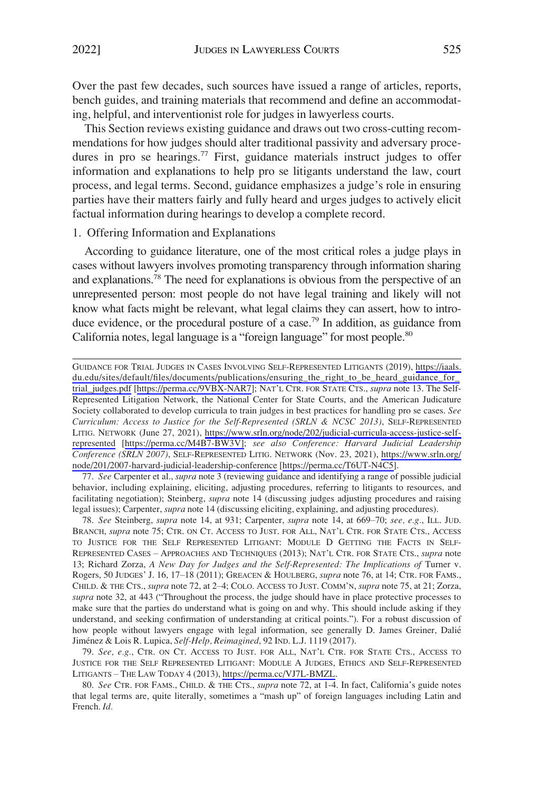<span id="page-17-0"></span>Over the past few decades, such sources have issued a range of articles, reports, bench guides, and training materials that recommend and define an accommodating, helpful, and interventionist role for judges in lawyerless courts.

This Section reviews existing guidance and draws out two cross-cutting recommendations for how judges should alter traditional passivity and adversary procedures in pro se hearings.<sup>77</sup> First, guidance materials instruct judges to offer information and explanations to help pro se litigants understand the law, court process, and legal terms. Second, guidance emphasizes a judge's role in ensuring parties have their matters fairly and fully heard and urges judges to actively elicit factual information during hearings to develop a complete record.

# 1. Offering Information and Explanations

According to guidance literature, one of the most critical roles a judge plays in cases without lawyers involves promoting transparency through information sharing and explanations.78 The need for explanations is obvious from the perspective of an unrepresented person: most people do not have legal training and likely will not know what facts might be relevant, what legal claims they can assert, how to introduce evidence, or the procedural posture of a case.<sup>79</sup> In addition, as guidance from California notes, legal language is a "foreign language" for most people.<sup>80</sup>

77. *See* Carpenter et al., *supra* note 3 (reviewing guidance and identifying a range of possible judicial behavior, including explaining, eliciting, adjusting procedures, referring to litigants to resources, and facilitating negotiation); Steinberg, *supra* note 14 (discussing judges adjusting procedures and raising legal issues); Carpenter, *supra* note 14 (discussing eliciting, explaining, and adjusting procedures).

78. *See* Steinberg, *supra* note 14, at 931; Carpenter, *supra* note 14, at 669–70; *see, e.g.*, ILL. JUD. BRANCH, *supra* note 75; CTR. ON CT. ACCESS TO JUST. FOR ALL, NAT'L CTR. FOR STATE CTS., ACCESS TO JUSTICE FOR THE SELF REPRESENTED LITIGANT: MODULE D GETTING THE FACTS IN SELF-REPRESENTED CASES – APPROACHES AND TECHNIQUES (2013); NAT'L CTR. FOR STATE CTS., *supra* note 13; Richard Zorza, *A New Day for Judges and the Self-Represented: The Implications of Turner v.* Rogers, 50 JUDGES' J. 16, 17–18 (2011); GREACEN & HOULBERG, *supra* note 76, at 14; CTR. FOR FAMS., CHILD. & THE CTS., *supra* note 72, at 2–4; COLO. ACCESS TO JUST. COMM'N, *supra* note 75, at 21; Zorza, *supra* note 32, at 443 ("Throughout the process, the judge should have in place protective processes to make sure that the parties do understand what is going on and why. This should include asking if they understand, and seeking confirmation of understanding at critical points."). For a robust discussion of how people without lawyers engage with legal information, see generally D. James Greiner, Dalié Jime´nez & Lois R. Lupica, *Self-Help, Reimagined*, 92 IND. L.J. 1119 (2017).

79. See, e.g., CTR. ON CT. ACCESS TO JUST. FOR ALL, NAT'L CTR. FOR STATE CTS., ACCESS TO JUSTICE FOR THE SELF REPRESENTED LITIGANT: MODULE A JUDGES, ETHICS AND SELF-REPRESENTED LITIGANTS – THE LAW TODAY 4 (2013), <https://perma.cc/VJ7L-BMZL>.

80. *See* CTR. FOR FAMS., CHILD. & THE CTS., *supra* note 72, at 1-4. In fact, California's guide notes that legal terms are, quite literally, sometimes a "mash up" of foreign languages including Latin and French. *Id.* 

GUIDANCE FOR TRIAL JUDGES IN CASES INVOLVING SELF-REPRESENTED LITIGANTS (2019), [https://iaals.](https://iaals.du.edu/sites/default/files/documents/publications/ensuring_the_right_to_be_heard_guidance_for_trial_judges.pdf)  [du.edu/sites/default/files/documents/publications/ensuring\\_the\\_right\\_to\\_be\\_heard\\_guidance\\_for\\_](https://iaals.du.edu/sites/default/files/documents/publications/ensuring_the_right_to_be_heard_guidance_for_trial_judges.pdf)  [trial\\_judges.pdf](https://iaals.du.edu/sites/default/files/documents/publications/ensuring_the_right_to_be_heard_guidance_for_trial_judges.pdf) [[https://perma.cc/9VBX-NAR7\]](https://perma.cc/9VBX-NAR7); NAT'L CTR. FOR STATE CTS., *supra* note 13. The Self-Represented Litigation Network, the National Center for State Courts, and the American Judicature Society collaborated to develop curricula to train judges in best practices for handling pro se cases. *See Curriculum: Access to Justice for the Self-Represented (SRLN & NCSC 2013)*, SELF-REPRESENTED LITIG. NETWORK (June 27, 2021), [https://www.srln.org/node/202/judicial-curricula-access-justice-self](https://www.srln.org/node/202/judicial-curricula-access-justice-self-represented)[represented](https://www.srln.org/node/202/judicial-curricula-access-justice-self-represented) [[https://perma.cc/M4B7-BW3V\]](https://perma.cc/M4B7-BW3V); *see also Conference: Harvard Judicial Leadership Conference (SRLN 2007)*, SELF-REPRESENTED LITIG. NETWORK (Nov. 23, 2021), [https://www.srln.org/](https://www.srln.org/node/201/2007-harvard-judicial-leadership-conference)  [node/201/2007-harvard-judicial-leadership-conference](https://www.srln.org/node/201/2007-harvard-judicial-leadership-conference) [\[https://perma.cc/T6UT-N4C5](https://perma.cc/T6UT-N4C5)].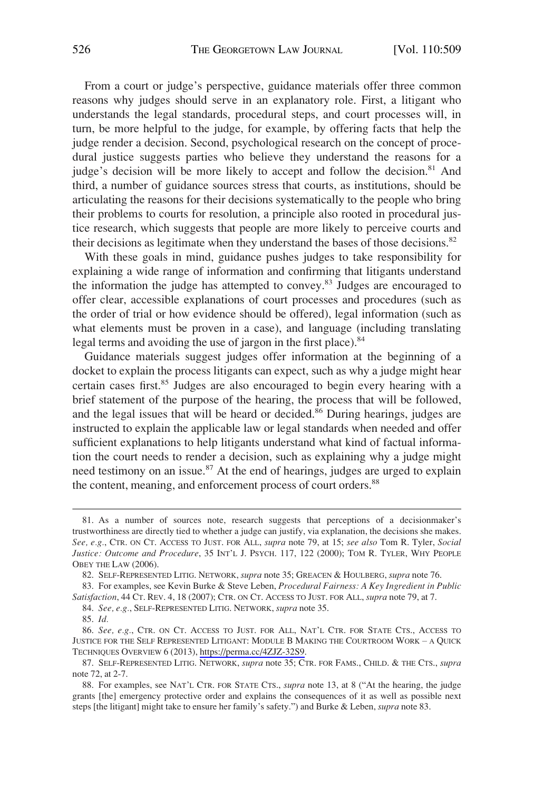From a court or judge's perspective, guidance materials offer three common reasons why judges should serve in an explanatory role. First, a litigant who understands the legal standards, procedural steps, and court processes will, in turn, be more helpful to the judge, for example, by offering facts that help the judge render a decision. Second, psychological research on the concept of procedural justice suggests parties who believe they understand the reasons for a judge's decision will be more likely to accept and follow the decision.<sup>81</sup> And third, a number of guidance sources stress that courts, as institutions, should be articulating the reasons for their decisions systematically to the people who bring their problems to courts for resolution, a principle also rooted in procedural justice research, which suggests that people are more likely to perceive courts and their decisions as legitimate when they understand the bases of those decisions.<sup>82</sup>

With these goals in mind, guidance pushes judges to take responsibility for explaining a wide range of information and confirming that litigants understand the information the judge has attempted to convey.<sup>83</sup> Judges are encouraged to offer clear, accessible explanations of court processes and procedures (such as the order of trial or how evidence should be offered), legal information (such as what elements must be proven in a case), and language (including translating legal terms and avoiding the use of jargon in the first place).<sup>84</sup>

Guidance materials suggest judges offer information at the beginning of a docket to explain the process litigants can expect, such as why a judge might hear certain cases first.<sup>85</sup> Judges are also encouraged to begin every hearing with a brief statement of the purpose of the hearing, the process that will be followed, and the legal issues that will be heard or decided.<sup>86</sup> During hearings, judges are instructed to explain the applicable law or legal standards when needed and offer sufficient explanations to help litigants understand what kind of factual information the court needs to render a decision, such as explaining why a judge might need testimony on an issue.<sup>87</sup> At the end of hearings, judges are urged to explain the content, meaning, and enforcement process of court orders.<sup>88</sup>

84. *See, e.g.*, SELF-REPRESENTED LITIG. NETWORK, *supra* note 35.

<sup>81.</sup> As a number of sources note, research suggests that perceptions of a decisionmaker's trustworthiness are directly tied to whether a judge can justify, via explanation, the decisions she makes. *See, e.g.*, CTR. ON CT. ACCESS TO JUST. FOR ALL, *supra* note 79, at 15; *see also* Tom R. Tyler, *Social Justice: Outcome and Procedure*, 35 INT'L J. PSYCH. 117, 122 (2000); TOM R. TYLER, WHY PEOPLE OBEY THE LAW (2006).

<sup>82.</sup> SELF-REPRESENTED LITIG. NETWORK, *supra* note 35; GREACEN & HOULBERG, *supra* note 76.

<sup>83.</sup> For examples, see Kevin Burke & Steve Leben, *Procedural Fairness: A Key Ingredient in Public Satisfaction*, 44 CT. REV. 4, 18 (2007); CTR. ON CT. ACCESS TO JUST. FOR ALL, *supra* note 79, at 7.

<sup>85.</sup> *Id.* 

<sup>86.</sup> See, e.g., CTR. ON CT. ACCESS TO JUST. FOR ALL, NAT'L CTR. FOR STATE CTS., ACCESS TO JUSTICE FOR THE SELF REPRESENTED LITIGANT: MODULE B MAKING THE COURTROOM WORK – A QUICK TECHNIQUES OVERVIEW 6 (2013),<https://perma.cc/4ZJZ-32S9>.

<sup>87.</sup> SELF-REPRESENTED LITIG. NETWORK, *supra* note 35; CTR. FOR FAMS., CHILD. & THE CTS., *supra*  note 72, at 2-7.

<sup>88.</sup> For examples, see NAT'L CTR. FOR STATE CTS., *supra* note 13, at 8 ("At the hearing, the judge grants [the] emergency protective order and explains the consequences of it as well as possible next steps [the litigant] might take to ensure her family's safety.") and Burke & Leben, *supra* note 83.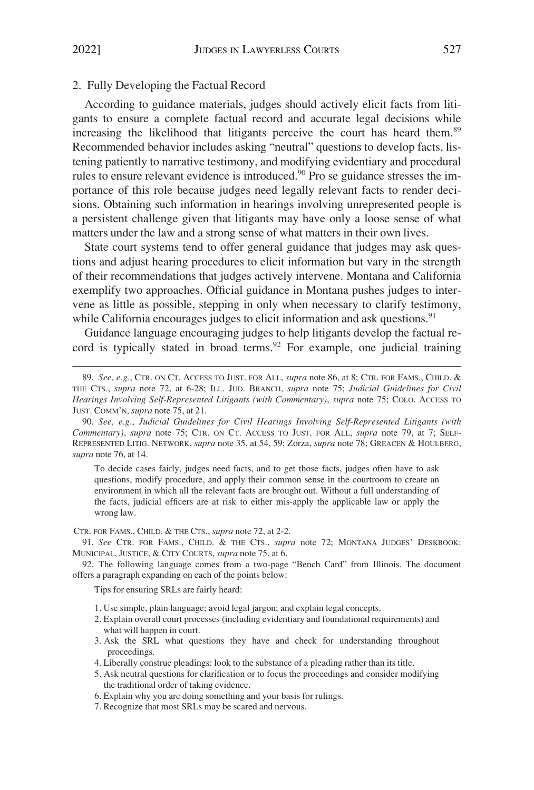## <span id="page-19-0"></span>2. Fully Developing the Factual Record

According to guidance materials, judges should actively elicit facts from litigants to ensure a complete factual record and accurate legal decisions while increasing the likelihood that litigants perceive the court has heard them.<sup>89</sup> Recommended behavior includes asking "neutral" questions to develop facts, listening patiently to narrative testimony, and modifying evidentiary and procedural rules to ensure relevant evidence is introduced.<sup>90</sup> Pro se guidance stresses the importance of this role because judges need legally relevant facts to render decisions. Obtaining such information in hearings involving unrepresented people is a persistent challenge given that litigants may have only a loose sense of what matters under the law and a strong sense of what matters in their own lives.

State court systems tend to offer general guidance that judges may ask questions and adjust hearing procedures to elicit information but vary in the strength of their recommendations that judges actively intervene. Montana and California exemplify two approaches. Official guidance in Montana pushes judges to intervene as little as possible, stepping in only when necessary to clarify testimony, while California encourages judges to elicit information and ask questions.<sup>91</sup>

Guidance language encouraging judges to help litigants develop the factual record is typically stated in broad terms.<sup>92</sup> For example, one judicial training

To decide cases fairly, judges need facts, and to get those facts, judges often have to ask questions, modify procedure, and apply their common sense in the courtroom to create an environment in which all the relevant facts are brought out. Without a full understanding of the facts, judicial officers are at risk to either mis-apply the applicable law or apply the wrong law.

CTR. FOR FAMS., CHILD. & THE CTS., *supra* note 72, at 2-2.

91. *See* CTR. FOR FAMS., CHILD. & THE CTS., *supra* note 72; MONTANA JUDGES' DESKBOOK: MUNICIPAL, JUSTICE, & CITY COURTS, *supra* note 75, at 6.

92. The following language comes from a two-page "Bench Card" from Illinois. The document offers a paragraph expanding on each of the points below:

Tips for ensuring SRLs are fairly heard:

- 1. Use simple, plain language; avoid legal jargon; and explain legal concepts.
- 2. Explain overall court processes (including evidentiary and foundational requirements) and what will happen in court.
- 3. Ask the SRL what questions they have and check for understanding throughout proceedings.
- 4. Liberally construe pleadings: look to the substance of a pleading rather than its title.
- 5. Ask neutral questions for clarification or to focus the proceedings and consider modifying the traditional order of taking evidence.
- 6. Explain why you are doing something and your basis for rulings.
- 7. Recognize that most SRLs may be scared and nervous.

<sup>89.</sup> *See, e.g.*, CTR. ON CT. ACCESS TO JUST. FOR ALL, *supra* note 86, at 8; CTR. FOR FAMS., CHILD. & THE CTS., *supra* note 72, at 6-28; ILL. JUD. BRANCH, *supra* note 75; *Judicial Guidelines for Civil Hearings Involving Self-Represented Litigants (with Commentary)*, *supra* note 75; COLO. ACCESS TO JUST. COMM'N, *supra* note 75, at 21.

<sup>90.</sup> *See, e.g.*, *Judicial Guidelines for Civil Hearings Involving Self-Represented Litigants (with Commentary)*, *supra* note 75; CTR. ON CT. ACCESS TO JUST. FOR ALL, *supra* note 79, at 7; SELF-REPRESENTED LITIG. NETWORK, *supra* note 35, at 54, 59; Zorza, *supra* note 78; GREACEN & HOULBERG, *supra* note 76, at 14.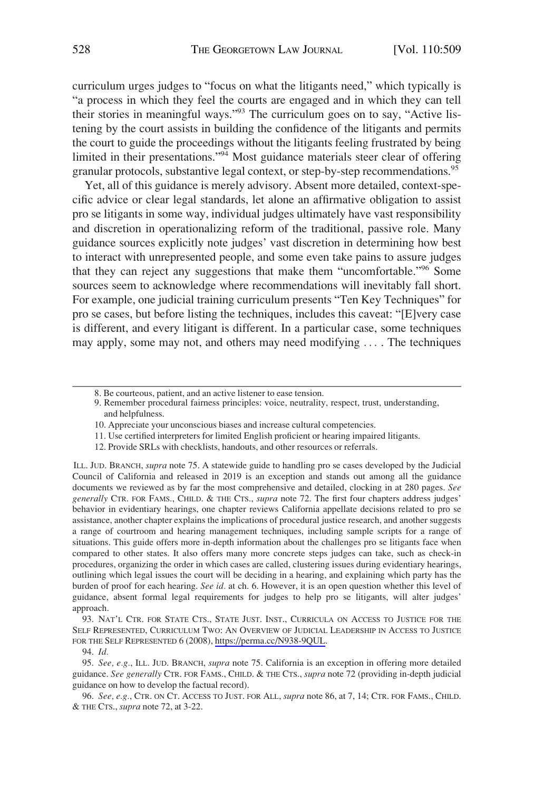curriculum urges judges to "focus on what the litigants need," which typically is "a process in which they feel the courts are engaged and in which they can tell their stories in meaningful ways."<sup>93</sup> The curriculum goes on to say, "Active listening by the court assists in building the confidence of the litigants and permits the court to guide the proceedings without the litigants feeling frustrated by being limited in their presentations."94 Most guidance materials steer clear of offering granular protocols, substantive legal context, or step-by-step recommendations.<sup>95</sup>

Yet, all of this guidance is merely advisory. Absent more detailed, context-specific advice or clear legal standards, let alone an affirmative obligation to assist pro se litigants in some way, individual judges ultimately have vast responsibility and discretion in operationalizing reform of the traditional, passive role. Many guidance sources explicitly note judges' vast discretion in determining how best to interact with unrepresented people, and some even take pains to assure judges that they can reject any suggestions that make them "uncomfortable."96 Some sources seem to acknowledge where recommendations will inevitably fall short. For example, one judicial training curriculum presents "Ten Key Techniques" for pro se cases, but before listing the techniques, includes this caveat: "[E]very case is different, and every litigant is different. In a particular case, some techniques may apply, some may not, and others may need modifying . . . . The techniques

9. Remember procedural fairness principles: voice, neutrality, respect, trust, understanding, and helpfulness.

- 11. Use certified interpreters for limited English proficient or hearing impaired litigants.
- 12. Provide SRLs with checklists, handouts, and other resources or referrals.

ILL. JUD. BRANCH, *supra* note 75. A statewide guide to handling pro se cases developed by the Judicial Council of California and released in 2019 is an exception and stands out among all the guidance documents we reviewed as by far the most comprehensive and detailed, clocking in at 280 pages. *See generally* CTR. FOR FAMS., CHILD. & THE CTS., *supra* note 72. The first four chapters address judges' behavior in evidentiary hearings, one chapter reviews California appellate decisions related to pro se assistance, another chapter explains the implications of procedural justice research, and another suggests a range of courtroom and hearing management techniques, including sample scripts for a range of situations. This guide offers more in-depth information about the challenges pro se litigants face when compared to other states. It also offers many more concrete steps judges can take, such as check-in procedures, organizing the order in which cases are called, clustering issues during evidentiary hearings, outlining which legal issues the court will be deciding in a hearing, and explaining which party has the burden of proof for each hearing. *See id.* at ch. 6. However, it is an open question whether this level of guidance, absent formal legal requirements for judges to help pro se litigants, will alter judges' approach.

93. NAT'L CTR. FOR STATE CTS., STATE JUST. INST., CURRICULA ON ACCESS TO JUSTICE FOR THE SELF REPRESENTED, CURRICULUM TWO: AN OVERVIEW OF JUDICIAL LEADERSHIP IN ACCESS TO JUSTICE FOR THE SELF REPRESENTED 6 (2008),<https://perma.cc/N938-9QUL>.

94. *Id.* 

95. *See, e.g.*, ILL. JUD. BRANCH, *supra* note 75. California is an exception in offering more detailed guidance. *See generally* CTR. FOR FAMS., CHILD. & THE CTS., *supra* note 72 (providing in-depth judicial guidance on how to develop the factual record).

96. *See, e.g.*, CTR. ON CT. ACCESS TO JUST. FOR ALL, *supra* note 86, at 7, 14; CTR. FOR FAMS., CHILD. & THE CTS., *supra* note 72, at 3-22.

<sup>8.</sup> Be courteous, patient, and an active listener to ease tension.

<sup>10.</sup> Appreciate your unconscious biases and increase cultural competencies.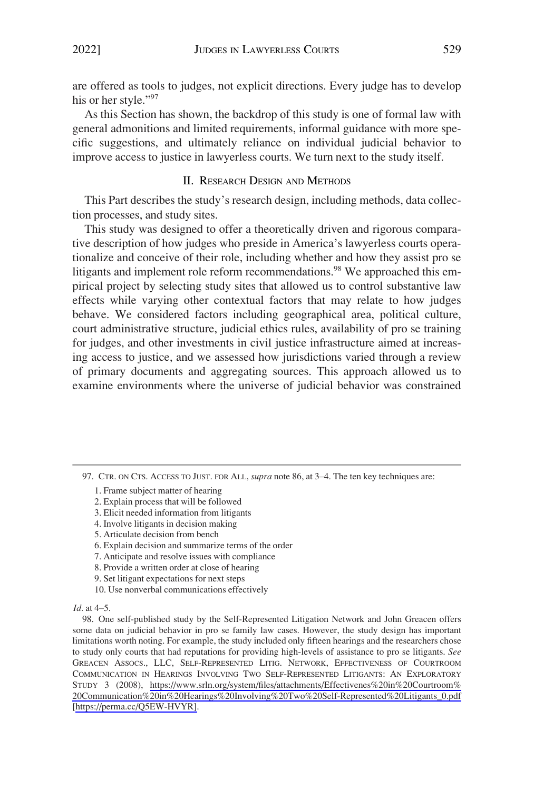<span id="page-21-0"></span>are offered as tools to judges, not explicit directions. Every judge has to develop his or her style."97

As this Section has shown, the backdrop of this study is one of formal law with general admonitions and limited requirements, informal guidance with more specific suggestions, and ultimately reliance on individual judicial behavior to improve access to justice in lawyerless courts. We turn next to the study itself.

# II. RESEARCH DESIGN AND METHODS

This Part describes the study's research design, including methods, data collection processes, and study sites.

This study was designed to offer a theoretically driven and rigorous comparative description of how judges who preside in America's lawyerless courts operationalize and conceive of their role, including whether and how they assist pro se litigants and implement role reform recommendations.<sup>98</sup> We approached this empirical project by selecting study sites that allowed us to control substantive law effects while varying other contextual factors that may relate to how judges behave. We considered factors including geographical area, political culture, court administrative structure, judicial ethics rules, availability of pro se training for judges, and other investments in civil justice infrastructure aimed at increasing access to justice, and we assessed how jurisdictions varied through a review of primary documents and aggregating sources. This approach allowed us to examine environments where the universe of judicial behavior was constrained

- 3. Elicit needed information from litigants
- 4. Involve litigants in decision making
- 5. Articulate decision from bench
- 6. Explain decision and summarize terms of the order
- 7. Anticipate and resolve issues with compliance
- 8. Provide a written order at close of hearing
- 9. Set litigant expectations for next steps
- 10. Use nonverbal communications effectively

<sup>97.</sup> CTR. ON CTS. ACCESS TO JUST. FOR ALL, *supra* note 86, at 3–4. The ten key techniques are:

<sup>1.</sup> Frame subject matter of hearing

<sup>2.</sup> Explain process that will be followed

*Id.* at 4–5.

One self-published study by the Self-Represented Litigation Network and John Greacen offers 98. some data on judicial behavior in pro se family law cases. However, the study design has important limitations worth noting. For example, the study included only fifteen hearings and the researchers chose to study only courts that had reputations for providing high-levels of assistance to pro se litigants. *See*  GREACEN ASSOCS., LLC, SELF-REPRESENTED LITIG. NETWORK, EFFECTIVENESS OF COURTROOM COMMUNICATION IN HEARINGS INVOLVING TWO SELF-REPRESENTED LITIGANTS: AN EXPLORATORY STUDY 3 (2008), [https://www.srln.org/system/files/attachments/Effectivenes%20in%20Courtroom%](https://www.srln.org/system/files/attachments/Effectivenes%20in%20Courtroom%20Communication%20in%20Hearings%20Involving%20Two%20Self-Represented%20Litigants_0.pdf)  [20Communication%20in%20Hearings%20Involving%20Two%20Self-Represented%20Litigants\\_0.pdf](https://www.srln.org/system/files/attachments/Effectivenes%20in%20Courtroom%20Communication%20in%20Hearings%20Involving%20Two%20Self-Represented%20Litigants_0.pdf)  [[https://perma.cc/Q5EW-HVYR\]](https://perma.cc/Q5EW-HVYR).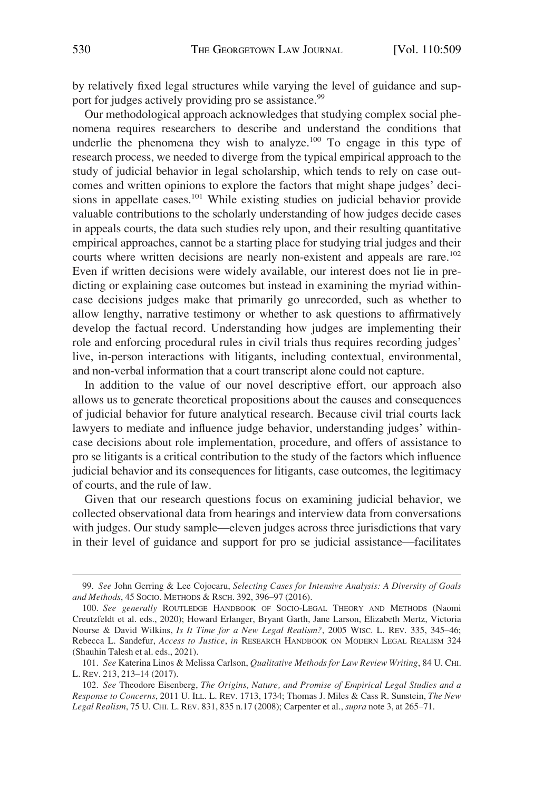by relatively fixed legal structures while varying the level of guidance and support for judges actively providing pro se assistance.<sup>99</sup>

Our methodological approach acknowledges that studying complex social phenomena requires researchers to describe and understand the conditions that underlie the phenomena they wish to analyze.<sup>100</sup> To engage in this type of research process, we needed to diverge from the typical empirical approach to the study of judicial behavior in legal scholarship, which tends to rely on case outcomes and written opinions to explore the factors that might shape judges' decisions in appellate cases.<sup>101</sup> While existing studies on judicial behavior provide valuable contributions to the scholarly understanding of how judges decide cases in appeals courts, the data such studies rely upon, and their resulting quantitative empirical approaches, cannot be a starting place for studying trial judges and their courts where written decisions are nearly non-existent and appeals are rare.<sup>102</sup> Even if written decisions were widely available, our interest does not lie in predicting or explaining case outcomes but instead in examining the myriad withincase decisions judges make that primarily go unrecorded, such as whether to allow lengthy, narrative testimony or whether to ask questions to affirmatively develop the factual record. Understanding how judges are implementing their role and enforcing procedural rules in civil trials thus requires recording judges' live, in-person interactions with litigants, including contextual, environmental, and non-verbal information that a court transcript alone could not capture.

In addition to the value of our novel descriptive effort, our approach also allows us to generate theoretical propositions about the causes and consequences of judicial behavior for future analytical research. Because civil trial courts lack lawyers to mediate and influence judge behavior, understanding judges' withincase decisions about role implementation, procedure, and offers of assistance to pro se litigants is a critical contribution to the study of the factors which influence judicial behavior and its consequences for litigants, case outcomes, the legitimacy of courts, and the rule of law.

Given that our research questions focus on examining judicial behavior, we collected observational data from hearings and interview data from conversations with judges. Our study sample—eleven judges across three jurisdictions that vary in their level of guidance and support for pro se judicial assistance—facilitates

<sup>99.</sup> *See* John Gerring & Lee Cojocaru, *Selecting Cases for Intensive Analysis: A Diversity of Goals and Methods*, 45 SOCIO. METHODS & RSCH. 392, 396–97 (2016).

<sup>100.</sup> *See generally* ROUTLEDGE HANDBOOK OF SOCIO-LEGAL THEORY AND METHODS (Naomi Creutzfeldt et al. eds., 2020); Howard Erlanger, Bryant Garth, Jane Larson, Elizabeth Mertz, Victoria Nourse & David Wilkins, *Is It Time for a New Legal Realism?*, 2005 WISC. L. REV. 335, 345–46; Rebecca L. Sandefur, *Access to Justice*, *in* RESEARCH HANDBOOK ON MODERN LEGAL REALISM 324 (Shauhin Talesh et al. eds., 2021).

<sup>101.</sup> *See* Katerina Linos & Melissa Carlson, *Qualitative Methods for Law Review Writing*, 84 U. CHI. L. REV. 213, 213–14 (2017).

<sup>102.</sup> *See* Theodore Eisenberg, *The Origins, Nature, and Promise of Empirical Legal Studies and a Response to Concerns*, 2011 U. ILL. L. REV. 1713, 1734; Thomas J. Miles & Cass R. Sunstein, *The New Legal Realism*, 75 U. CHI. L. REV. 831, 835 n.17 (2008); Carpenter et al., *supra* note 3, at 265–71.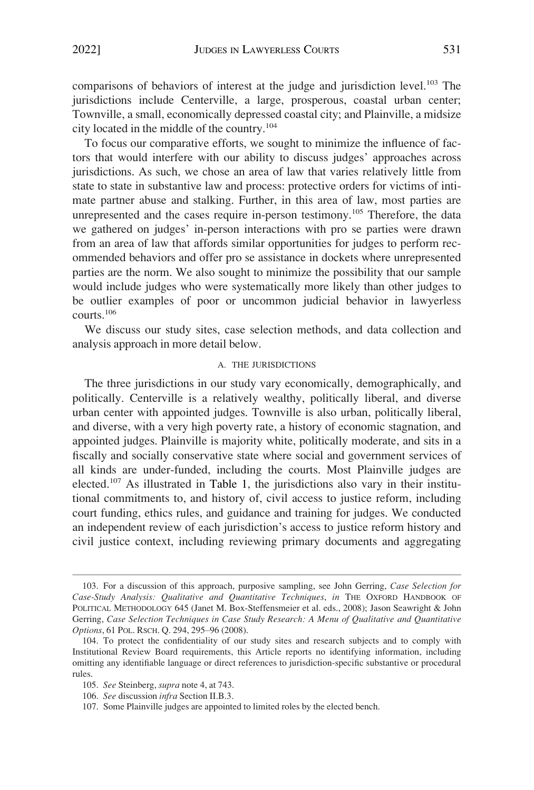<span id="page-23-0"></span>comparisons of behaviors of interest at the judge and jurisdiction level.<sup>103</sup> The jurisdictions include Centerville, a large, prosperous, coastal urban center; Townville, a small, economically depressed coastal city; and Plainville, a midsize city located in the middle of the country.104

To focus our comparative efforts, we sought to minimize the influence of factors that would interfere with our ability to discuss judges' approaches across jurisdictions. As such, we chose an area of law that varies relatively little from state to state in substantive law and process: protective orders for victims of intimate partner abuse and stalking. Further, in this area of law, most parties are unrepresented and the cases require in-person testimony.<sup>105</sup> Therefore, the data we gathered on judges' in-person interactions with pro se parties were drawn from an area of law that affords similar opportunities for judges to perform recommended behaviors and offer pro se assistance in dockets where unrepresented parties are the norm. We also sought to minimize the possibility that our sample would include judges who were systematically more likely than other judges to be outlier examples of poor or uncommon judicial behavior in lawyerless courts.106

We discuss our study sites, case selection methods, and data collection and analysis approach in more detail below.

#### A. THE JURISDICTIONS

The three jurisdictions in our study vary economically, demographically, and politically. Centerville is a relatively wealthy, politically liberal, and diverse urban center with appointed judges. Townville is also urban, politically liberal, and diverse, with a very high poverty rate, a history of economic stagnation, and appointed judges. Plainville is majority white, politically moderate, and sits in a fiscally and socially conservative state where social and government services of all kinds are under-funded, including the courts. Most Plainville judges are elected.<sup>107</sup> As illustrated in Table 1, the jurisdictions also vary in their institutional commitments to, and history of, civil access to justice reform, including court funding, ethics rules, and guidance and training for judges. We conducted an independent review of each jurisdiction's access to justice reform history and civil justice context, including reviewing primary documents and aggregating

<sup>103.</sup> For a discussion of this approach, purposive sampling, see John Gerring, *Case Selection for Case-Study Analysis: Qualitative and Quantitative Techniques*, *in* THE OXFORD HANDBOOK OF POLITICAL METHODOLOGY 645 (Janet M. Box-Steffensmeier et al. eds., 2008); Jason Seawright & John Gerring, *Case Selection Techniques in Case Study Research: A Menu of Qualitative and Quantitative Options*, 61 POL. RSCH. Q. 294, 295–96 (2008).

<sup>104.</sup> To protect the confidentiality of our study sites and research subjects and to comply with Institutional Review Board requirements, this Article reports no identifying information, including omitting any identifiable language or direct references to jurisdiction-specific substantive or procedural rules.

<sup>105.</sup> *See* Steinberg, *supra* note 4, at 743.

<sup>106.</sup> *See* discussion *infra* Section II.B.3.

<sup>107.</sup> Some Plainville judges are appointed to limited roles by the elected bench.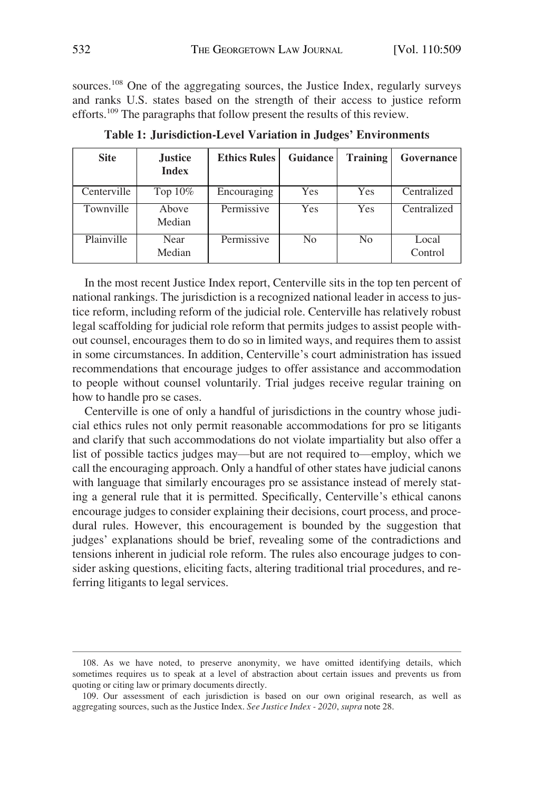sources.<sup>108</sup> One of the aggregating sources, the Justice Index, regularly surveys and ranks U.S. states based on the strength of their access to justice reform efforts.<sup>109</sup> The paragraphs that follow present the results of this review.

| <b>Site</b> | <b>Justice</b><br><b>Index</b> | <b>Ethics Rules</b> | Guidance | <b>Training</b> | Governance       |
|-------------|--------------------------------|---------------------|----------|-----------------|------------------|
| Centerville | Top $10\%$                     | Encouraging         | Yes      | Yes             | Centralized      |
| Townville   | Above<br>Median                | Permissive          | Yes      | <b>Yes</b>      | Centralized      |
| Plainville  | Near<br>Median                 | Permissive          | No       | N <sub>0</sub>  | Local<br>Control |

**Table 1: Jurisdiction-Level Variation in Judges' Environments** 

In the most recent Justice Index report, Centerville sits in the top ten percent of national rankings. The jurisdiction is a recognized national leader in access to justice reform, including reform of the judicial role. Centerville has relatively robust legal scaffolding for judicial role reform that permits judges to assist people without counsel, encourages them to do so in limited ways, and requires them to assist in some circumstances. In addition, Centerville's court administration has issued recommendations that encourage judges to offer assistance and accommodation to people without counsel voluntarily. Trial judges receive regular training on how to handle pro se cases.

Centerville is one of only a handful of jurisdictions in the country whose judicial ethics rules not only permit reasonable accommodations for pro se litigants and clarify that such accommodations do not violate impartiality but also offer a list of possible tactics judges may—but are not required to—employ, which we call the encouraging approach. Only a handful of other states have judicial canons with language that similarly encourages pro se assistance instead of merely stating a general rule that it is permitted. Specifically, Centerville's ethical canons encourage judges to consider explaining their decisions, court process, and procedural rules. However, this encouragement is bounded by the suggestion that judges' explanations should be brief, revealing some of the contradictions and tensions inherent in judicial role reform. The rules also encourage judges to consider asking questions, eliciting facts, altering traditional trial procedures, and referring litigants to legal services.

<sup>108.</sup> As we have noted, to preserve anonymity, we have omitted identifying details, which sometimes requires us to speak at a level of abstraction about certain issues and prevents us from quoting or citing law or primary documents directly.

<sup>109.</sup> Our assessment of each jurisdiction is based on our own original research, as well as aggregating sources, such as the Justice Index. *See Justice Index - 2020*, *supra* note 28.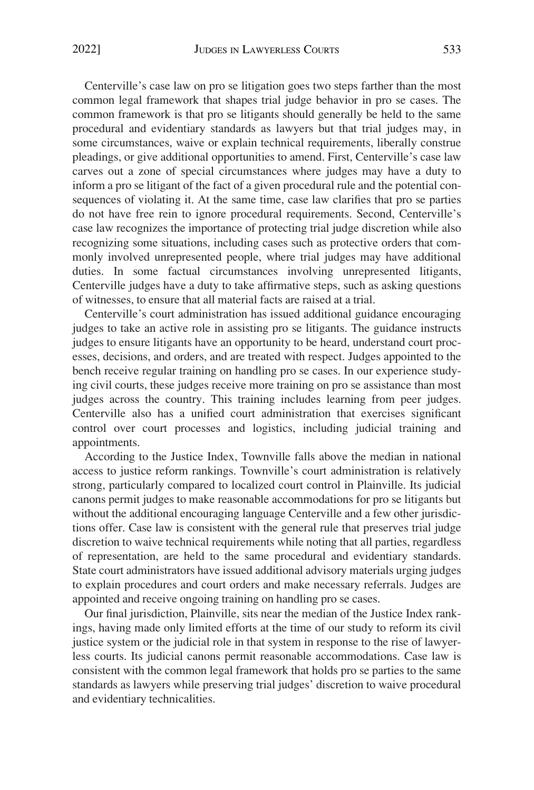Centerville's case law on pro se litigation goes two steps farther than the most common legal framework that shapes trial judge behavior in pro se cases. The common framework is that pro se litigants should generally be held to the same procedural and evidentiary standards as lawyers but that trial judges may, in some circumstances, waive or explain technical requirements, liberally construe pleadings, or give additional opportunities to amend. First, Centerville's case law carves out a zone of special circumstances where judges may have a duty to inform a pro se litigant of the fact of a given procedural rule and the potential consequences of violating it. At the same time, case law clarifies that pro se parties do not have free rein to ignore procedural requirements. Second, Centerville's case law recognizes the importance of protecting trial judge discretion while also recognizing some situations, including cases such as protective orders that commonly involved unrepresented people, where trial judges may have additional duties. In some factual circumstances involving unrepresented litigants, Centerville judges have a duty to take affirmative steps, such as asking questions of witnesses, to ensure that all material facts are raised at a trial.

Centerville's court administration has issued additional guidance encouraging judges to take an active role in assisting pro se litigants. The guidance instructs judges to ensure litigants have an opportunity to be heard, understand court processes, decisions, and orders, and are treated with respect. Judges appointed to the bench receive regular training on handling pro se cases. In our experience studying civil courts, these judges receive more training on pro se assistance than most judges across the country. This training includes learning from peer judges. Centerville also has a unified court administration that exercises significant control over court processes and logistics, including judicial training and appointments.

According to the Justice Index, Townville falls above the median in national access to justice reform rankings. Townville's court administration is relatively strong, particularly compared to localized court control in Plainville. Its judicial canons permit judges to make reasonable accommodations for pro se litigants but without the additional encouraging language Centerville and a few other jurisdictions offer. Case law is consistent with the general rule that preserves trial judge discretion to waive technical requirements while noting that all parties, regardless of representation, are held to the same procedural and evidentiary standards. State court administrators have issued additional advisory materials urging judges to explain procedures and court orders and make necessary referrals. Judges are appointed and receive ongoing training on handling pro se cases.

Our final jurisdiction, Plainville, sits near the median of the Justice Index rankings, having made only limited efforts at the time of our study to reform its civil justice system or the judicial role in that system in response to the rise of lawyerless courts. Its judicial canons permit reasonable accommodations. Case law is consistent with the common legal framework that holds pro se parties to the same standards as lawyers while preserving trial judges' discretion to waive procedural and evidentiary technicalities.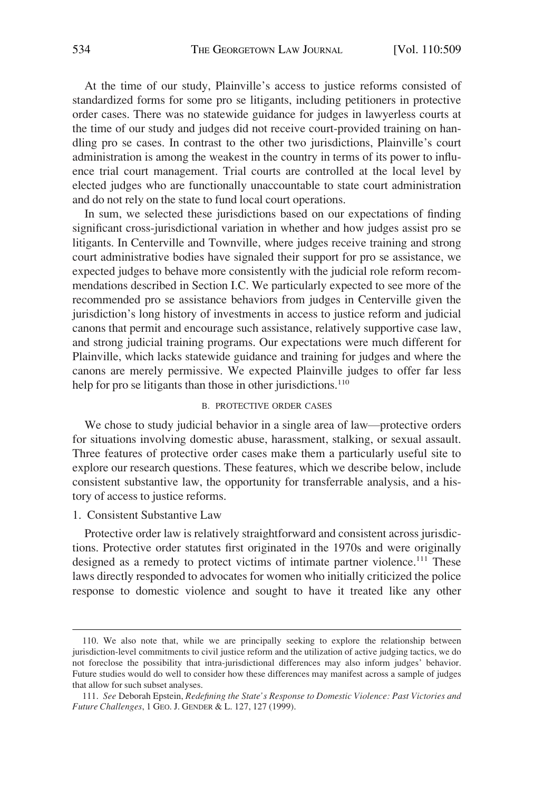<span id="page-26-0"></span>At the time of our study, Plainville's access to justice reforms consisted of standardized forms for some pro se litigants, including petitioners in protective order cases. There was no statewide guidance for judges in lawyerless courts at the time of our study and judges did not receive court-provided training on handling pro se cases. In contrast to the other two jurisdictions, Plainville's court administration is among the weakest in the country in terms of its power to influence trial court management. Trial courts are controlled at the local level by elected judges who are functionally unaccountable to state court administration and do not rely on the state to fund local court operations.

In sum, we selected these jurisdictions based on our expectations of finding significant cross-jurisdictional variation in whether and how judges assist pro se litigants. In Centerville and Townville, where judges receive training and strong court administrative bodies have signaled their support for pro se assistance, we expected judges to behave more consistently with the judicial role reform recommendations described in Section I.C. We particularly expected to see more of the recommended pro se assistance behaviors from judges in Centerville given the jurisdiction's long history of investments in access to justice reform and judicial canons that permit and encourage such assistance, relatively supportive case law, and strong judicial training programs. Our expectations were much different for Plainville, which lacks statewide guidance and training for judges and where the canons are merely permissive. We expected Plainville judges to offer far less help for pro se litigants than those in other jurisdictions.<sup>110</sup>

#### B. PROTECTIVE ORDER CASES

We chose to study judicial behavior in a single area of law—protective orders for situations involving domestic abuse, harassment, stalking, or sexual assault. Three features of protective order cases make them a particularly useful site to explore our research questions. These features, which we describe below, include consistent substantive law, the opportunity for transferrable analysis, and a history of access to justice reforms.

1. Consistent Substantive Law

Protective order law is relatively straightforward and consistent across jurisdictions. Protective order statutes first originated in the 1970s and were originally designed as a remedy to protect victims of intimate partner violence.<sup>111</sup> These laws directly responded to advocates for women who initially criticized the police response to domestic violence and sought to have it treated like any other

<sup>110.</sup> We also note that, while we are principally seeking to explore the relationship between jurisdiction-level commitments to civil justice reform and the utilization of active judging tactics, we do not foreclose the possibility that intra-jurisdictional differences may also inform judges' behavior. Future studies would do well to consider how these differences may manifest across a sample of judges that allow for such subset analyses.

<sup>111.</sup> *See* Deborah Epstein, *Redefining the State's Response to Domestic Violence: Past Victories and Future Challenges*, 1 GEO. J. GENDER & L. 127, 127 (1999).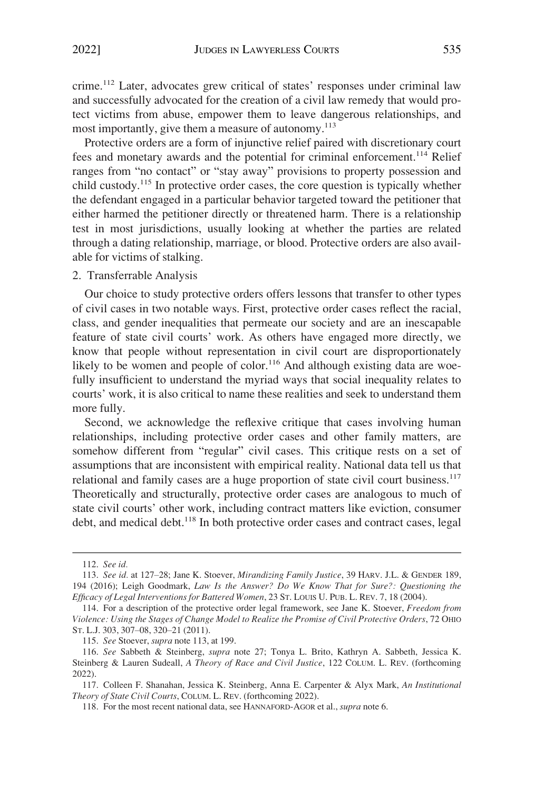<span id="page-27-0"></span>crime.112 Later, advocates grew critical of states' responses under criminal law and successfully advocated for the creation of a civil law remedy that would protect victims from abuse, empower them to leave dangerous relationships, and most importantly, give them a measure of autonomy.<sup>113</sup>

Protective orders are a form of injunctive relief paired with discretionary court fees and monetary awards and the potential for criminal enforcement.114 Relief ranges from "no contact" or "stay away" provisions to property possession and child custody.115 In protective order cases, the core question is typically whether the defendant engaged in a particular behavior targeted toward the petitioner that either harmed the petitioner directly or threatened harm. There is a relationship test in most jurisdictions, usually looking at whether the parties are related through a dating relationship, marriage, or blood. Protective orders are also available for victims of stalking.

## 2. Transferrable Analysis

Our choice to study protective orders offers lessons that transfer to other types of civil cases in two notable ways. First, protective order cases reflect the racial, class, and gender inequalities that permeate our society and are an inescapable feature of state civil courts' work. As others have engaged more directly, we know that people without representation in civil court are disproportionately likely to be women and people of color.<sup>116</sup> And although existing data are woefully insufficient to understand the myriad ways that social inequality relates to courts' work, it is also critical to name these realities and seek to understand them more fully.

Second, we acknowledge the reflexive critique that cases involving human relationships, including protective order cases and other family matters, are somehow different from "regular" civil cases. This critique rests on a set of assumptions that are inconsistent with empirical reality. National data tell us that relational and family cases are a huge proportion of state civil court business.<sup>117</sup> Theoretically and structurally, protective order cases are analogous to much of state civil courts' other work, including contract matters like eviction, consumer debt, and medical debt.<sup>118</sup> In both protective order cases and contract cases, legal

<sup>112.</sup> *See id.* 

<sup>113.</sup> *See id.* at 127–28; Jane K. Stoever, *Mirandizing Family Justice*, 39 HARV. J.L. & GENDER 189, 194 (2016); Leigh Goodmark, *Law Is the Answer? Do We Know That for Sure?: Questioning the Efficacy of Legal Interventions for Battered Women*, 23 ST. LOUIS U. PUB. L. REV. 7, 18 (2004).

<sup>114.</sup> For a description of the protective order legal framework, see Jane K. Stoever, *Freedom from Violence: Using the Stages of Change Model to Realize the Promise of Civil Protective Orders*, 72 OHIO ST. L.J. 303, 307–08, 320–21 (2011).

<sup>115.</sup> *See* Stoever, *supra* note 113, at 199.

<sup>116.</sup> *See* Sabbeth & Steinberg, *supra* note 27; Tonya L. Brito, Kathryn A. Sabbeth, Jessica K. Steinberg & Lauren Sudeall, *A Theory of Race and Civil Justice*, 122 COLUM. L. REV. (forthcoming 2022).

<sup>117.</sup> Colleen F. Shanahan, Jessica K. Steinberg, Anna E. Carpenter & Alyx Mark, *An Institutional Theory of State Civil Courts*, COLUM. L. REV. (forthcoming 2022).

<sup>118.</sup> For the most recent national data, see HANNAFORD-AGOR et al., *supra* note 6.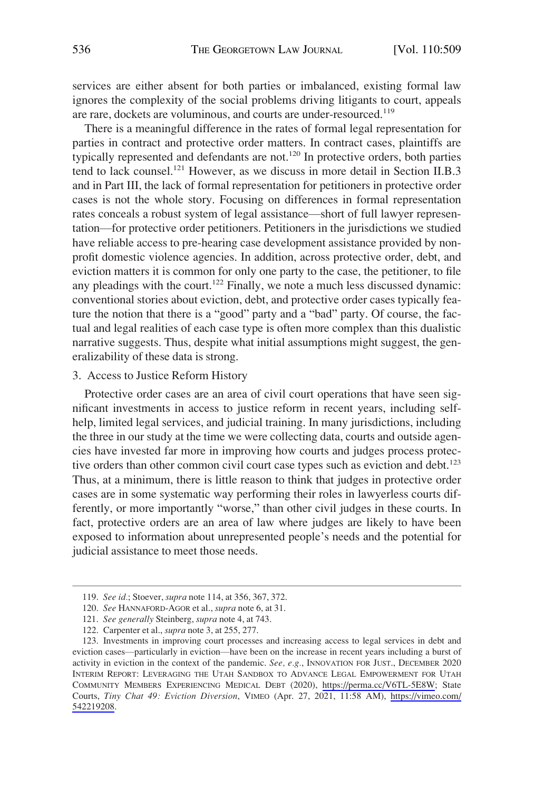<span id="page-28-0"></span>services are either absent for both parties or imbalanced, existing formal law ignores the complexity of the social problems driving litigants to court, appeals are rare, dockets are voluminous, and courts are under-resourced.<sup>119</sup>

There is a meaningful difference in the rates of formal legal representation for parties in contract and protective order matters. In contract cases, plaintiffs are typically represented and defendants are not.<sup>120</sup> In protective orders, both parties tend to lack counsel.<sup>121</sup> However, as we discuss in more detail in Section II.B.3 and in Part III, the lack of formal representation for petitioners in protective order cases is not the whole story. Focusing on differences in formal representation rates conceals a robust system of legal assistance—short of full lawyer representation—for protective order petitioners. Petitioners in the jurisdictions we studied have reliable access to pre-hearing case development assistance provided by nonprofit domestic violence agencies. In addition, across protective order, debt, and eviction matters it is common for only one party to the case, the petitioner, to file any pleadings with the court.<sup>122</sup> Finally, we note a much less discussed dynamic: conventional stories about eviction, debt, and protective order cases typically feature the notion that there is a "good" party and a "bad" party. Of course, the factual and legal realities of each case type is often more complex than this dualistic narrative suggests. Thus, despite what initial assumptions might suggest, the generalizability of these data is strong.

#### 3. Access to Justice Reform History

Protective order cases are an area of civil court operations that have seen significant investments in access to justice reform in recent years, including selfhelp, limited legal services, and judicial training. In many jurisdictions, including the three in our study at the time we were collecting data, courts and outside agencies have invested far more in improving how courts and judges process protective orders than other common civil court case types such as eviction and debt.<sup>123</sup> Thus, at a minimum, there is little reason to think that judges in protective order cases are in some systematic way performing their roles in lawyerless courts differently, or more importantly "worse," than other civil judges in these courts. In fact, protective orders are an area of law where judges are likely to have been exposed to information about unrepresented people's needs and the potential for judicial assistance to meet those needs.

<sup>119.</sup> *See id.*; Stoever, *supra* note 114, at 356, 367, 372.

<sup>120.</sup> *See* HANNAFORD-AGOR et al., *supra* note 6, at 31.

<sup>121.</sup> *See generally* Steinberg, *supra* note 4, at 743.

<sup>122.</sup> Carpenter et al., *supra* note 3, at 255, 277.

<sup>123.</sup> Investments in improving court processes and increasing access to legal services in debt and eviction cases—particularly in eviction—have been on the increase in recent years including a burst of activity in eviction in the context of the pandemic. *See, e.g.*, INNOVATION FOR JUST., DECEMBER 2020 INTERIM REPORT: LEVERAGING THE UTAH SANDBOX TO ADVANCE LEGAL EMPOWERMENT FOR UTAH COMMUNITY MEMBERS EXPERIENCING MEDICAL DEBT (2020), <https://perma.cc/V6TL-5E8W>; State Courts, *Tiny Chat 49: Eviction Diversion*, VIMEO (Apr. 27, 2021, 11:58 AM), [https://vimeo.com/](https://vimeo.com/542219208)  [542219208](https://vimeo.com/542219208).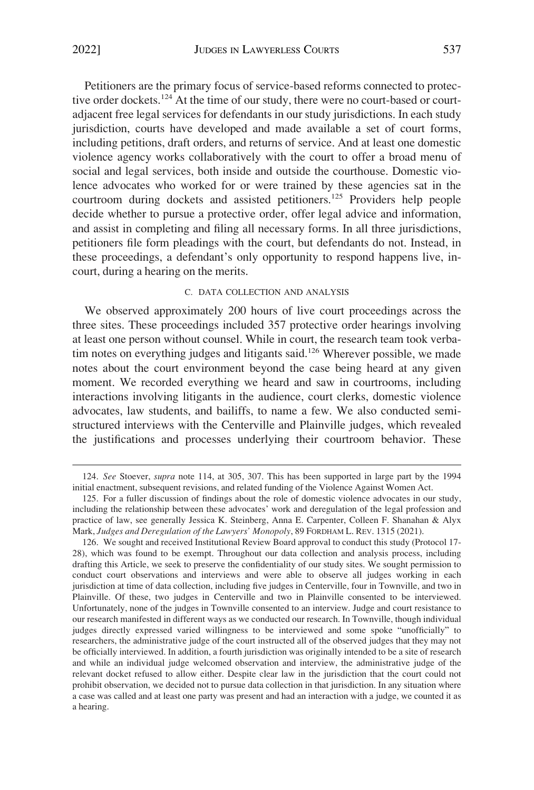<span id="page-29-0"></span>Petitioners are the primary focus of service-based reforms connected to protective order dockets.<sup>124</sup> At the time of our study, there were no court-based or courtadjacent free legal services for defendants in our study jurisdictions. In each study jurisdiction, courts have developed and made available a set of court forms, including petitions, draft orders, and returns of service. And at least one domestic violence agency works collaboratively with the court to offer a broad menu of social and legal services, both inside and outside the courthouse. Domestic violence advocates who worked for or were trained by these agencies sat in the courtroom during dockets and assisted petitioners.<sup>125</sup> Providers help people decide whether to pursue a protective order, offer legal advice and information, and assist in completing and filing all necessary forms. In all three jurisdictions, petitioners file form pleadings with the court, but defendants do not. Instead, in these proceedings, a defendant's only opportunity to respond happens live, incourt, during a hearing on the merits.

# C. DATA COLLECTION AND ANALYSIS

We observed approximately 200 hours of live court proceedings across the three sites. These proceedings included 357 protective order hearings involving at least one person without counsel. While in court, the research team took verbatim notes on everything judges and litigants said.<sup>126</sup> Wherever possible, we made notes about the court environment beyond the case being heard at any given moment. We recorded everything we heard and saw in courtrooms, including interactions involving litigants in the audience, court clerks, domestic violence advocates, law students, and bailiffs, to name a few. We also conducted semistructured interviews with the Centerville and Plainville judges, which revealed the justifications and processes underlying their courtroom behavior. These

<sup>124.</sup> *See* Stoever, *supra* note 114, at 305, 307. This has been supported in large part by the 1994 initial enactment, subsequent revisions, and related funding of the Violence Against Women Act.

<sup>125.</sup> For a fuller discussion of findings about the role of domestic violence advocates in our study, including the relationship between these advocates' work and deregulation of the legal profession and practice of law, see generally Jessica K. Steinberg, Anna E. Carpenter, Colleen F. Shanahan & Alyx Mark, *Judges and Deregulation of the Lawyers' Monopoly*, 89 FORDHAM L. REV. 1315 (2021).

<sup>126.</sup> We sought and received Institutional Review Board approval to conduct this study (Protocol 17- 28), which was found to be exempt. Throughout our data collection and analysis process, including drafting this Article, we seek to preserve the confidentiality of our study sites. We sought permission to conduct court observations and interviews and were able to observe all judges working in each jurisdiction at time of data collection, including five judges in Centerville, four in Townville, and two in Plainville. Of these, two judges in Centerville and two in Plainville consented to be interviewed. Unfortunately, none of the judges in Townville consented to an interview. Judge and court resistance to our research manifested in different ways as we conducted our research. In Townville, though individual judges directly expressed varied willingness to be interviewed and some spoke "unofficially" to researchers, the administrative judge of the court instructed all of the observed judges that they may not be officially interviewed. In addition, a fourth jurisdiction was originally intended to be a site of research and while an individual judge welcomed observation and interview, the administrative judge of the relevant docket refused to allow either. Despite clear law in the jurisdiction that the court could not prohibit observation, we decided not to pursue data collection in that jurisdiction. In any situation where a case was called and at least one party was present and had an interaction with a judge, we counted it as a hearing.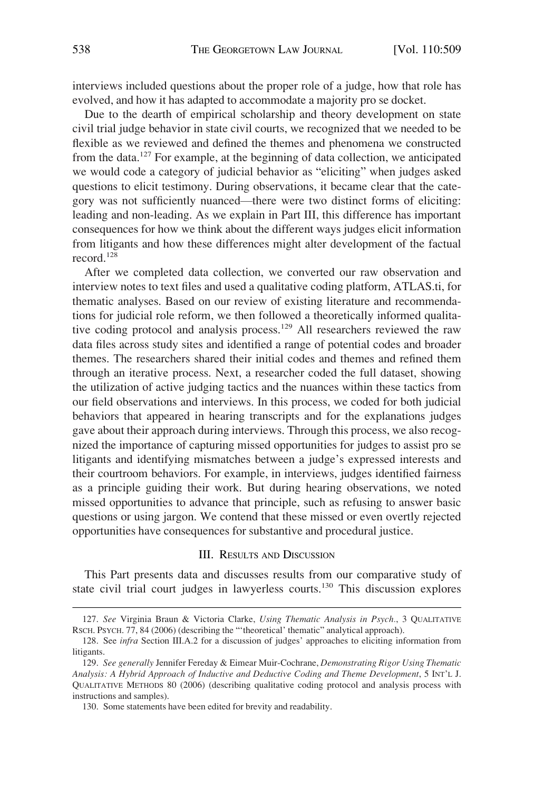<span id="page-30-0"></span>interviews included questions about the proper role of a judge, how that role has evolved, and how it has adapted to accommodate a majority pro se docket.

Due to the dearth of empirical scholarship and theory development on state civil trial judge behavior in state civil courts, we recognized that we needed to be flexible as we reviewed and defined the themes and phenomena we constructed from the data.127 For example, at the beginning of data collection, we anticipated we would code a category of judicial behavior as "eliciting" when judges asked questions to elicit testimony. During observations, it became clear that the category was not sufficiently nuanced—there were two distinct forms of eliciting: leading and non-leading. As we explain in Part III, this difference has important consequences for how we think about the different ways judges elicit information from litigants and how these differences might alter development of the factual record<sup>128</sup>

After we completed data collection, we converted our raw observation and interview notes to text files and used a qualitative coding platform, ATLAS.ti, for thematic analyses. Based on our review of existing literature and recommendations for judicial role reform, we then followed a theoretically informed qualitative coding protocol and analysis process.129 All researchers reviewed the raw data files across study sites and identified a range of potential codes and broader themes. The researchers shared their initial codes and themes and refined them through an iterative process. Next, a researcher coded the full dataset, showing the utilization of active judging tactics and the nuances within these tactics from our field observations and interviews. In this process, we coded for both judicial behaviors that appeared in hearing transcripts and for the explanations judges gave about their approach during interviews. Through this process, we also recognized the importance of capturing missed opportunities for judges to assist pro se litigants and identifying mismatches between a judge's expressed interests and their courtroom behaviors. For example, in interviews, judges identified fairness as a principle guiding their work. But during hearing observations, we noted missed opportunities to advance that principle, such as refusing to answer basic questions or using jargon. We contend that these missed or even overtly rejected opportunities have consequences for substantive and procedural justice.

# III. RESULTS AND DISCUSSION

This Part presents data and discusses results from our comparative study of state civil trial court judges in lawyerless courts.130 This discussion explores

<sup>127.</sup> *See* Virginia Braun & Victoria Clarke, *Using Thematic Analysis in Psych.*, 3 QUALITATIVE RSCH. PSYCH. 77, 84 (2006) (describing the "'theoretical' thematic" analytical approach).

<sup>128.</sup> See *infra* Section III.A.2 for a discussion of judges' approaches to eliciting information from litigants.

<sup>129.</sup> *See generally* Jennifer Fereday & Eimear Muir-Cochrane, *Demonstrating Rigor Using Thematic Analysis: A Hybrid Approach of Inductive and Deductive Coding and Theme Development*, 5 INT'L J. QUALITATIVE METHODS 80 (2006) (describing qualitative coding protocol and analysis process with instructions and samples).

<sup>130.</sup> Some statements have been edited for brevity and readability.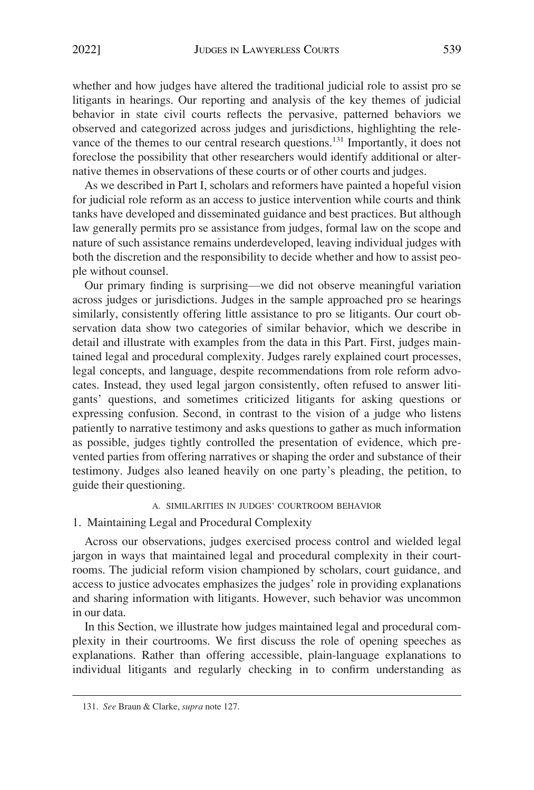<span id="page-31-0"></span>whether and how judges have altered the traditional judicial role to assist pro se litigants in hearings. Our reporting and analysis of the key themes of judicial behavior in state civil courts reflects the pervasive, patterned behaviors we observed and categorized across judges and jurisdictions, highlighting the relevance of the themes to our central research questions.<sup>131</sup> Importantly, it does not foreclose the possibility that other researchers would identify additional or alternative themes in observations of these courts or of other courts and judges.

As we described in Part I, scholars and reformers have painted a hopeful vision for judicial role reform as an access to justice intervention while courts and think tanks have developed and disseminated guidance and best practices. But although law generally permits pro se assistance from judges, formal law on the scope and nature of such assistance remains underdeveloped, leaving individual judges with both the discretion and the responsibility to decide whether and how to assist people without counsel.

Our primary finding is surprising—we did not observe meaningful variation across judges or jurisdictions. Judges in the sample approached pro se hearings similarly, consistently offering little assistance to pro se litigants. Our court observation data show two categories of similar behavior, which we describe in detail and illustrate with examples from the data in this Part. First, judges maintained legal and procedural complexity. Judges rarely explained court processes, legal concepts, and language, despite recommendations from role reform advocates. Instead, they used legal jargon consistently, often refused to answer litigants' questions, and sometimes criticized litigants for asking questions or expressing confusion. Second, in contrast to the vision of a judge who listens patiently to narrative testimony and asks questions to gather as much information as possible, judges tightly controlled the presentation of evidence, which prevented parties from offering narratives or shaping the order and substance of their testimony. Judges also leaned heavily on one party's pleading, the petition, to guide their questioning.

# A. SIMILARITIES IN JUDGES' COURTROOM BEHAVIOR

## 1. Maintaining Legal and Procedural Complexity

Across our observations, judges exercised process control and wielded legal jargon in ways that maintained legal and procedural complexity in their courtrooms. The judicial reform vision championed by scholars, court guidance, and access to justice advocates emphasizes the judges' role in providing explanations and sharing information with litigants. However, such behavior was uncommon in our data.

In this Section, we illustrate how judges maintained legal and procedural complexity in their courtrooms. We first discuss the role of opening speeches as explanations. Rather than offering accessible, plain-language explanations to individual litigants and regularly checking in to confirm understanding as

<sup>131.</sup> *See* Braun & Clarke, *supra* note 127.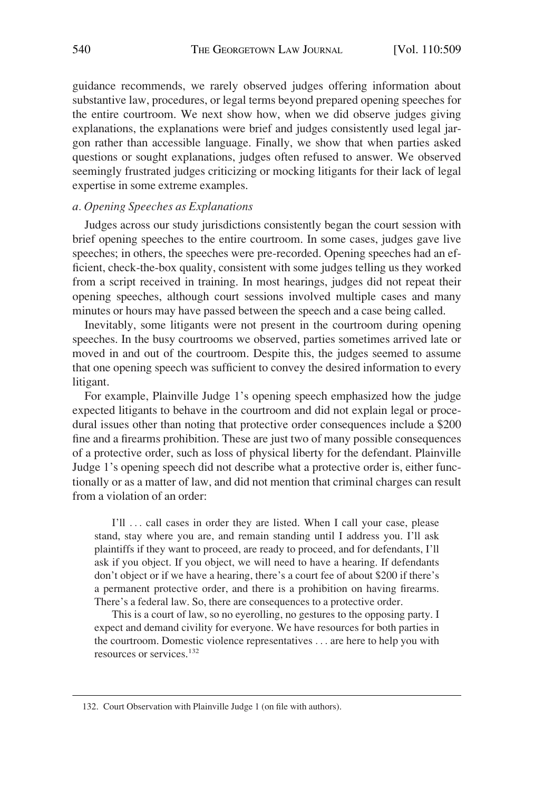<span id="page-32-0"></span>guidance recommends, we rarely observed judges offering information about substantive law, procedures, or legal terms beyond prepared opening speeches for the entire courtroom. We next show how, when we did observe judges giving explanations, the explanations were brief and judges consistently used legal jargon rather than accessible language. Finally, we show that when parties asked questions or sought explanations, judges often refused to answer. We observed seemingly frustrated judges criticizing or mocking litigants for their lack of legal expertise in some extreme examples.

# *a. Opening Speeches as Explanations*

Judges across our study jurisdictions consistently began the court session with brief opening speeches to the entire courtroom. In some cases, judges gave live speeches; in others, the speeches were pre-recorded. Opening speeches had an efficient, check-the-box quality, consistent with some judges telling us they worked from a script received in training. In most hearings, judges did not repeat their opening speeches, although court sessions involved multiple cases and many minutes or hours may have passed between the speech and a case being called.

Inevitably, some litigants were not present in the courtroom during opening speeches. In the busy courtrooms we observed, parties sometimes arrived late or moved in and out of the courtroom. Despite this, the judges seemed to assume that one opening speech was sufficient to convey the desired information to every litigant.

For example, Plainville Judge 1's opening speech emphasized how the judge expected litigants to behave in the courtroom and did not explain legal or procedural issues other than noting that protective order consequences include a \$200 fine and a firearms prohibition. These are just two of many possible consequences of a protective order, such as loss of physical liberty for the defendant. Plainville Judge 1's opening speech did not describe what a protective order is, either functionally or as a matter of law, and did not mention that criminal charges can result from a violation of an order:

I'll ... call cases in order they are listed. When I call your case, please stand, stay where you are, and remain standing until I address you. I'll ask plaintiffs if they want to proceed, are ready to proceed, and for defendants, I'll ask if you object. If you object, we will need to have a hearing. If defendants don't object or if we have a hearing, there's a court fee of about \$200 if there's a permanent protective order, and there is a prohibition on having firearms. There's a federal law. So, there are consequences to a protective order.

This is a court of law, so no eyerolling, no gestures to the opposing party. I expect and demand civility for everyone. We have resources for both parties in the courtroom. Domestic violence representatives . . . are here to help you with resources or services.<sup>132</sup>

<sup>132.</sup> Court Observation with Plainville Judge 1 (on file with authors).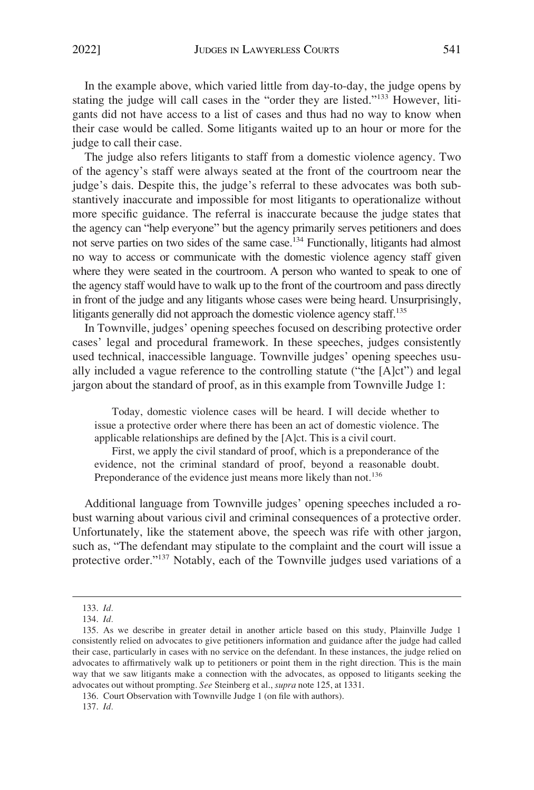In the example above, which varied little from day-to-day, the judge opens by stating the judge will call cases in the "order they are listed."133 However, litigants did not have access to a list of cases and thus had no way to know when their case would be called. Some litigants waited up to an hour or more for the judge to call their case.

The judge also refers litigants to staff from a domestic violence agency. Two of the agency's staff were always seated at the front of the courtroom near the judge's dais. Despite this, the judge's referral to these advocates was both substantively inaccurate and impossible for most litigants to operationalize without more specific guidance. The referral is inaccurate because the judge states that the agency can "help everyone" but the agency primarily serves petitioners and does not serve parties on two sides of the same case.134 Functionally, litigants had almost no way to access or communicate with the domestic violence agency staff given where they were seated in the courtroom. A person who wanted to speak to one of the agency staff would have to walk up to the front of the courtroom and pass directly in front of the judge and any litigants whose cases were being heard. Unsurprisingly, litigants generally did not approach the domestic violence agency staff.<sup>135</sup>

In Townville, judges' opening speeches focused on describing protective order cases' legal and procedural framework. In these speeches, judges consistently used technical, inaccessible language. Townville judges' opening speeches usually included a vague reference to the controlling statute ("the [A]ct") and legal jargon about the standard of proof, as in this example from Townville Judge 1:

Today, domestic violence cases will be heard. I will decide whether to issue a protective order where there has been an act of domestic violence. The applicable relationships are defined by the [A]ct. This is a civil court.

First, we apply the civil standard of proof, which is a preponderance of the evidence, not the criminal standard of proof, beyond a reasonable doubt. Preponderance of the evidence just means more likely than not.<sup>136</sup>

Additional language from Townville judges' opening speeches included a robust warning about various civil and criminal consequences of a protective order. Unfortunately, like the statement above, the speech was rife with other jargon, such as, "The defendant may stipulate to the complaint and the court will issue a protective order."<sup>137</sup> Notably, each of the Townville judges used variations of a

<sup>133.</sup> *Id.* 

<sup>134.</sup> *Id.* 

<sup>135.</sup> As we describe in greater detail in another article based on this study, Plainville Judge 1 consistently relied on advocates to give petitioners information and guidance after the judge had called their case, particularly in cases with no service on the defendant. In these instances, the judge relied on advocates to affirmatively walk up to petitioners or point them in the right direction. This is the main way that we saw litigants make a connection with the advocates, as opposed to litigants seeking the advocates out without prompting. *See* Steinberg et al., *supra* note 125, at 1331.

<sup>136.</sup> Court Observation with Townville Judge 1 (on file with authors).

<sup>137.</sup> *Id.*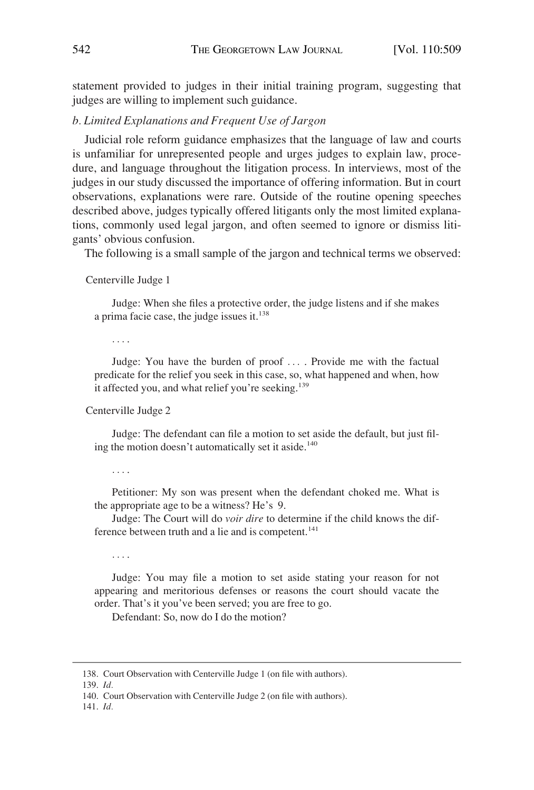<span id="page-34-0"></span>statement provided to judges in their initial training program, suggesting that judges are willing to implement such guidance.

# *b. Limited Explanations and Frequent Use of Jargon*

Judicial role reform guidance emphasizes that the language of law and courts is unfamiliar for unrepresented people and urges judges to explain law, procedure, and language throughout the litigation process. In interviews, most of the judges in our study discussed the importance of offering information. But in court observations, explanations were rare. Outside of the routine opening speeches described above, judges typically offered litigants only the most limited explanations, commonly used legal jargon, and often seemed to ignore or dismiss litigants' obvious confusion.

The following is a small sample of the jargon and technical terms we observed:

Centerville Judge 1

Judge: When she files a protective order, the judge listens and if she makes a prima facie case, the judge issues it.<sup>138</sup>

. . . .

Judge: You have the burden of proof . . . . Provide me with the factual predicate for the relief you seek in this case, so, what happened and when, how it affected you, and what relief you're seeking.<sup>139</sup>

Centerville Judge 2

Judge: The defendant can file a motion to set aside the default, but just filing the motion doesn't automatically set it aside.<sup>140</sup>

. . . .

Petitioner: My son was present when the defendant choked me. What is the appropriate age to be a witness? He's 9.

Judge: The Court will do *voir dire* to determine if the child knows the difference between truth and a lie and is competent.<sup>141</sup>

. . . .

Judge: You may file a motion to set aside stating your reason for not appearing and meritorious defenses or reasons the court should vacate the order. That's it you've been served; you are free to go.

Defendant: So, now do I do the motion?

<sup>138.</sup> Court Observation with Centerville Judge 1 (on file with authors).

<sup>139.</sup> *Id.* 

<sup>140.</sup> Court Observation with Centerville Judge 2 (on file with authors).

<sup>141.</sup> *Id.*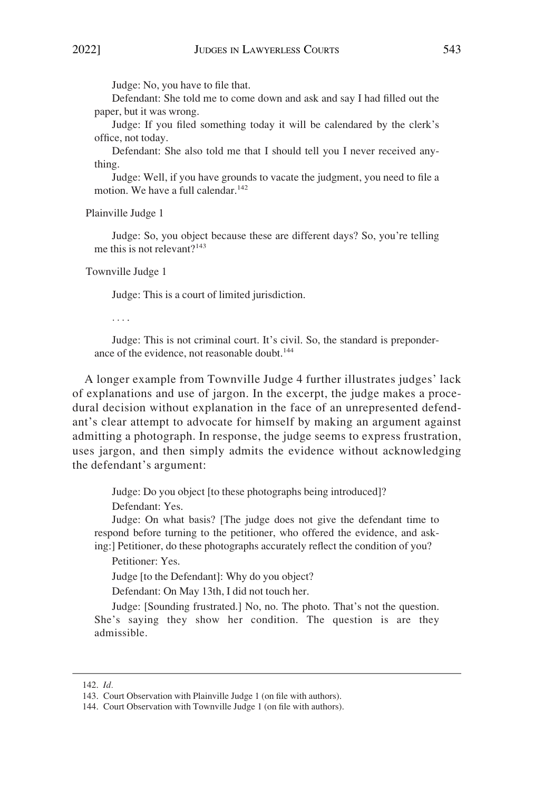Judge: No, you have to file that.

Defendant: She told me to come down and ask and say I had filled out the paper, but it was wrong.

Judge: If you filed something today it will be calendared by the clerk's office, not today.

Defendant: She also told me that I should tell you I never received anything.

Judge: Well, if you have grounds to vacate the judgment, you need to file a motion. We have a full calendar.<sup>142</sup>

Plainville Judge 1

Judge: So, you object because these are different days? So, you're telling me this is not relevant?<sup>143</sup>

Townville Judge 1

Judge: This is a court of limited jurisdiction.

. . . .

Judge: This is not criminal court. It's civil. So, the standard is preponderance of the evidence, not reasonable doubt.<sup>144</sup>

A longer example from Townville Judge 4 further illustrates judges' lack of explanations and use of jargon. In the excerpt, the judge makes a procedural decision without explanation in the face of an unrepresented defendant's clear attempt to advocate for himself by making an argument against admitting a photograph. In response, the judge seems to express frustration, uses jargon, and then simply admits the evidence without acknowledging the defendant's argument:

> Judge: Do you object [to these photographs being introduced]? Defendant: Yes.

Judge: On what basis? [The judge does not give the defendant time to respond before turning to the petitioner, who offered the evidence, and asking:] Petitioner, do these photographs accurately reflect the condition of you?

Petitioner: Yes.

Judge [to the Defendant]: Why do you object?

Defendant: On May 13th, I did not touch her.

Judge: [Sounding frustrated.] No, no. The photo. That's not the question. She's saying they show her condition. The question is are they admissible.

<sup>142.</sup> *Id.* 

<sup>143.</sup> Court Observation with Plainville Judge 1 (on file with authors).

<sup>144.</sup> Court Observation with Townville Judge 1 (on file with authors).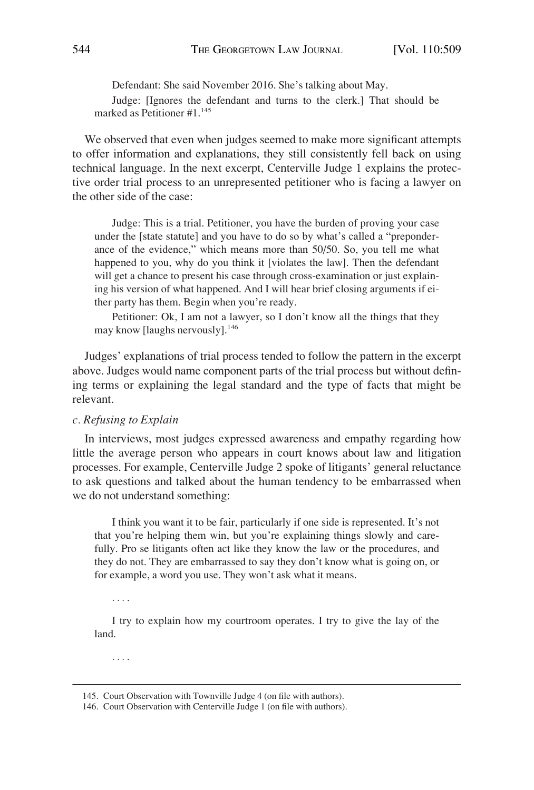<span id="page-36-0"></span>Defendant: She said November 2016. She's talking about May. Judge: [Ignores the defendant and turns to the clerk.] That should be marked as Petitioner #1.145

We observed that even when judges seemed to make more significant attempts to offer information and explanations, they still consistently fell back on using technical language. In the next excerpt, Centerville Judge 1 explains the protective order trial process to an unrepresented petitioner who is facing a lawyer on the other side of the case:

Judge: This is a trial. Petitioner, you have the burden of proving your case under the [state statute] and you have to do so by what's called a "preponderance of the evidence," which means more than 50/50. So, you tell me what happened to you, why do you think it [violates the law]. Then the defendant will get a chance to present his case through cross-examination or just explaining his version of what happened. And I will hear brief closing arguments if either party has them. Begin when you're ready.

Petitioner: Ok, I am not a lawyer, so I don't know all the things that they may know [laughs nervously].<sup>146</sup>

Judges' explanations of trial process tended to follow the pattern in the excerpt above. Judges would name component parts of the trial process but without defining terms or explaining the legal standard and the type of facts that might be relevant.

#### *c. Refusing to Explain*

In interviews, most judges expressed awareness and empathy regarding how little the average person who appears in court knows about law and litigation processes. For example, Centerville Judge 2 spoke of litigants' general reluctance to ask questions and talked about the human tendency to be embarrassed when we do not understand something:

I think you want it to be fair, particularly if one side is represented. It's not that you're helping them win, but you're explaining things slowly and carefully. Pro se litigants often act like they know the law or the procedures, and they do not. They are embarrassed to say they don't know what is going on, or for example, a word you use. They won't ask what it means.

. . . .

I try to explain how my courtroom operates. I try to give the lay of the land.

. . . .

<sup>145.</sup> Court Observation with Townville Judge 4 (on file with authors).

<sup>146.</sup> Court Observation with Centerville Judge 1 (on file with authors).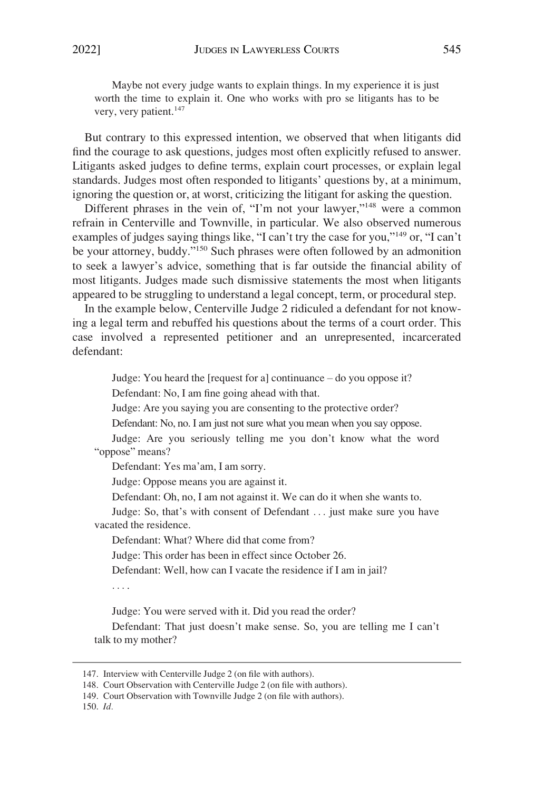Maybe not every judge wants to explain things. In my experience it is just worth the time to explain it. One who works with pro se litigants has to be very, very patient.<sup>147</sup>

But contrary to this expressed intention, we observed that when litigants did find the courage to ask questions, judges most often explicitly refused to answer. Litigants asked judges to define terms, explain court processes, or explain legal standards. Judges most often responded to litigants' questions by, at a minimum, ignoring the question or, at worst, criticizing the litigant for asking the question.

Different phrases in the vein of, "I'm not your lawyer,"<sup>148</sup> were a common refrain in Centerville and Townville, in particular. We also observed numerous examples of judges saying things like, "I can't try the case for you,"149 or, "I can't be your attorney, buddy."<sup>150</sup> Such phrases were often followed by an admonition to seek a lawyer's advice, something that is far outside the financial ability of most litigants. Judges made such dismissive statements the most when litigants appeared to be struggling to understand a legal concept, term, or procedural step.

In the example below, Centerville Judge 2 ridiculed a defendant for not knowing a legal term and rebuffed his questions about the terms of a court order. This case involved a represented petitioner and an unrepresented, incarcerated defendant:

Judge: You heard the [request for a] continuance – do you oppose it?

Defendant: No, I am fine going ahead with that.

Judge: Are you saying you are consenting to the protective order?

Defendant: No, no. I am just not sure what you mean when you say oppose.

Judge: Are you seriously telling me you don't know what the word "oppose" means?

Defendant: Yes ma'am, I am sorry.

Judge: Oppose means you are against it.

Defendant: Oh, no, I am not against it. We can do it when she wants to.

Judge: So, that's with consent of Defendant . . . just make sure you have vacated the residence.

Defendant: What? Where did that come from?

Judge: This order has been in effect since October 26.

Defendant: Well, how can I vacate the residence if I am in jail?

. . . .

Judge: You were served with it. Did you read the order?

Defendant: That just doesn't make sense. So, you are telling me I can't talk to my mother?

150. *Id.* 

<sup>147.</sup> Interview with Centerville Judge 2 (on file with authors).

<sup>148.</sup> Court Observation with Centerville Judge 2 (on file with authors).

<sup>149.</sup> Court Observation with Townville Judge 2 (on file with authors).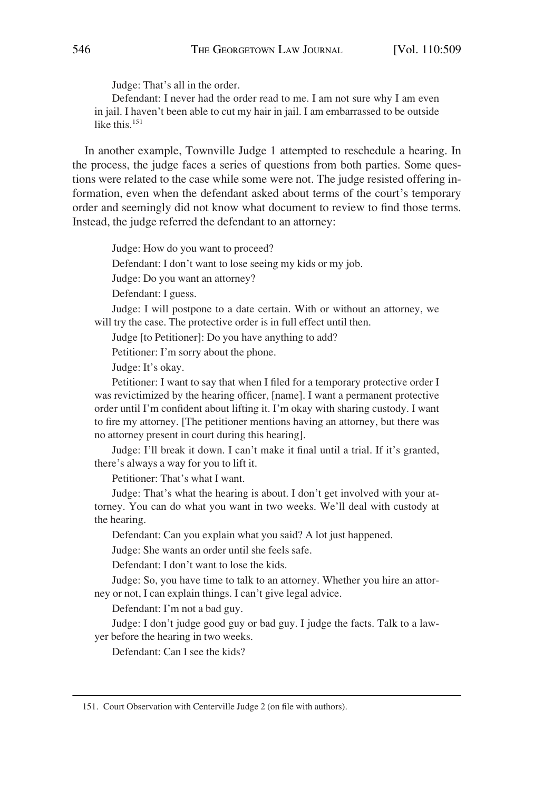Judge: That's all in the order.

Defendant: I never had the order read to me. I am not sure why I am even in jail. I haven't been able to cut my hair in jail. I am embarrassed to be outside like this.<sup>151</sup>

In another example, Townville Judge 1 attempted to reschedule a hearing. In the process, the judge faces a series of questions from both parties. Some questions were related to the case while some were not. The judge resisted offering information, even when the defendant asked about terms of the court's temporary order and seemingly did not know what document to review to find those terms. Instead, the judge referred the defendant to an attorney:

Judge: How do you want to proceed?

Defendant: I don't want to lose seeing my kids or my job.

Judge: Do you want an attorney?

Defendant: I guess.

Judge: I will postpone to a date certain. With or without an attorney, we will try the case. The protective order is in full effect until then.

Judge [to Petitioner]: Do you have anything to add?

Petitioner: I'm sorry about the phone.

Judge: It's okay.

Petitioner: I want to say that when I filed for a temporary protective order I was revictimized by the hearing officer, [name]. I want a permanent protective order until I'm confident about lifting it. I'm okay with sharing custody. I want to fire my attorney. [The petitioner mentions having an attorney, but there was no attorney present in court during this hearing].

Judge: I'll break it down. I can't make it final until a trial. If it's granted, there's always a way for you to lift it.

Petitioner: That's what I want.

Judge: That's what the hearing is about. I don't get involved with your attorney. You can do what you want in two weeks. We'll deal with custody at the hearing.

Defendant: Can you explain what you said? A lot just happened.

Judge: She wants an order until she feels safe.

Defendant: I don't want to lose the kids.

Judge: So, you have time to talk to an attorney. Whether you hire an attorney or not, I can explain things. I can't give legal advice.

Defendant: I'm not a bad guy.

Judge: I don't judge good guy or bad guy. I judge the facts. Talk to a lawyer before the hearing in two weeks.

Defendant: Can I see the kids?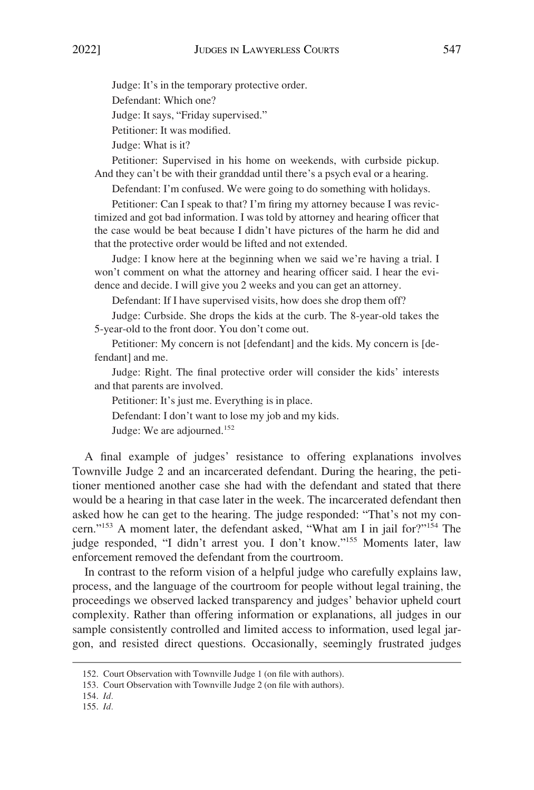Judge: It's in the temporary protective order.

Defendant: Which one?

Judge: It says, "Friday supervised."

Petitioner: It was modified.

Judge: What is it?

Petitioner: Supervised in his home on weekends, with curbside pickup. And they can't be with their granddad until there's a psych eval or a hearing.

Defendant: I'm confused. We were going to do something with holidays.

Petitioner: Can I speak to that? I'm firing my attorney because I was revictimized and got bad information. I was told by attorney and hearing officer that the case would be beat because I didn't have pictures of the harm he did and that the protective order would be lifted and not extended.

Judge: I know here at the beginning when we said we're having a trial. I won't comment on what the attorney and hearing officer said. I hear the evidence and decide. I will give you 2 weeks and you can get an attorney.

Defendant: If I have supervised visits, how does she drop them off?

Judge: Curbside. She drops the kids at the curb. The 8-year-old takes the 5-year-old to the front door. You don't come out.

Petitioner: My concern is not [defendant] and the kids. My concern is [defendant] and me.

Judge: Right. The final protective order will consider the kids' interests and that parents are involved.

Petitioner: It's just me. Everything is in place.

Defendant: I don't want to lose my job and my kids.

Judge: We are adjourned.<sup>152</sup>

A final example of judges' resistance to offering explanations involves Townville Judge 2 and an incarcerated defendant. During the hearing, the petitioner mentioned another case she had with the defendant and stated that there would be a hearing in that case later in the week. The incarcerated defendant then asked how he can get to the hearing. The judge responded: "That's not my concern."153 A moment later, the defendant asked, "What am I in jail for?"154 The judge responded, "I didn't arrest you. I don't know."155 Moments later, law enforcement removed the defendant from the courtroom.

In contrast to the reform vision of a helpful judge who carefully explains law, process, and the language of the courtroom for people without legal training, the proceedings we observed lacked transparency and judges' behavior upheld court complexity. Rather than offering information or explanations, all judges in our sample consistently controlled and limited access to information, used legal jargon, and resisted direct questions. Occasionally, seemingly frustrated judges

- 154. *Id.*
- 155. *Id.*

<sup>152.</sup> Court Observation with Townville Judge 1 (on file with authors).

<sup>153.</sup> Court Observation with Townville Judge 2 (on file with authors).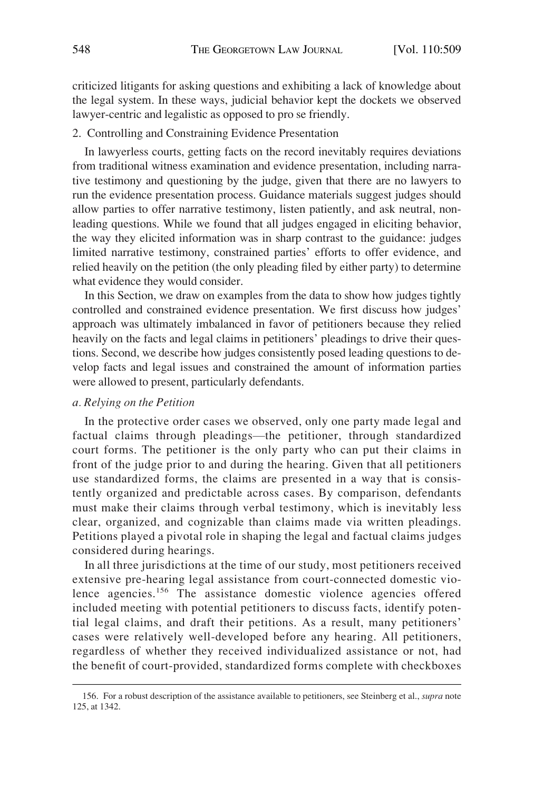<span id="page-40-0"></span>criticized litigants for asking questions and exhibiting a lack of knowledge about the legal system. In these ways, judicial behavior kept the dockets we observed lawyer-centric and legalistic as opposed to pro se friendly.

# 2. Controlling and Constraining Evidence Presentation

In lawyerless courts, getting facts on the record inevitably requires deviations from traditional witness examination and evidence presentation, including narrative testimony and questioning by the judge, given that there are no lawyers to run the evidence presentation process. Guidance materials suggest judges should allow parties to offer narrative testimony, listen patiently, and ask neutral, nonleading questions. While we found that all judges engaged in eliciting behavior, the way they elicited information was in sharp contrast to the guidance: judges limited narrative testimony, constrained parties' efforts to offer evidence, and relied heavily on the petition (the only pleading filed by either party) to determine what evidence they would consider.

In this Section, we draw on examples from the data to show how judges tightly controlled and constrained evidence presentation. We first discuss how judges' approach was ultimately imbalanced in favor of petitioners because they relied heavily on the facts and legal claims in petitioners' pleadings to drive their questions. Second, we describe how judges consistently posed leading questions to develop facts and legal issues and constrained the amount of information parties were allowed to present, particularly defendants.

# *a. Relying on the Petition*

In the protective order cases we observed, only one party made legal and factual claims through pleadings—the petitioner, through standardized court forms. The petitioner is the only party who can put their claims in front of the judge prior to and during the hearing. Given that all petitioners use standardized forms, the claims are presented in a way that is consistently organized and predictable across cases. By comparison, defendants must make their claims through verbal testimony, which is inevitably less clear, organized, and cognizable than claims made via written pleadings. Petitions played a pivotal role in shaping the legal and factual claims judges considered during hearings.

In all three jurisdictions at the time of our study, most petitioners received extensive pre-hearing legal assistance from court-connected domestic violence agencies.<sup>156</sup> The assistance domestic violence agencies offered included meeting with potential petitioners to discuss facts, identify potential legal claims, and draft their petitions. As a result, many petitioners' cases were relatively well-developed before any hearing. All petitioners, regardless of whether they received individualized assistance or not, had the benefit of court-provided, standardized forms complete with checkboxes

<sup>156.</sup> For a robust description of the assistance available to petitioners, see Steinberg et al., *supra* note 125, at 1342.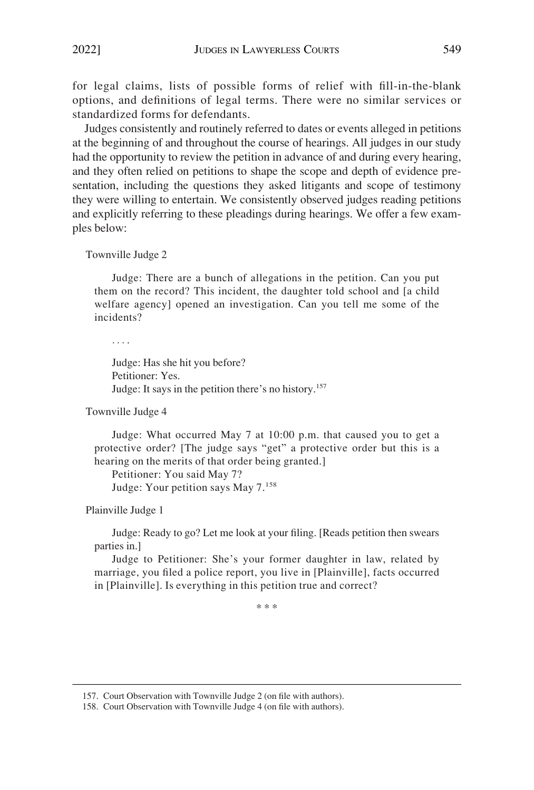for legal claims, lists of possible forms of relief with fill-in-the-blank options, and definitions of legal terms. There were no similar services or standardized forms for defendants.

Judges consistently and routinely referred to dates or events alleged in petitions at the beginning of and throughout the course of hearings. All judges in our study had the opportunity to review the petition in advance of and during every hearing, and they often relied on petitions to shape the scope and depth of evidence presentation, including the questions they asked litigants and scope of testimony they were willing to entertain. We consistently observed judges reading petitions and explicitly referring to these pleadings during hearings. We offer a few examples below:

Townville Judge 2

Judge: There are a bunch of allegations in the petition. Can you put them on the record? This incident, the daughter told school and [a child welfare agency] opened an investigation. Can you tell me some of the incidents?

. . . .

Judge: Has she hit you before? Petitioner: Yes. Judge: It says in the petition there's no history.<sup>157</sup>

Townville Judge 4

Judge: What occurred May 7 at 10:00 p.m. that caused you to get a protective order? [The judge says "get" a protective order but this is a hearing on the merits of that order being granted.]

Petitioner: You said May 7?

Judge: Your petition says May 7.<sup>158</sup>

Plainville Judge 1

Judge: Ready to go? Let me look at your filing. [Reads petition then swears parties in.]

Judge to Petitioner: She's your former daughter in law, related by marriage, you filed a police report, you live in [Plainville], facts occurred in [Plainville]. Is everything in this petition true and correct?

\* \* \*

<sup>157.</sup> Court Observation with Townville Judge 2 (on file with authors).

<sup>158.</sup> Court Observation with Townville Judge 4 (on file with authors).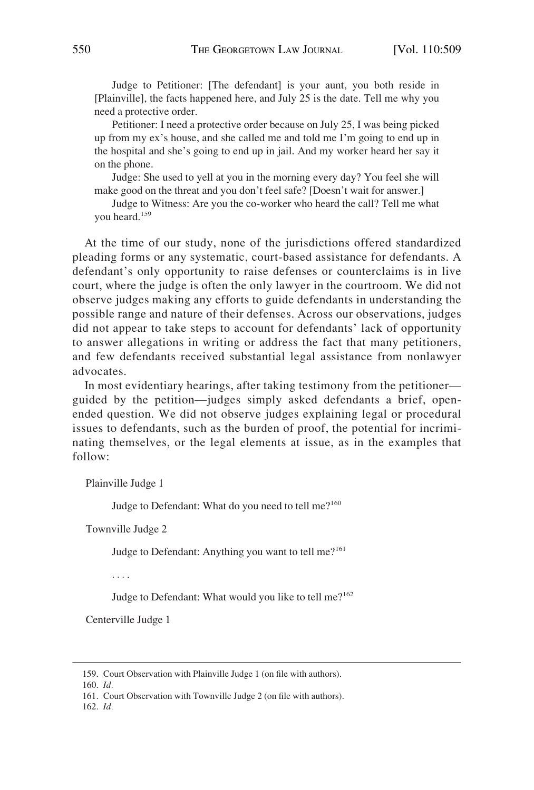Judge to Petitioner: [The defendant] is your aunt, you both reside in [Plainville], the facts happened here, and July 25 is the date. Tell me why you need a protective order.

Petitioner: I need a protective order because on July 25, I was being picked up from my ex's house, and she called me and told me I'm going to end up in the hospital and she's going to end up in jail. And my worker heard her say it on the phone.

Judge: She used to yell at you in the morning every day? You feel she will make good on the threat and you don't feel safe? [Doesn't wait for answer.]

Judge to Witness: Are you the co-worker who heard the call? Tell me what you heard.<sup>159</sup>

At the time of our study, none of the jurisdictions offered standardized pleading forms or any systematic, court-based assistance for defendants. A defendant's only opportunity to raise defenses or counterclaims is in live court, where the judge is often the only lawyer in the courtroom. We did not observe judges making any efforts to guide defendants in understanding the possible range and nature of their defenses. Across our observations, judges did not appear to take steps to account for defendants' lack of opportunity to answer allegations in writing or address the fact that many petitioners, and few defendants received substantial legal assistance from nonlawyer advocates.

In most evidentiary hearings, after taking testimony from the petitioner guided by the petition—judges simply asked defendants a brief, openended question. We did not observe judges explaining legal or procedural issues to defendants, such as the burden of proof, the potential for incriminating themselves, or the legal elements at issue, as in the examples that follow:

Plainville Judge 1

Judge to Defendant: What do you need to tell me?<sup>160</sup>

Townville Judge 2

Judge to Defendant: Anything you want to tell me?<sup>161</sup>

. . . .

Judge to Defendant: What would you like to tell me?<sup>162</sup>

Centerville Judge 1

160. *Id.* 

<sup>159.</sup> Court Observation with Plainville Judge 1 (on file with authors).

<sup>161.</sup> Court Observation with Townville Judge 2 (on file with authors).

<sup>162.</sup> *Id.*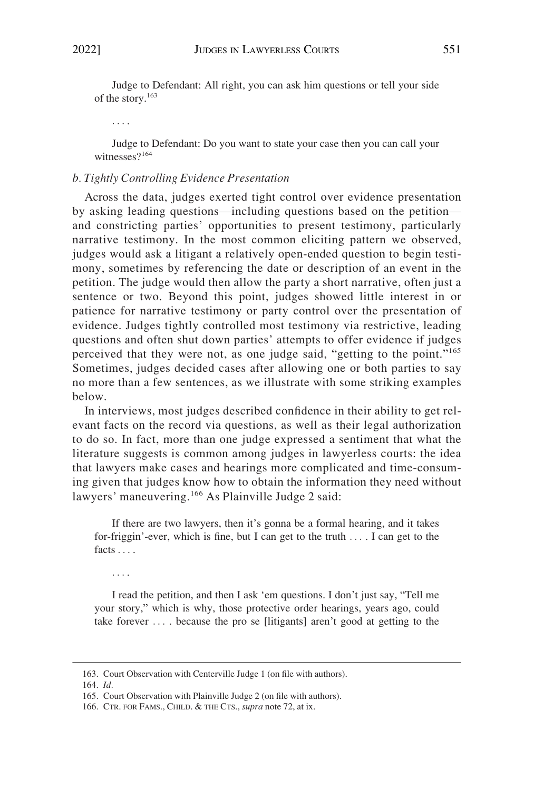<span id="page-43-0"></span>Judge to Defendant: All right, you can ask him questions or tell your side of the story.<sup>163</sup>

. . . .

Judge to Defendant: Do you want to state your case then you can call your witnesses?<sup>164</sup>

#### *b. Tightly Controlling Evidence Presentation*

Across the data, judges exerted tight control over evidence presentation by asking leading questions—including questions based on the petition and constricting parties' opportunities to present testimony, particularly narrative testimony. In the most common eliciting pattern we observed, judges would ask a litigant a relatively open-ended question to begin testimony, sometimes by referencing the date or description of an event in the petition. The judge would then allow the party a short narrative, often just a sentence or two. Beyond this point, judges showed little interest in or patience for narrative testimony or party control over the presentation of evidence. Judges tightly controlled most testimony via restrictive, leading questions and often shut down parties' attempts to offer evidence if judges perceived that they were not, as one judge said, "getting to the point."<sup>165</sup> Sometimes, judges decided cases after allowing one or both parties to say no more than a few sentences, as we illustrate with some striking examples below.

In interviews, most judges described confidence in their ability to get relevant facts on the record via questions, as well as their legal authorization to do so. In fact, more than one judge expressed a sentiment that what the literature suggests is common among judges in lawyerless courts: the idea that lawyers make cases and hearings more complicated and time-consuming given that judges know how to obtain the information they need without lawyers' maneuvering.<sup>166</sup> As Plainville Judge 2 said:

If there are two lawyers, then it's gonna be a formal hearing, and it takes for-friggin'-ever, which is fine, but I can get to the truth . . . . I can get to the facts . . . .

. . . .

I read the petition, and then I ask 'em questions. I don't just say, "Tell me your story," which is why, those protective order hearings, years ago, could take forever  $\dots$  because the pro se [litigants] aren't good at getting to the

<sup>163.</sup> Court Observation with Centerville Judge 1 (on file with authors).

<sup>164.</sup> *Id.* 

<sup>165.</sup> Court Observation with Plainville Judge 2 (on file with authors).

<sup>166.</sup> CTR. FOR FAMS., CHILD. & THE CTS., *supra* note 72, at ix.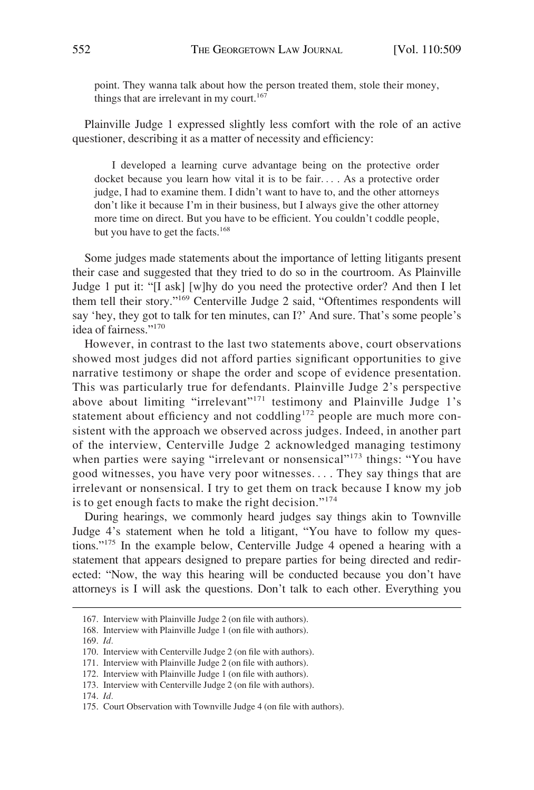point. They wanna talk about how the person treated them, stole their money, things that are irrelevant in my court.<sup>167</sup>

Plainville Judge 1 expressed slightly less comfort with the role of an active questioner, describing it as a matter of necessity and efficiency:

I developed a learning curve advantage being on the protective order docket because you learn how vital it is to be fair. . . . As a protective order judge, I had to examine them. I didn't want to have to, and the other attorneys don't like it because I'm in their business, but I always give the other attorney more time on direct. But you have to be efficient. You couldn't coddle people, but you have to get the facts.<sup>168</sup>

Some judges made statements about the importance of letting litigants present their case and suggested that they tried to do so in the courtroom. As Plainville Judge 1 put it: "[I ask] [w]hy do you need the protective order? And then I let them tell their story."169 Centerville Judge 2 said, "Oftentimes respondents will say 'hey, they got to talk for ten minutes, can I?' And sure. That's some people's idea of fairness."<sup>170</sup>

However, in contrast to the last two statements above, court observations showed most judges did not afford parties significant opportunities to give narrative testimony or shape the order and scope of evidence presentation. This was particularly true for defendants. Plainville Judge 2's perspective above about limiting "irrelevant"<sup>171</sup> testimony and Plainville Judge 1's statement about efficiency and not coddling<sup>172</sup> people are much more consistent with the approach we observed across judges. Indeed, in another part of the interview, Centerville Judge 2 acknowledged managing testimony when parties were saying "irrelevant or nonsensical"<sup>173</sup> things: "You have good witnesses, you have very poor witnesses. . . . They say things that are irrelevant or nonsensical. I try to get them on track because I know my job is to get enough facts to make the right decision."<sup>174</sup>

During hearings, we commonly heard judges say things akin to Townville Judge 4's statement when he told a litigant, "You have to follow my questions."175 In the example below, Centerville Judge 4 opened a hearing with a statement that appears designed to prepare parties for being directed and redirected: "Now, the way this hearing will be conducted because you don't have attorneys is I will ask the questions. Don't talk to each other. Everything you

168. Interview with Plainville Judge 1 (on file with authors).

<sup>167.</sup> Interview with Plainville Judge 2 (on file with authors).

<sup>169.</sup> *Id.* 

<sup>170.</sup> Interview with Centerville Judge 2 (on file with authors).

<sup>171.</sup> Interview with Plainville Judge 2 (on file with authors).

<sup>172.</sup> Interview with Plainville Judge 1 (on file with authors).

<sup>173.</sup> Interview with Centerville Judge 2 (on file with authors).

<sup>174.</sup> *Id.* 

<sup>175.</sup> Court Observation with Townville Judge 4 (on file with authors).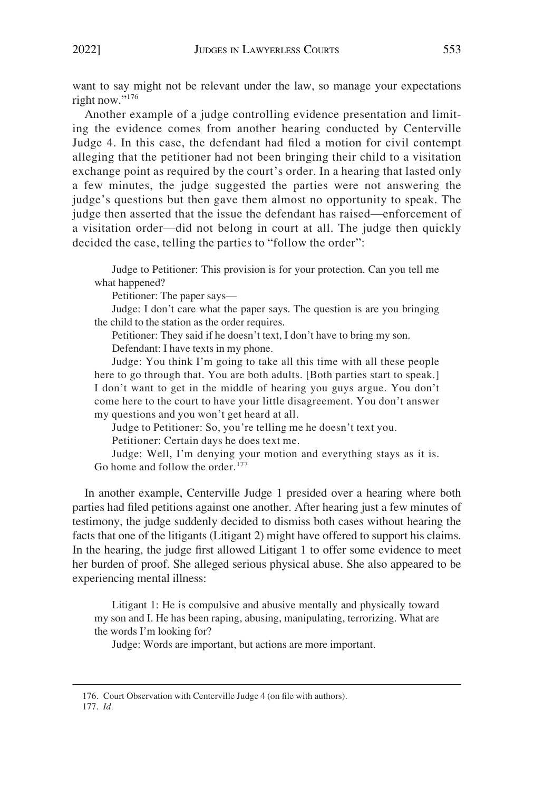want to say might not be relevant under the law, so manage your expectations right now."<sup>176</sup>

Another example of a judge controlling evidence presentation and limiting the evidence comes from another hearing conducted by Centerville Judge 4. In this case, the defendant had filed a motion for civil contempt alleging that the petitioner had not been bringing their child to a visitation exchange point as required by the court's order. In a hearing that lasted only a few minutes, the judge suggested the parties were not answering the judge's questions but then gave them almost no opportunity to speak. The judge then asserted that the issue the defendant has raised—enforcement of a visitation order—did not belong in court at all. The judge then quickly decided the case, telling the parties to "follow the order":

Judge to Petitioner: This provision is for your protection. Can you tell me what happened?

Petitioner: The paper says—

Judge: I don't care what the paper says. The question is are you bringing the child to the station as the order requires.

Petitioner: They said if he doesn't text, I don't have to bring my son.

Defendant: I have texts in my phone.

Judge: You think I'm going to take all this time with all these people here to go through that. You are both adults. [Both parties start to speak.] I don't want to get in the middle of hearing you guys argue. You don't come here to the court to have your little disagreement. You don't answer my questions and you won't get heard at all.

Judge to Petitioner: So, you're telling me he doesn't text you.

Petitioner: Certain days he does text me.

Judge: Well, I'm denying your motion and everything stays as it is. Go home and follow the order.<sup>177</sup>

In another example, Centerville Judge 1 presided over a hearing where both parties had filed petitions against one another. After hearing just a few minutes of testimony, the judge suddenly decided to dismiss both cases without hearing the facts that one of the litigants (Litigant 2) might have offered to support his claims. In the hearing, the judge first allowed Litigant 1 to offer some evidence to meet her burden of proof. She alleged serious physical abuse. She also appeared to be experiencing mental illness:

Litigant 1: He is compulsive and abusive mentally and physically toward my son and I. He has been raping, abusing, manipulating, terrorizing. What are the words I'm looking for?

Judge: Words are important, but actions are more important.

<sup>176.</sup> Court Observation with Centerville Judge 4 (on file with authors). 177. *Id.*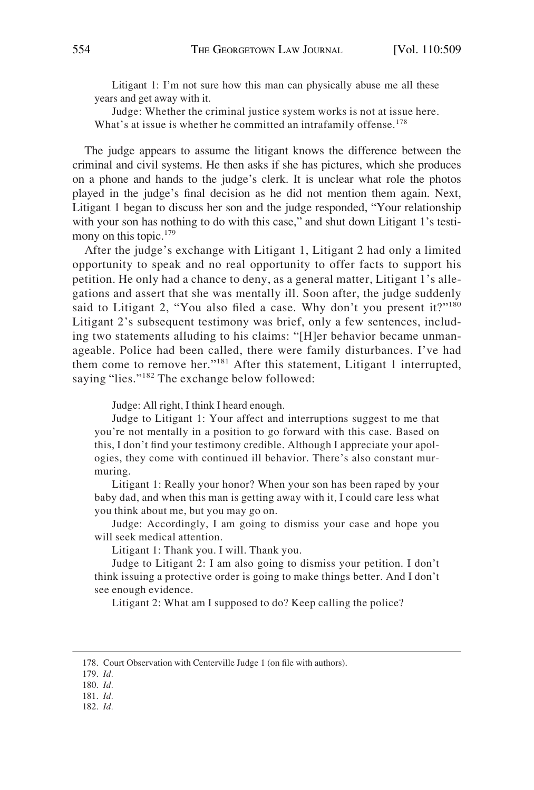Litigant 1: I'm not sure how this man can physically abuse me all these years and get away with it.

Judge: Whether the criminal justice system works is not at issue here. What's at issue is whether he committed an intrafamily offense.<sup>178</sup>

The judge appears to assume the litigant knows the difference between the criminal and civil systems. He then asks if she has pictures, which she produces on a phone and hands to the judge's clerk. It is unclear what role the photos played in the judge's final decision as he did not mention them again. Next, Litigant 1 began to discuss her son and the judge responded, "Your relationship with your son has nothing to do with this case," and shut down Litigant 1's testimony on this topic.<sup>179</sup>

After the judge's exchange with Litigant 1, Litigant 2 had only a limited opportunity to speak and no real opportunity to offer facts to support his petition. He only had a chance to deny, as a general matter, Litigant 1's allegations and assert that she was mentally ill. Soon after, the judge suddenly said to Litigant 2, "You also filed a case. Why don't you present it?"<sup>180</sup> Litigant 2's subsequent testimony was brief, only a few sentences, including two statements alluding to his claims: "[H]er behavior became unmanageable. Police had been called, there were family disturbances. I've had them come to remove her."181 After this statement, Litigant 1 interrupted, saying "lies."<sup>182</sup> The exchange below followed:

Judge: All right, I think I heard enough.

Judge to Litigant 1: Your affect and interruptions suggest to me that you're not mentally in a position to go forward with this case. Based on this, I don't find your testimony credible. Although I appreciate your apologies, they come with continued ill behavior. There's also constant murmuring.

Litigant 1: Really your honor? When your son has been raped by your baby dad, and when this man is getting away with it, I could care less what you think about me, but you may go on.

Judge: Accordingly, I am going to dismiss your case and hope you will seek medical attention.

Litigant 1: Thank you. I will. Thank you.

Judge to Litigant 2: I am also going to dismiss your petition. I don't think issuing a protective order is going to make things better. And I don't see enough evidence.

Litigant 2: What am I supposed to do? Keep calling the police?

182. *Id.* 

<sup>178.</sup> Court Observation with Centerville Judge 1 (on file with authors).

<sup>179.</sup> *Id.* 

<sup>180.</sup> *Id.* 

<sup>181.</sup> *Id.*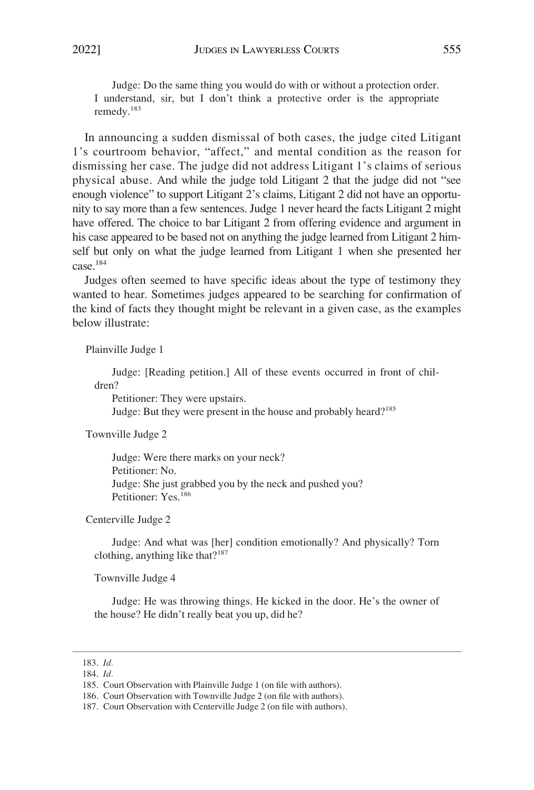Judge: Do the same thing you would do with or without a protection order. I understand, sir, but I don't think a protective order is the appropriate remedy.<sup>183</sup>

In announcing a sudden dismissal of both cases, the judge cited Litigant 1's courtroom behavior, "affect," and mental condition as the reason for dismissing her case. The judge did not address Litigant 1's claims of serious physical abuse. And while the judge told Litigant 2 that the judge did not "see enough violence" to support Litigant 2's claims, Litigant 2 did not have an opportunity to say more than a few sentences. Judge 1 never heard the facts Litigant 2 might have offered. The choice to bar Litigant 2 from offering evidence and argument in his case appeared to be based not on anything the judge learned from Litigant 2 himself but only on what the judge learned from Litigant 1 when she presented her case.184

Judges often seemed to have specific ideas about the type of testimony they wanted to hear. Sometimes judges appeared to be searching for confirmation of the kind of facts they thought might be relevant in a given case, as the examples below illustrate:

Plainville Judge 1

Judge: [Reading petition.] All of these events occurred in front of children?

Petitioner: They were upstairs.

Judge: But they were present in the house and probably heard?<sup>185</sup>

Townville Judge 2

Judge: Were there marks on your neck? Petitioner: No. Judge: She just grabbed you by the neck and pushed you? Petitioner: Yes.<sup>186</sup>

Centerville Judge 2

Judge: And what was [her] condition emotionally? And physically? Torn clothing, anything like that? $187$ 

Townville Judge 4

Judge: He was throwing things. He kicked in the door. He's the owner of the house? He didn't really beat you up, did he?

<sup>183.</sup> *Id.* 

<sup>184.</sup> *Id.* 

<sup>185.</sup> Court Observation with Plainville Judge 1 (on file with authors).

<sup>186.</sup> Court Observation with Townville Judge 2 (on file with authors).

<sup>187.</sup> Court Observation with Centerville Judge 2 (on file with authors).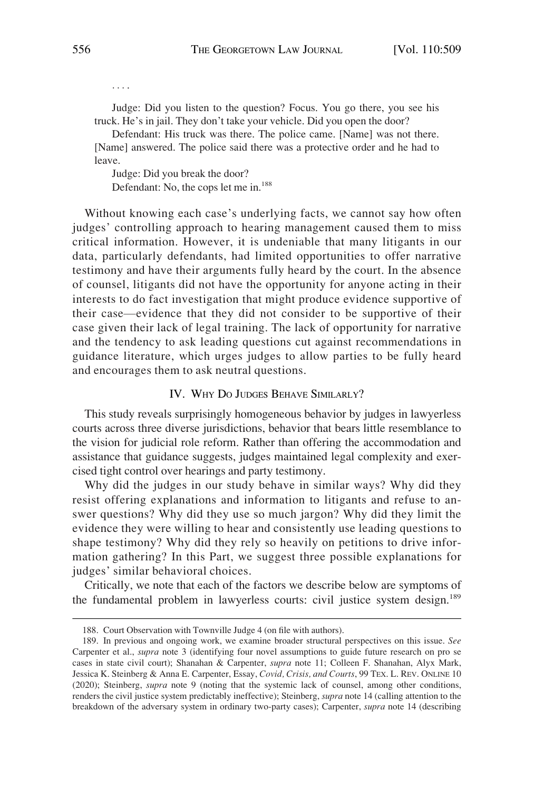<span id="page-48-0"></span>Judge: Did you listen to the question? Focus. You go there, you see his truck. He's in jail. They don't take your vehicle. Did you open the door?

Defendant: His truck was there. The police came. [Name] was not there. [Name] answered. The police said there was a protective order and he had to leave.

Judge: Did you break the door? Defendant: No, the cops let me in.<sup>188</sup>

Without knowing each case's underlying facts, we cannot say how often judges' controlling approach to hearing management caused them to miss critical information. However, it is undeniable that many litigants in our data, particularly defendants, had limited opportunities to offer narrative testimony and have their arguments fully heard by the court. In the absence of counsel, litigants did not have the opportunity for anyone acting in their interests to do fact investigation that might produce evidence supportive of their case—evidence that they did not consider to be supportive of their case given their lack of legal training. The lack of opportunity for narrative and the tendency to ask leading questions cut against recommendations in guidance literature, which urges judges to allow parties to be fully heard and encourages them to ask neutral questions.

#### IV. WHY DO JUDGES BEHAVE SIMILARLY?

This study reveals surprisingly homogeneous behavior by judges in lawyerless courts across three diverse jurisdictions, behavior that bears little resemblance to the vision for judicial role reform. Rather than offering the accommodation and assistance that guidance suggests, judges maintained legal complexity and exercised tight control over hearings and party testimony.

Why did the judges in our study behave in similar ways? Why did they resist offering explanations and information to litigants and refuse to answer questions? Why did they use so much jargon? Why did they limit the evidence they were willing to hear and consistently use leading questions to shape testimony? Why did they rely so heavily on petitions to drive information gathering? In this Part, we suggest three possible explanations for judges' similar behavioral choices.

Critically, we note that each of the factors we describe below are symptoms of the fundamental problem in lawyerless courts: civil justice system design.<sup>189</sup>

. . . .

<sup>188.</sup> Court Observation with Townville Judge 4 (on file with authors).

<sup>189.</sup> In previous and ongoing work, we examine broader structural perspectives on this issue. *See*  Carpenter et al., *supra* note 3 (identifying four novel assumptions to guide future research on pro se cases in state civil court); Shanahan & Carpenter, *supra* note 11; Colleen F. Shanahan, Alyx Mark, Jessica K. Steinberg & Anna E. Carpenter, Essay, *Covid, Crisis, and Courts*, 99 TEX. L. REV. ONLINE 10 (2020); Steinberg, *supra* note 9 (noting that the systemic lack of counsel, among other conditions, renders the civil justice system predictably ineffective); Steinberg, *supra* note 14 (calling attention to the breakdown of the adversary system in ordinary two-party cases); Carpenter, *supra* note 14 (describing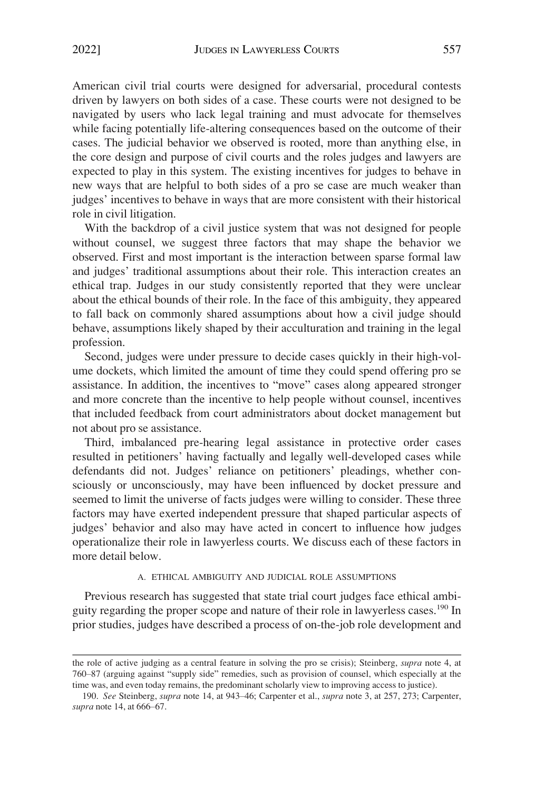<span id="page-49-0"></span>American civil trial courts were designed for adversarial, procedural contests driven by lawyers on both sides of a case. These courts were not designed to be navigated by users who lack legal training and must advocate for themselves while facing potentially life-altering consequences based on the outcome of their cases. The judicial behavior we observed is rooted, more than anything else, in the core design and purpose of civil courts and the roles judges and lawyers are expected to play in this system. The existing incentives for judges to behave in new ways that are helpful to both sides of a pro se case are much weaker than judges' incentives to behave in ways that are more consistent with their historical role in civil litigation.

With the backdrop of a civil justice system that was not designed for people without counsel, we suggest three factors that may shape the behavior we observed. First and most important is the interaction between sparse formal law and judges' traditional assumptions about their role. This interaction creates an ethical trap. Judges in our study consistently reported that they were unclear about the ethical bounds of their role. In the face of this ambiguity, they appeared to fall back on commonly shared assumptions about how a civil judge should behave, assumptions likely shaped by their acculturation and training in the legal profession.

Second, judges were under pressure to decide cases quickly in their high-volume dockets, which limited the amount of time they could spend offering pro se assistance. In addition, the incentives to "move" cases along appeared stronger and more concrete than the incentive to help people without counsel, incentives that included feedback from court administrators about docket management but not about pro se assistance.

Third, imbalanced pre-hearing legal assistance in protective order cases resulted in petitioners' having factually and legally well-developed cases while defendants did not. Judges' reliance on petitioners' pleadings, whether consciously or unconsciously, may have been influenced by docket pressure and seemed to limit the universe of facts judges were willing to consider. These three factors may have exerted independent pressure that shaped particular aspects of judges' behavior and also may have acted in concert to influence how judges operationalize their role in lawyerless courts. We discuss each of these factors in more detail below.

#### A. ETHICAL AMBIGUITY AND JUDICIAL ROLE ASSUMPTIONS

Previous research has suggested that state trial court judges face ethical ambiguity regarding the proper scope and nature of their role in lawyerless cases.190 In prior studies, judges have described a process of on-the-job role development and

the role of active judging as a central feature in solving the pro se crisis); Steinberg, *supra* note 4, at 760–87 (arguing against "supply side" remedies, such as provision of counsel, which especially at the time was, and even today remains, the predominant scholarly view to improving access to justice).

<sup>190.</sup> *See* Steinberg, *supra* note 14, at 943–46; Carpenter et al., *supra* note 3, at 257, 273; Carpenter, *supra* note 14, at 666–67.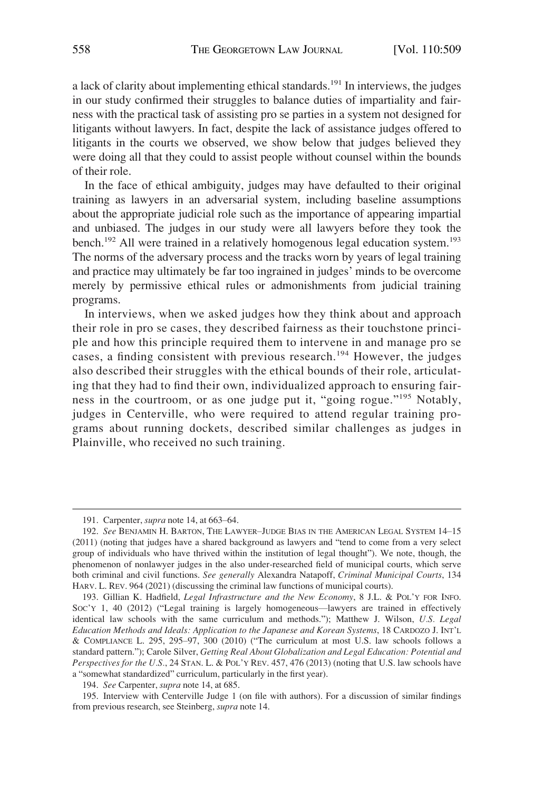a lack of clarity about implementing ethical standards.191 In interviews, the judges in our study confirmed their struggles to balance duties of impartiality and fairness with the practical task of assisting pro se parties in a system not designed for litigants without lawyers. In fact, despite the lack of assistance judges offered to litigants in the courts we observed, we show below that judges believed they were doing all that they could to assist people without counsel within the bounds of their role.

In the face of ethical ambiguity, judges may have defaulted to their original training as lawyers in an adversarial system, including baseline assumptions about the appropriate judicial role such as the importance of appearing impartial and unbiased. The judges in our study were all lawyers before they took the bench.<sup>192</sup> All were trained in a relatively homogenous legal education system.<sup>193</sup> The norms of the adversary process and the tracks worn by years of legal training and practice may ultimately be far too ingrained in judges' minds to be overcome merely by permissive ethical rules or admonishments from judicial training programs.

In interviews, when we asked judges how they think about and approach their role in pro se cases, they described fairness as their touchstone principle and how this principle required them to intervene in and manage pro se cases, a finding consistent with previous research.<sup>194</sup> However, the judges also described their struggles with the ethical bounds of their role, articulating that they had to find their own, individualized approach to ensuring fairness in the courtroom, or as one judge put it, "going rogue."<sup>195</sup> Notably, judges in Centerville, who were required to attend regular training programs about running dockets, described similar challenges as judges in Plainville, who received no such training.

194. *See* Carpenter, *supra* note 14, at 685.

<sup>191.</sup> Carpenter, *supra* note 14, at 663–64.

<sup>192.</sup> *See* BENJAMIN H. BARTON, THE LAWYER–JUDGE BIAS IN THE AMERICAN LEGAL SYSTEM 14–15 (2011) (noting that judges have a shared background as lawyers and "tend to come from a very select group of individuals who have thrived within the institution of legal thought"). We note, though, the phenomenon of nonlawyer judges in the also under-researched field of municipal courts, which serve both criminal and civil functions. *See generally* Alexandra Natapoff, *Criminal Municipal Courts*, 134 HARV. L. REV. 964 (2021) (discussing the criminal law functions of municipal courts).

<sup>193.</sup> Gillian K. Hadfield, *Legal Infrastructure and the New Economy*, 8 J.L. & POL'Y FOR INFO. SOC'Y 1, 40 (2012) ("Legal training is largely homogeneous—lawyers are trained in effectively identical law schools with the same curriculum and methods."); Matthew J. Wilson, *U.S. Legal Education Methods and Ideals: Application to the Japanese and Korean Systems*, 18 CARDOZO J. INT'L & COMPLIANCE L. 295, 295–97, 300 (2010) ("The curriculum at most U.S. law schools follows a standard pattern."); Carole Silver, *Getting Real About Globalization and Legal Education: Potential and Perspectives for the U.S.*, 24 STAN. L. & POL'Y REV. 457, 476 (2013) (noting that U.S. law schools have a "somewhat standardized" curriculum, particularly in the first year).

<sup>195.</sup> Interview with Centerville Judge 1 (on file with authors). For a discussion of similar findings from previous research, see Steinberg, *supra* note 14.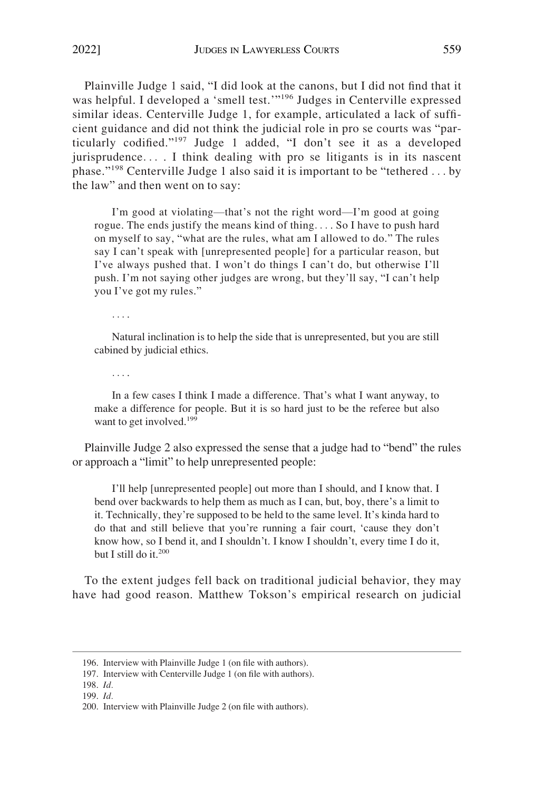Plainville Judge 1 said, "I did look at the canons, but I did not find that it was helpful. I developed a 'smell test.'"<sup>196</sup> Judges in Centerville expressed similar ideas. Centerville Judge 1, for example, articulated a lack of sufficient guidance and did not think the judicial role in pro se courts was "particularly codified."197 Judge 1 added, "I don't see it as a developed jurisprudence. . . . I think dealing with pro se litigants is in its nascent phase."198 Centerville Judge 1 also said it is important to be "tethered . . . by the law" and then went on to say:

I'm good at violating—that's not the right word—I'm good at going rogue. The ends justify the means kind of thing. . . . So I have to push hard on myself to say, "what are the rules, what am I allowed to do." The rules say I can't speak with [unrepresented people] for a particular reason, but I've always pushed that. I won't do things I can't do, but otherwise I'll push. I'm not saying other judges are wrong, but they'll say, "I can't help you I've got my rules."

. . . .

Natural inclination is to help the side that is unrepresented, but you are still cabined by judicial ethics.

. . . .

In a few cases I think I made a difference. That's what I want anyway, to make a difference for people. But it is so hard just to be the referee but also want to get involved.<sup>199</sup>

Plainville Judge 2 also expressed the sense that a judge had to "bend" the rules or approach a "limit" to help unrepresented people:

I'll help [unrepresented people] out more than I should, and I know that. I bend over backwards to help them as much as I can, but, boy, there's a limit to it. Technically, they're supposed to be held to the same level. It's kinda hard to do that and still believe that you're running a fair court, 'cause they don't know how, so I bend it, and I shouldn't. I know I shouldn't, every time I do it, but I still do it.<sup>200</sup>

To the extent judges fell back on traditional judicial behavior, they may have had good reason. Matthew Tokson's empirical research on judicial

<sup>196.</sup> Interview with Plainville Judge 1 (on file with authors).

<sup>197.</sup> Interview with Centerville Judge 1 (on file with authors).

<sup>198.</sup> *Id.* 

<sup>199.</sup> *Id.* 

<sup>200.</sup> Interview with Plainville Judge 2 (on file with authors).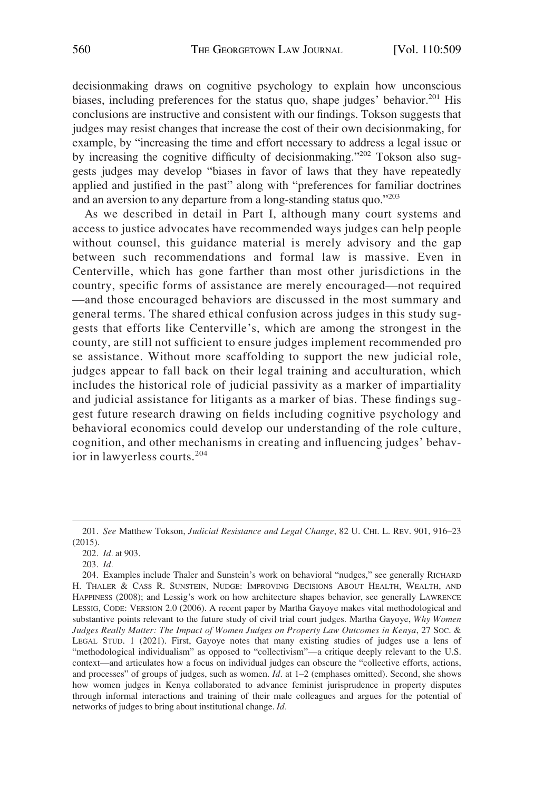decisionmaking draws on cognitive psychology to explain how unconscious biases, including preferences for the status quo, shape judges' behavior.<sup>201</sup> His conclusions are instructive and consistent with our findings. Tokson suggests that judges may resist changes that increase the cost of their own decisionmaking, for example, by "increasing the time and effort necessary to address a legal issue or by increasing the cognitive difficulty of decisionmaking."202 Tokson also suggests judges may develop "biases in favor of laws that they have repeatedly applied and justified in the past" along with "preferences for familiar doctrines and an aversion to any departure from a long-standing status quo."<sup>203</sup>

As we described in detail in Part I, although many court systems and access to justice advocates have recommended ways judges can help people without counsel, this guidance material is merely advisory and the gap between such recommendations and formal law is massive. Even in Centerville, which has gone farther than most other jurisdictions in the country, specific forms of assistance are merely encouraged—not required —and those encouraged behaviors are discussed in the most summary and general terms. The shared ethical confusion across judges in this study suggests that efforts like Centerville's, which are among the strongest in the county, are still not sufficient to ensure judges implement recommended pro se assistance. Without more scaffolding to support the new judicial role, judges appear to fall back on their legal training and acculturation, which includes the historical role of judicial passivity as a marker of impartiality and judicial assistance for litigants as a marker of bias. These findings suggest future research drawing on fields including cognitive psychology and behavioral economics could develop our understanding of the role culture, cognition, and other mechanisms in creating and influencing judges' behavior in lawyerless courts.<sup>204</sup>

<sup>201.</sup> *See* Matthew Tokson, *Judicial Resistance and Legal Change*, 82 U. CHI. L. REV. 901, 916–23 (2015).

<sup>202.</sup> *Id.* at 903.

<sup>203.</sup> *Id.* 

<sup>204.</sup> Examples include Thaler and Sunstein's work on behavioral "nudges," see generally RICHARD H. THALER & CASS R. SUNSTEIN, NUDGE: IMPROVING DECISIONS ABOUT HEALTH, WEALTH, AND HAPPINESS (2008); and Lessig's work on how architecture shapes behavior, see generally LAWRENCE LESSIG, CODE: VERSION 2.0 (2006). A recent paper by Martha Gayoye makes vital methodological and substantive points relevant to the future study of civil trial court judges. Martha Gayoye, *Why Women Judges Really Matter: The Impact of Women Judges on Property Law Outcomes in Kenya*, 27 SOC. & LEGAL STUD. 1 (2021). First, Gayoye notes that many existing studies of judges use a lens of "methodological individualism" as opposed to "collectivism"—a critique deeply relevant to the U.S. context—and articulates how a focus on individual judges can obscure the "collective efforts, actions, and processes" of groups of judges, such as women. *Id*. at 1–2 (emphases omitted). Second, she shows how women judges in Kenya collaborated to advance feminist jurisprudence in property disputes through informal interactions and training of their male colleagues and argues for the potential of networks of judges to bring about institutional change. *Id.*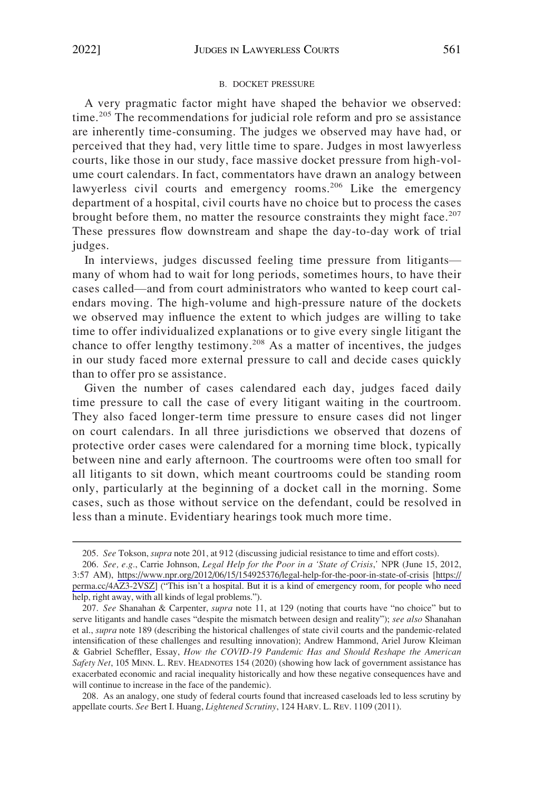#### B. DOCKET PRESSURE

<span id="page-53-0"></span>A very pragmatic factor might have shaped the behavior we observed: time.<sup>205</sup> The recommendations for judicial role reform and pro se assistance are inherently time-consuming. The judges we observed may have had, or perceived that they had, very little time to spare. Judges in most lawyerless courts, like those in our study, face massive docket pressure from high-volume court calendars. In fact, commentators have drawn an analogy between lawyerless civil courts and emergency rooms.<sup>206</sup> Like the emergency department of a hospital, civil courts have no choice but to process the cases brought before them, no matter the resource constraints they might face.<sup>207</sup> These pressures flow downstream and shape the day-to-day work of trial judges.

In interviews, judges discussed feeling time pressure from litigants many of whom had to wait for long periods, sometimes hours, to have their cases called—and from court administrators who wanted to keep court calendars moving. The high-volume and high-pressure nature of the dockets we observed may influence the extent to which judges are willing to take time to offer individualized explanations or to give every single litigant the chance to offer lengthy testimony.<sup>208</sup> As a matter of incentives, the judges in our study faced more external pressure to call and decide cases quickly than to offer pro se assistance.

Given the number of cases calendared each day, judges faced daily time pressure to call the case of every litigant waiting in the courtroom. They also faced longer-term time pressure to ensure cases did not linger on court calendars. In all three jurisdictions we observed that dozens of protective order cases were calendared for a morning time block, typically between nine and early afternoon. The courtrooms were often too small for all litigants to sit down, which meant courtrooms could be standing room only, particularly at the beginning of a docket call in the morning. Some cases, such as those without service on the defendant, could be resolved in less than a minute. Evidentiary hearings took much more time.

208. As an analogy, one study of federal courts found that increased caseloads led to less scrutiny by appellate courts. *See* Bert I. Huang, *Lightened Scrutiny*, 124 HARV. L. REV. 1109 (2011).

<sup>205.</sup> *See* Tokson, *supra* note 201, at 912 (discussing judicial resistance to time and effort costs).

*See, e.g.*, Carrie Johnson, *Legal Help for the Poor in a 'State of Crisis*,*'* NPR (June 15, 2012, 206. 3:57 AM), <https://www.npr.org/2012/06/15/154925376/legal-help-for-the-poor-in-state-of-crisis> [[https://](https://perma.cc/4AZ3-2VSZ)  [perma.cc/4AZ3-2VSZ\]](https://perma.cc/4AZ3-2VSZ) ("This isn't a hospital. But it is a kind of emergency room, for people who need help, right away, with all kinds of legal problems.").

<sup>207.</sup> *See* Shanahan & Carpenter, *supra* note 11, at 129 (noting that courts have "no choice" but to serve litigants and handle cases "despite the mismatch between design and reality"); *see also* Shanahan et al., *supra* note 189 (describing the historical challenges of state civil courts and the pandemic-related intensification of these challenges and resulting innovation); Andrew Hammond, Ariel Jurow Kleiman & Gabriel Scheffler, Essay, *How the COVID-19 Pandemic Has and Should Reshape the American Safety Net*, 105 MINN. L. REV. HEADNOTES 154 (2020) (showing how lack of government assistance has exacerbated economic and racial inequality historically and how these negative consequences have and will continue to increase in the face of the pandemic).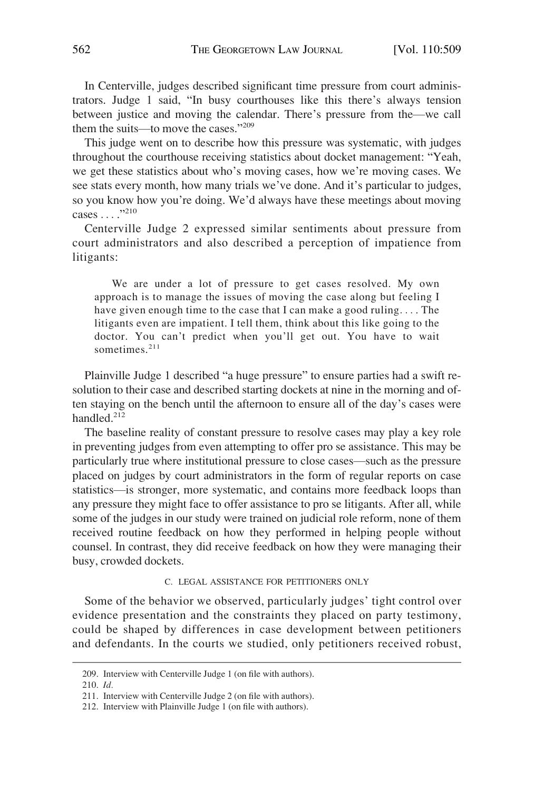<span id="page-54-0"></span>In Centerville, judges described significant time pressure from court administrators. Judge 1 said, "In busy courthouses like this there's always tension between justice and moving the calendar. There's pressure from the—we call them the suits—to move the cases."209

This judge went on to describe how this pressure was systematic, with judges throughout the courthouse receiving statistics about docket management: "Yeah, we get these statistics about who's moving cases, how we're moving cases. We see stats every month, how many trials we've done. And it's particular to judges, so you know how you're doing. We'd always have these meetings about moving cases . . . ."<sup>210</sup>

Centerville Judge 2 expressed similar sentiments about pressure from court administrators and also described a perception of impatience from litigants:

We are under a lot of pressure to get cases resolved. My own approach is to manage the issues of moving the case along but feeling I have given enough time to the case that I can make a good ruling. . . . The litigants even are impatient. I tell them, think about this like going to the doctor. You can't predict when you'll get out. You have to wait sometimes.<sup>211</sup>

Plainville Judge 1 described "a huge pressure" to ensure parties had a swift resolution to their case and described starting dockets at nine in the morning and often staying on the bench until the afternoon to ensure all of the day's cases were handled.<sup>212</sup>

The baseline reality of constant pressure to resolve cases may play a key role in preventing judges from even attempting to offer pro se assistance. This may be particularly true where institutional pressure to close cases—such as the pressure placed on judges by court administrators in the form of regular reports on case statistics—is stronger, more systematic, and contains more feedback loops than any pressure they might face to offer assistance to pro se litigants. After all, while some of the judges in our study were trained on judicial role reform, none of them received routine feedback on how they performed in helping people without counsel. In contrast, they did receive feedback on how they were managing their busy, crowded dockets.

#### C. LEGAL ASSISTANCE FOR PETITIONERS ONLY

Some of the behavior we observed, particularly judges' tight control over evidence presentation and the constraints they placed on party testimony, could be shaped by differences in case development between petitioners and defendants. In the courts we studied, only petitioners received robust,

<sup>209.</sup> Interview with Centerville Judge 1 (on file with authors).

<sup>210.</sup> *Id.* 

<sup>211.</sup> Interview with Centerville Judge 2 (on file with authors).

<sup>212.</sup> Interview with Plainville Judge 1 (on file with authors).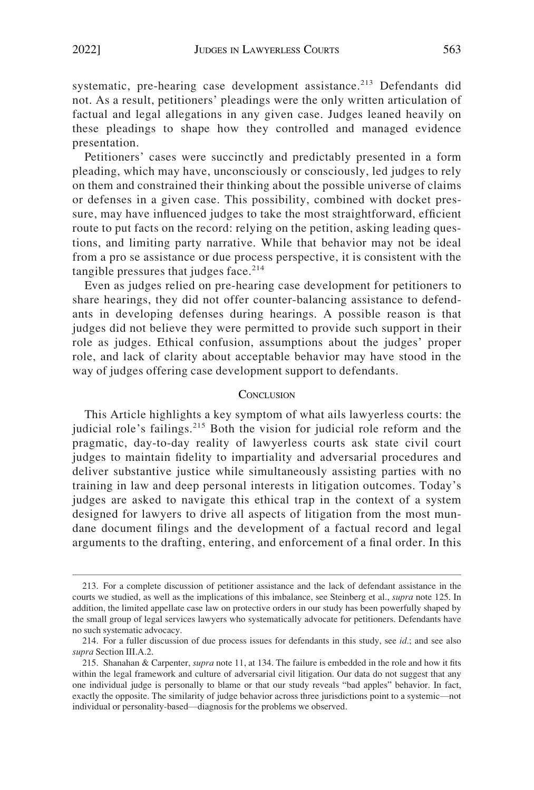<span id="page-55-0"></span>systematic, pre-hearing case development assistance.<sup>213</sup> Defendants did not. As a result, petitioners' pleadings were the only written articulation of factual and legal allegations in any given case. Judges leaned heavily on these pleadings to shape how they controlled and managed evidence presentation.

Petitioners' cases were succinctly and predictably presented in a form pleading, which may have, unconsciously or consciously, led judges to rely on them and constrained their thinking about the possible universe of claims or defenses in a given case. This possibility, combined with docket pressure, may have influenced judges to take the most straightforward, efficient route to put facts on the record: relying on the petition, asking leading questions, and limiting party narrative. While that behavior may not be ideal from a pro se assistance or due process perspective, it is consistent with the tangible pressures that judges face.<sup>214</sup>

Even as judges relied on pre-hearing case development for petitioners to share hearings, they did not offer counter-balancing assistance to defendants in developing defenses during hearings. A possible reason is that judges did not believe they were permitted to provide such support in their role as judges. Ethical confusion, assumptions about the judges' proper role, and lack of clarity about acceptable behavior may have stood in the way of judges offering case development support to defendants.

#### **CONCLUSION**

This Article highlights a key symptom of what ails lawyerless courts: the judicial role's failings.<sup>215</sup> Both the vision for judicial role reform and the pragmatic, day-to-day reality of lawyerless courts ask state civil court judges to maintain fidelity to impartiality and adversarial procedures and deliver substantive justice while simultaneously assisting parties with no training in law and deep personal interests in litigation outcomes. Today's judges are asked to navigate this ethical trap in the context of a system designed for lawyers to drive all aspects of litigation from the most mundane document filings and the development of a factual record and legal arguments to the drafting, entering, and enforcement of a final order. In this

<sup>213.</sup> For a complete discussion of petitioner assistance and the lack of defendant assistance in the courts we studied, as well as the implications of this imbalance, see Steinberg et al., *supra* note 125. In addition, the limited appellate case law on protective orders in our study has been powerfully shaped by the small group of legal services lawyers who systematically advocate for petitioners. Defendants have no such systematic advocacy.

<sup>214.</sup> For a fuller discussion of due process issues for defendants in this study, see *id.*; and see also *supra* Section III.A.2.

<sup>215.</sup> Shanahan & Carpenter, *supra* note 11, at 134. The failure is embedded in the role and how it fits within the legal framework and culture of adversarial civil litigation. Our data do not suggest that any one individual judge is personally to blame or that our study reveals "bad apples" behavior. In fact, exactly the opposite. The similarity of judge behavior across three jurisdictions point to a systemic—not individual or personality-based—diagnosis for the problems we observed.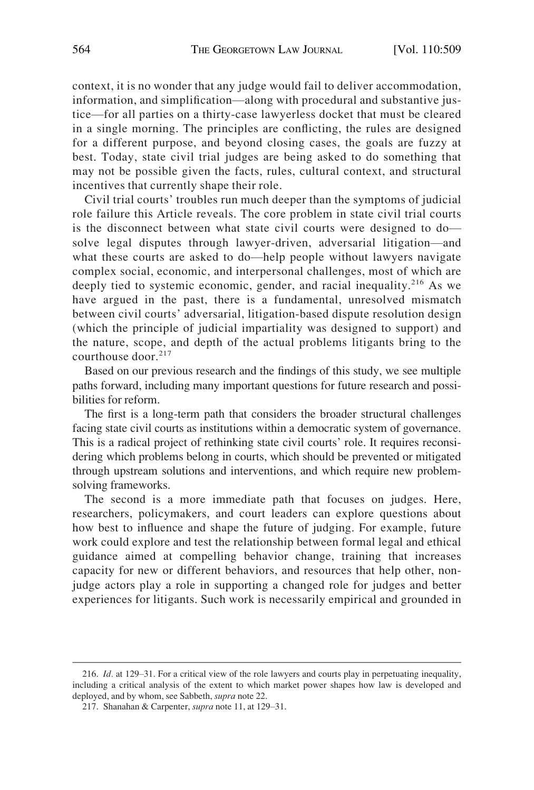context, it is no wonder that any judge would fail to deliver accommodation, information, and simplification—along with procedural and substantive justice—for all parties on a thirty-case lawyerless docket that must be cleared in a single morning. The principles are conflicting, the rules are designed for a different purpose, and beyond closing cases, the goals are fuzzy at best. Today, state civil trial judges are being asked to do something that may not be possible given the facts, rules, cultural context, and structural incentives that currently shape their role.

Civil trial courts' troubles run much deeper than the symptoms of judicial role failure this Article reveals. The core problem in state civil trial courts is the disconnect between what state civil courts were designed to do solve legal disputes through lawyer-driven, adversarial litigation—and what these courts are asked to do—help people without lawyers navigate complex social, economic, and interpersonal challenges, most of which are deeply tied to systemic economic, gender, and racial inequality.<sup>216</sup> As we have argued in the past, there is a fundamental, unresolved mismatch between civil courts' adversarial, litigation-based dispute resolution design (which the principle of judicial impartiality was designed to support) and the nature, scope, and depth of the actual problems litigants bring to the courthouse door.<sup>217</sup>

Based on our previous research and the findings of this study, we see multiple paths forward, including many important questions for future research and possibilities for reform.

The first is a long-term path that considers the broader structural challenges facing state civil courts as institutions within a democratic system of governance. This is a radical project of rethinking state civil courts' role. It requires reconsidering which problems belong in courts, which should be prevented or mitigated through upstream solutions and interventions, and which require new problemsolving frameworks.

The second is a more immediate path that focuses on judges. Here, researchers, policymakers, and court leaders can explore questions about how best to influence and shape the future of judging. For example, future work could explore and test the relationship between formal legal and ethical guidance aimed at compelling behavior change, training that increases capacity for new or different behaviors, and resources that help other, nonjudge actors play a role in supporting a changed role for judges and better experiences for litigants. Such work is necessarily empirical and grounded in

<sup>216.</sup> *Id.* at 129–31. For a critical view of the role lawyers and courts play in perpetuating inequality, including a critical analysis of the extent to which market power shapes how law is developed and deployed, and by whom, see Sabbeth, *supra* note 22.

<sup>217.</sup> Shanahan & Carpenter, *supra* note 11, at 129–31.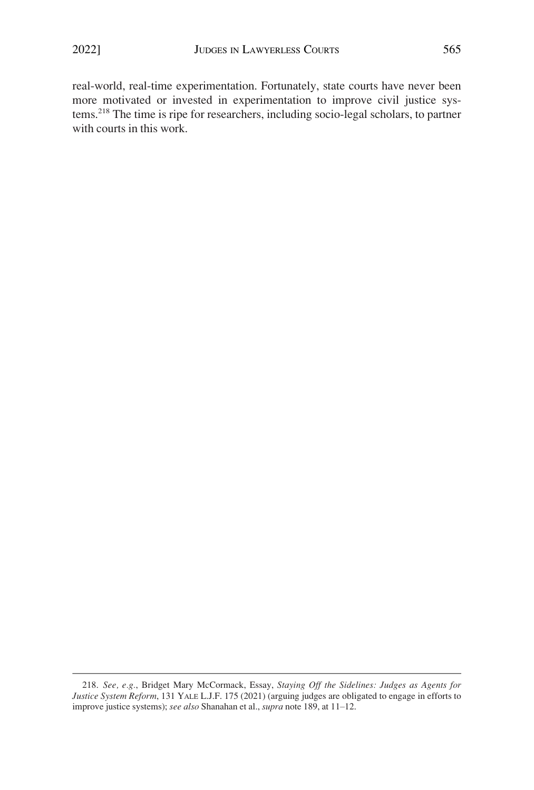real-world, real-time experimentation. Fortunately, state courts have never been more motivated or invested in experimentation to improve civil justice systems.218 The time is ripe for researchers, including socio-legal scholars, to partner with courts in this work.

<sup>218.</sup> *See, e.g.*, Bridget Mary McCormack, Essay, *Staying Off the Sidelines: Judges as Agents for Justice System Reform*, 131 YALE L.J.F. 175 (2021) (arguing judges are obligated to engage in efforts to improve justice systems); *see also* Shanahan et al., *supra* note 189, at 11–12.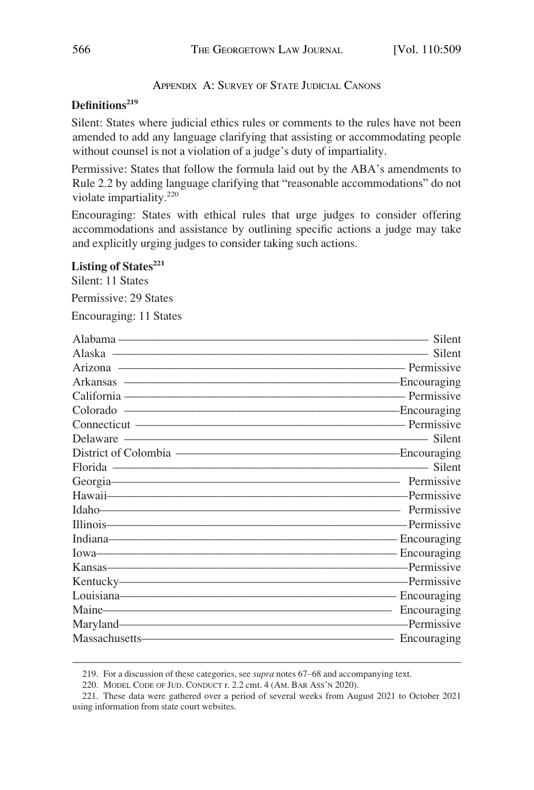APPENDIX A: SURVEY OF STATE JUDICIAL CANONS

# <span id="page-58-0"></span>Definitions<sup>219</sup>

Silent: States where judicial ethics rules or comments to the rules have not been amended to add any language clarifying that assisting or accommodating people without counsel is not a violation of a judge's duty of impartiality.

Permissive: States that follow the formula laid out by the ABA's amendments to Rule 2.2 by adding language clarifying that "reasonable accommodations" do not violate impartiality.<sup>220</sup>

Encouraging: States with ethical rules that urge judges to consider offering accommodations and assistance by outlining specific actions a judge may take and explicitly urging judges to consider taking such actions.

# Listing of States<sup>221</sup>

Silent: 11 States

Permissive: 29 States

Encouraging: 11 States

|                         | Silent      |
|-------------------------|-------------|
| Alaska — Silent         |             |
|                         |             |
|                         |             |
| California — Permissive |             |
|                         |             |
|                         |             |
|                         |             |
|                         |             |
|                         |             |
| Georgia Permissive      |             |
|                         |             |
|                         |             |
|                         |             |
|                         |             |
|                         |             |
|                         |             |
|                         |             |
|                         |             |
|                         |             |
| Maryland Permissive     |             |
|                         | Encouraging |

<sup>219.</sup> For a discussion of these categories, see *supra* notes 67–68 and accompanying text.

<sup>220.</sup> MODEL CODE OF JUD. CONDUCT r. 2.2 cmt. 4 (AM. BAR ASS'N 2020).

<sup>221.</sup> These data were gathered over a period of several weeks from August 2021 to October 2021 using information from state court websites.